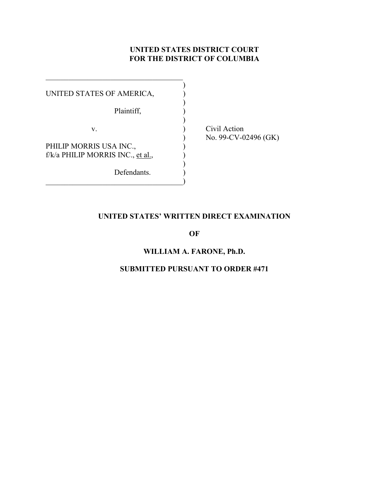# **UNITED STATES DISTRICT COURT FOR THE DISTRICT OF COLUMBIA**

| UNITED STATES OF AMERICA,         |  |
|-----------------------------------|--|
|                                   |  |
| Plaintiff,                        |  |
|                                   |  |
| V.                                |  |
|                                   |  |
| PHILIP MORRIS USA INC.,           |  |
| f/k/a PHILIP MORRIS INC., et al., |  |
|                                   |  |
| Defendants.                       |  |
|                                   |  |

 $\mathcal{L}_\text{max}$  , where  $\mathcal{L}_\text{max}$  and  $\mathcal{L}_\text{max}$  and  $\mathcal{L}_\text{max}$ 

Civil Action ) No. 99-CV-02496 (GK)

# **UNITED STATES' WRITTEN DIRECT EXAMINATION**

**OF**

# **WILLIAM A. FARONE, Ph.D.**

# **SUBMITTED PURSUANT TO ORDER #471**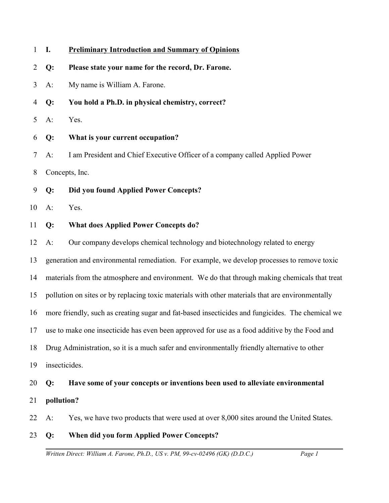| $\mathbf{1}$   | Ι.    | <b>Preliminary Introduction and Summary of Opinions</b>                                          |  |
|----------------|-------|--------------------------------------------------------------------------------------------------|--|
| $\overline{2}$ | Q:    | Please state your name for the record, Dr. Farone.                                               |  |
| 3              | $A$ : | My name is William A. Farone.                                                                    |  |
| 4              | Q:    | You hold a Ph.D. in physical chemistry, correct?                                                 |  |
| 5              | $A$ : | Yes.                                                                                             |  |
| 6              | Q:    | What is your current occupation?                                                                 |  |
| 7              | $A$ : | I am President and Chief Executive Officer of a company called Applied Power                     |  |
| 8              |       | Concepts, Inc.                                                                                   |  |
| 9              | Q:    | Did you found Applied Power Concepts?                                                            |  |
| 10             | $A$ : | Yes.                                                                                             |  |
| 11             | Q:    | <b>What does Applied Power Concepts do?</b>                                                      |  |
| 12             | $A$ : | Our company develops chemical technology and biotechnology related to energy                     |  |
| 13             |       | generation and environmental remediation. For example, we develop processes to remove toxic      |  |
| 14             |       | materials from the atmosphere and environment. We do that through making chemicals that treat    |  |
| 15             |       | pollution on sites or by replacing toxic materials with other materials that are environmentally |  |
| 16             |       | more friendly, such as creating sugar and fat-based insecticides and fungicides. The chemical we |  |
| 17             |       | use to make one insecticide has even been approved for use as a food additive by the Food and    |  |
| 18             |       | Drug Administration, so it is a much safer and environmentally friendly alternative to other     |  |
| 19             |       | insecticides.                                                                                    |  |
| 20             | Q:    | Have some of your concepts or inventions been used to alleviate environmental                    |  |
| 21             |       | pollution?                                                                                       |  |
| 22             | $A$ : | Yes, we have two products that were used at over 8,000 sites around the United States.           |  |
| 23             | Q:    | When did you form Applied Power Concepts?                                                        |  |
|                |       | Written Direct: William A. Farone, Ph.D., US v. PM, 99-cv-02496 (GK) (D.D.C.)<br>Page 1          |  |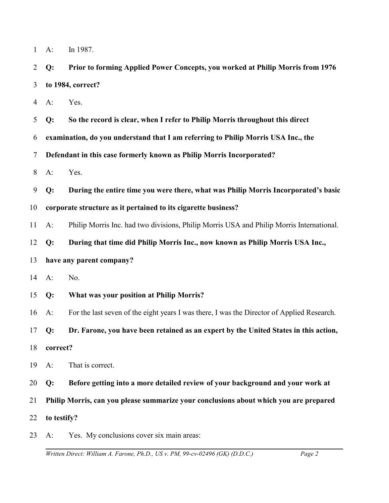| In 1987. |  |
|----------|--|
|----------|--|

2 3 **Q: Prior to forming Applied Power Concepts, you worked at Philip Morris from 1976 to 1984, correct?**

4 A: Yes.

5 **Q: So the record is clear, when I refer to Philip Morris throughout this direct**

6 **examination, do you understand that I am referring to Philip Morris USA Inc., the**

7 **Defendant in this case formerly known as Philip Morris Incorporated?**

8 A: Yes.

9 **Q: During the entire time you were there, what was Philip Morris Incorporated's basic**

#### 10 **corporate structure as it pertained to its cigarette business?**

11 A: Philip Morris Inc. had two divisions, Philip Morris USA and Philip Morris International.

12 **Q: During that time did Philip Morris Inc., now known as Philip Morris USA Inc.,**

#### 13 **have any parent company?**

14 A: No.

15 **Q: What was your position at Philip Morris?**

16 A: For the last seven of the eight years I was there, I was the Director of Applied Research.

17 **Q: Dr. Farone, you have been retained as an expert by the United States in this action,**

- 18 **correct?**
- 19 A: That is correct.

20 **Q: Before getting into a more detailed review of your background and your work at**

21 **Philip Morris, can you please summarize your conclusions about which you are prepared**

- 22 **to testify?**
- 23 A: Yes. My conclusions cover six main areas: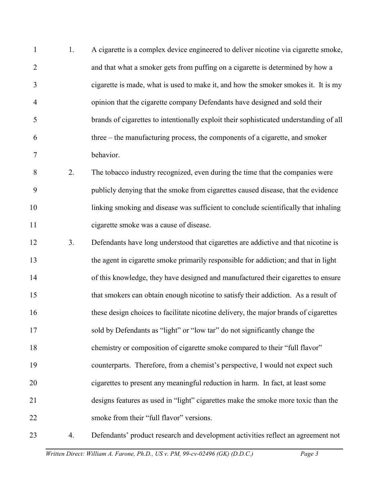1 2 3 4 5 6 7 1. A cigarette is a complex device engineered to deliver nicotine via cigarette smoke, and that what a smoker gets from puffing on a cigarette is determined by how a cigarette is made, what is used to make it, and how the smoker smokes it. It is my opinion that the cigarette company Defendants have designed and sold their brands of cigarettes to intentionally exploit their sophisticated understanding of all three – the manufacturing process, the components of a cigarette, and smoker behavior.

8 9 10 11 2. The tobacco industry recognized, even during the time that the companies were publicly denying that the smoke from cigarettes caused disease, that the evidence linking smoking and disease was sufficient to conclude scientifically that inhaling cigarette smoke was a cause of disease.

12 13 14 15 16 17 18 19 20 21 22 3. Defendants have long understood that cigarettes are addictive and that nicotine is the agent in cigarette smoke primarily responsible for addiction; and that in light of this knowledge, they have designed and manufactured their cigarettes to ensure that smokers can obtain enough nicotine to satisfy their addiction. As a result of these design choices to facilitate nicotine delivery, the major brands of cigarettes sold by Defendants as "light" or "low tar" do not significantly change the chemistry or composition of cigarette smoke compared to their "full flavor" counterparts. Therefore, from a chemist's perspective, I would not expect such cigarettes to present any meaningful reduction in harm. In fact, at least some designs features as used in "light" cigarettes make the smoke more toxic than the smoke from their "full flavor" versions.

23 4. Defendants' product research and development activities reflect an agreement not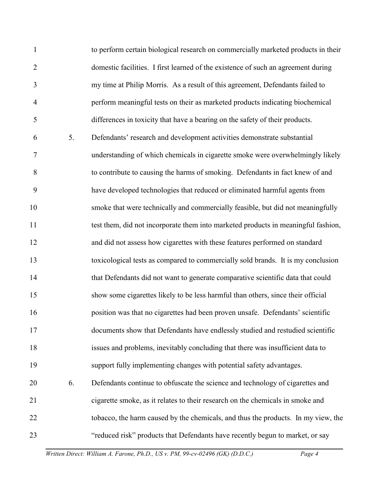1 2 3 4 5 6 7 8 9 10 11 12 13 14 15 16 17 18 19 20 21 22 23 to perform certain biological research on commercially marketed products in their domestic facilities. I first learned of the existence of such an agreement during my time at Philip Morris. As a result of this agreement, Defendants failed to perform meaningful tests on their as marketed products indicating biochemical differences in toxicity that have a bearing on the safety of their products. 5. Defendants' research and development activities demonstrate substantial understanding of which chemicals in cigarette smoke were overwhelmingly likely to contribute to causing the harms of smoking. Defendants in fact knew of and have developed technologies that reduced or eliminated harmful agents from smoke that were technically and commercially feasible, but did not meaningfully test them, did not incorporate them into marketed products in meaningful fashion, and did not assess how cigarettes with these features performed on standard toxicological tests as compared to commercially sold brands. It is my conclusion that Defendants did not want to generate comparative scientific data that could show some cigarettes likely to be less harmful than others, since their official position was that no cigarettes had been proven unsafe. Defendants' scientific documents show that Defendants have endlessly studied and restudied scientific issues and problems, inevitably concluding that there was insufficient data to support fully implementing changes with potential safety advantages. 6. Defendants continue to obfuscate the science and technology of cigarettes and cigarette smoke, as it relates to their research on the chemicals in smoke and tobacco, the harm caused by the chemicals, and thus the products. In my view, the "reduced risk" products that Defendants have recently begun to market, or say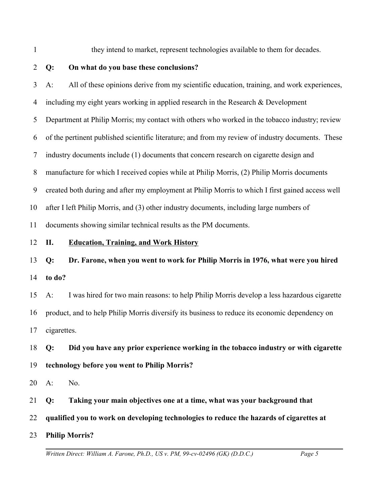1

they intend to market, represent technologies available to them for decades.

2

# **Q: On what do you base these conclusions?**

3 4 5 6 7 8 9 10 11 12 13 14 15 16 17 18 19 20 21 22 A: All of these opinions derive from my scientific education, training, and work experiences, including my eight years working in applied research in the Research & Development Department at Philip Morris; my contact with others who worked in the tobacco industry; review of the pertinent published scientific literature; and from my review of industry documents. These industry documents include (1) documents that concern research on cigarette design and manufacture for which I received copies while at Philip Morris, (2) Philip Morris documents created both during and after my employment at Philip Morris to which I first gained access well after I left Philip Morris, and (3) other industry documents, including large numbers of documents showing similar technical results as the PM documents. **II. Education, Training, and Work History Q: Dr. Farone, when you went to work for Philip Morris in 1976, what were you hired to do?** A: I was hired for two main reasons: to help Philip Morris develop a less hazardous cigarette product, and to help Philip Morris diversify its business to reduce its economic dependency on cigarettes. **Q: Did you have any prior experience working in the tobacco industry or with cigarette technology before you went to Philip Morris?** A: No. **Q: Taking your main objectives one at a time, what was your background that qualified you to work on developing technologies to reduce the hazards of cigarettes at**

23 **Philip Morris?**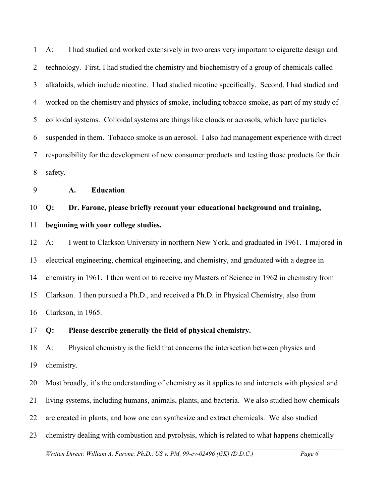1 2 3 4 5 6 7 8 A: I had studied and worked extensively in two areas very important to cigarette design and technology. First, I had studied the chemistry and biochemistry of a group of chemicals called alkaloids, which include nicotine. I had studied nicotine specifically. Second, I had studied and worked on the chemistry and physics of smoke, including tobacco smoke, as part of my study of colloidal systems. Colloidal systems are things like clouds or aerosols, which have particles suspended in them. Tobacco smoke is an aerosol. I also had management experience with direct responsibility for the development of new consumer products and testing those products for their safety.

9 **A. Education**

# 10 **Q: Dr. Farone, please briefly recount your educational background and training,**

#### 11 **beginning with your college studies.**

12 13 14 15 16 A: I went to Clarkson University in northern New York, and graduated in 1961. I majored in electrical engineering, chemical engineering, and chemistry, and graduated with a degree in chemistry in 1961. I then went on to receive my Masters of Science in 1962 in chemistry from Clarkson. I then pursued a Ph.D., and received a Ph.D. in Physical Chemistry, also from Clarkson, in 1965.

#### 17 **Q: Please describe generally the field of physical chemistry.**

18 19 A: Physical chemistry is the field that concerns the intersection between physics and chemistry.

20 Most broadly, it's the understanding of chemistry as it applies to and interacts with physical and

21 living systems, including humans, animals, plants, and bacteria. We also studied how chemicals

22 are created in plants, and how one can synthesize and extract chemicals. We also studied

23 chemistry dealing with combustion and pyrolysis, which is related to what happens chemically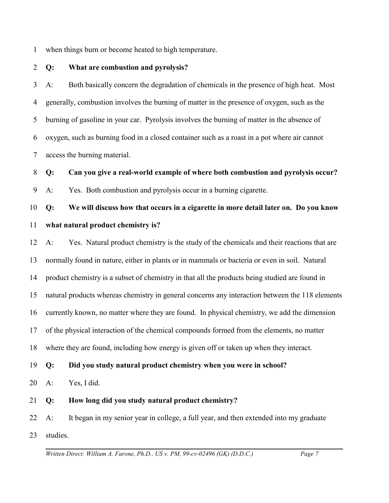1 when things burn or become heated to high temperature.

2 **Q: What are combustion and pyrolysis?**

3 4 5 6 7 A: Both basically concern the degradation of chemicals in the presence of high heat. Most generally, combustion involves the burning of matter in the presence of oxygen, such as the burning of gasoline in your car. Pyrolysis involves the burning of matter in the absence of oxygen, such as burning food in a closed container such as a roast in a pot where air cannot access the burning material.

8 **Q: Can you give a real-world example of where both combustion and pyrolysis occur?**

9 A: Yes. Both combustion and pyrolysis occur in a burning cigarette.

10 11 **Q: We will discuss how that occurs in a cigarette in more detail later on. Do you know what natural product chemistry is?**

12 13 14 15 16 17 18 A: Yes. Natural product chemistry is the study of the chemicals and their reactions that are normally found in nature, either in plants or in mammals or bacteria or even in soil. Natural product chemistry is a subset of chemistry in that all the products being studied are found in natural products whereas chemistry in general concerns any interaction between the 118 elements currently known, no matter where they are found. In physical chemistry, we add the dimension of the physical interaction of the chemical compounds formed from the elements, no matter where they are found, including how energy is given off or taken up when they interact.

19 **Q: Did you study natural product chemistry when you were in school?**

20 A: Yes, I did.

21 **Q: How long did you study natural product chemistry?** 

22 23 A: It began in my senior year in college, a full year, and then extended into my graduate studies.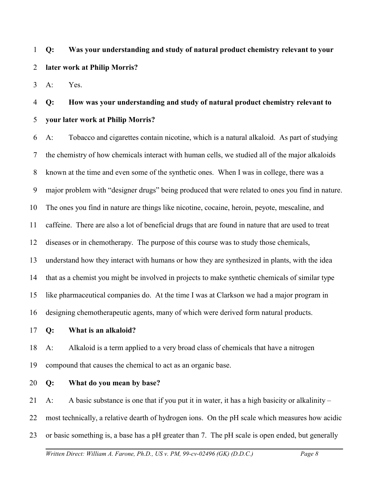1 2 **Q: Was your understanding and study of natural product chemistry relevant to your later work at Philip Morris?** 

3 A: Yes.

# 4 5 **Q: How was your understanding and study of natural product chemistry relevant to your later work at Philip Morris?**

6 7 8 9 10 11 12 13 14 15 16 A: Tobacco and cigarettes contain nicotine, which is a natural alkaloid. As part of studying the chemistry of how chemicals interact with human cells, we studied all of the major alkaloids known at the time and even some of the synthetic ones. When I was in college, there was a major problem with "designer drugs" being produced that were related to ones you find in nature. The ones you find in nature are things like nicotine, cocaine, heroin, peyote, mescaline, and caffeine. There are also a lot of beneficial drugs that are found in nature that are used to treat diseases or in chemotherapy. The purpose of this course was to study those chemicals, understand how they interact with humans or how they are synthesized in plants, with the idea that as a chemist you might be involved in projects to make synthetic chemicals of similar type like pharmaceutical companies do. At the time I was at Clarkson we had a major program in designing chemotherapeutic agents, many of which were derived form natural products.

17 **Q: What is an alkaloid?**

18 19 A: Alkaloid is a term applied to a very broad class of chemicals that have a nitrogen compound that causes the chemical to act as an organic base.

20 **Q: What do you mean by base?**

21 A: A basic substance is one that if you put it in water, it has a high basicity or alkalinity –

22 most technically, a relative dearth of hydrogen ions. On the pH scale which measures how acidic

23 or basic something is, a base has a pH greater than 7. The pH scale is open ended, but generally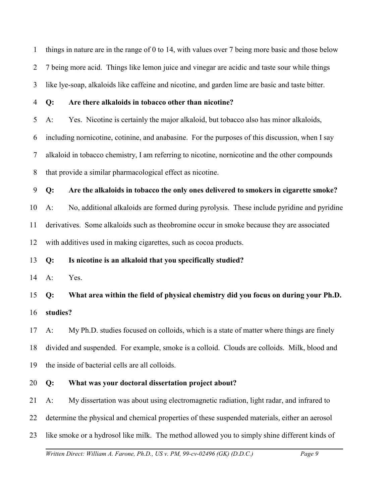1 2 3 things in nature are in the range of 0 to 14, with values over 7 being more basic and those below 7 being more acid. Things like lemon juice and vinegar are acidic and taste sour while things like lye-soap, alkaloids like caffeine and nicotine, and garden lime are basic and taste bitter.

4

# **Q: Are there alkaloids in tobacco other than nicotine?**

5 A: Yes. Nicotine is certainly the major alkaloid, but tobacco also has minor alkaloids,

6 including nornicotine, cotinine, and anabasine. For the purposes of this discussion, when I say

7 alkaloid in tobacco chemistry, I am referring to nicotine, nornicotine and the other compounds

8 that provide a similar pharmacological effect as nicotine.

9 **Q: Are the alkaloids in tobacco the only ones delivered to smokers in cigarette smoke?**

10 11 12 A: No, additional alkaloids are formed during pyrolysis. These include pyridine and pyridine derivatives. Some alkaloids such as theobromine occur in smoke because they are associated with additives used in making cigarettes, such as cocoa products.

13 **Q: Is nicotine is an alkaloid that you specifically studied?** 

14 A: Yes.

15 16 **Q: What area within the field of physical chemistry did you focus on during your Ph.D. studies?** 

17 18 19 A: My Ph.D. studies focused on colloids, which is a state of matter where things are finely divided and suspended. For example, smoke is a colloid. Clouds are colloids. Milk, blood and the inside of bacterial cells are all colloids.

#### 20 **Q: What was your doctoral dissertation project about?**

21 A: My dissertation was about using electromagnetic radiation, light radar, and infrared to

22 determine the physical and chemical properties of these suspended materials, either an aerosol

23 like smoke or a hydrosol like milk. The method allowed you to simply shine different kinds of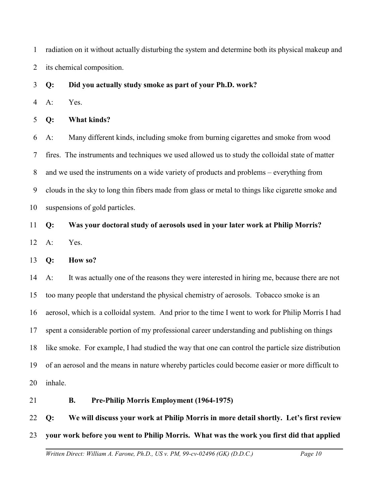1 2 radiation on it without actually disturbing the system and determine both its physical makeup and its chemical composition.

3 **Q: Did you actually study smoke as part of your Ph.D. work?**

4 A: Yes.

5 **Q: What kinds?**

6 7 8 9 10 A: Many different kinds, including smoke from burning cigarettes and smoke from wood fires. The instruments and techniques we used allowed us to study the colloidal state of matter and we used the instruments on a wide variety of products and problems – everything from clouds in the sky to long thin fibers made from glass or metal to things like cigarette smoke and suspensions of gold particles.

# 11 **Q: Was your doctoral study of aerosols used in your later work at Philip Morris?**

12 A: Yes.

13 **Q: How so?**

14 15 16 17 18 19 20 A: It was actually one of the reasons they were interested in hiring me, because there are not too many people that understand the physical chemistry of aerosols. Tobacco smoke is an aerosol, which is a colloidal system. And prior to the time I went to work for Philip Morris I had spent a considerable portion of my professional career understanding and publishing on things like smoke. For example, I had studied the way that one can control the particle size distribution of an aerosol and the means in nature whereby particles could become easier or more difficult to inhale.

21

# **B. Pre-Philip Morris Employment (1964-1975)**

22 23 **Q: We will discuss your work at Philip Morris in more detail shortly. Let's first review your work before you went to Philip Morris. What was the work you first did that applied**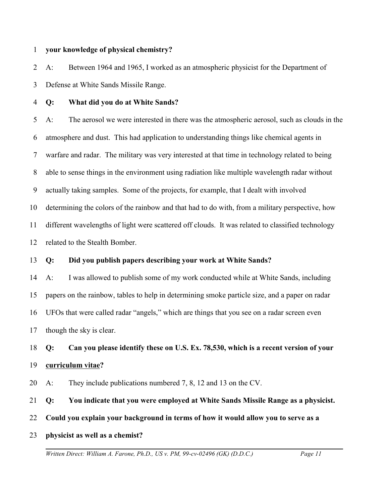#### 1 **your knowledge of physical chemistry?**

2 3 A: Between 1964 and 1965, I worked as an atmospheric physicist for the Department of Defense at White Sands Missile Range.

4 **Q: What did you do at White Sands?**

5 6 7 8 9 10 11 12 A: The aerosol we were interested in there was the atmospheric aerosol, such as clouds in the atmosphere and dust. This had application to understanding things like chemical agents in warfare and radar. The military was very interested at that time in technology related to being able to sense things in the environment using radiation like multiple wavelength radar without actually taking samples. Some of the projects, for example, that I dealt with involved determining the colors of the rainbow and that had to do with, from a military perspective, how different wavelengths of light were scattered off clouds. It was related to classified technology related to the Stealth Bomber.

13 **Q: Did you publish papers describing your work at White Sands?**

14 15 16 17 A: I was allowed to publish some of my work conducted while at White Sands, including papers on the rainbow, tables to help in determining smoke particle size, and a paper on radar UFOs that were called radar "angels," which are things that you see on a radar screen even though the sky is clear.

18 19 **Q: Can you please identify these on U.S. Ex. 78,530, which is a recent version of your curriculum vitae?**

20 A: They include publications numbered 7, 8, 12 and 13 on the CV.

21 **Q: You indicate that you were employed at White Sands Missile Range as a physicist.** 

- 22 **Could you explain your background in terms of how it would allow you to serve as a**
- 23 **physicist as well as a chemist?**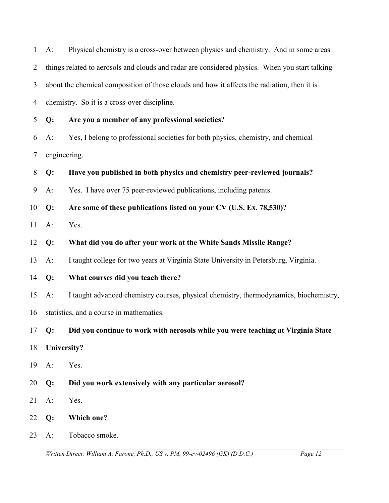| $1 \quad A$ : | Physical chemistry is a cross-over between physics and chemistry. And in some areas              |
|---------------|--------------------------------------------------------------------------------------------------|
|               | 2 things related to aerosols and clouds and radar are considered physics. When you start talking |
|               | 3 about the chemical composition of those clouds and how it affects the radiation, then it is    |
|               | 4 chemistry. So it is a cross-over discipline.                                                   |

- 5 **Q: Are you a member of any professional societies?**
- 6 7 A: Yes, I belong to professional societies for both physics, chemistry, and chemical engineering.
- 8 **Q: Have you published in both physics and chemistry peer-reviewed journals?**
- 9 A: Yes. I have over 75 peer-reviewed publications, including patents.
- 10 **Q: Are some of these publications listed on your CV (U.S. Ex. 78,530)?**
- 11 A: Yes.
- 12 **Q: What did you do after your work at the White Sands Missile Range?**
- 13 A: I taught college for two years at Virginia State University in Petersburg, Virginia.
- 14 **Q: What courses did you teach there?**
- 15 A: I taught advanced chemistry courses, physical chemistry, thermodynamics, biochemistry,
- 16 statistics, and a course in mathematics.
- 17 **Q: Did you continue to work with aerosols while you were teaching at Virginia State**
- 18 **University?**
- 19 A: Yes.
- 20 **Q: Did you work extensively with any particular aerosol?**
- 21 A: Yes.
- 22 **Q: Which one?**
- 23 A: Tobacco smoke.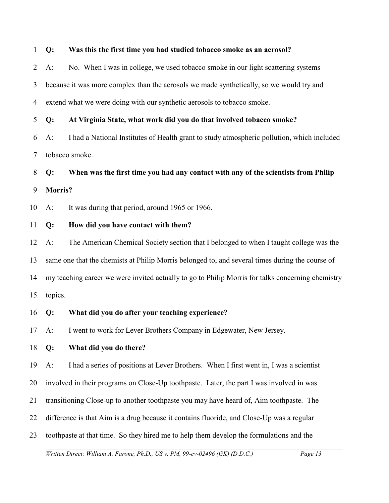#### 1 **Q: Was this the first time you had studied tobacco smoke as an aerosol?**

2 3 4 A: No. When I was in college, we used tobacco smoke in our light scattering systems because it was more complex than the aerosols we made synthetically, so we would try and extend what we were doing with our synthetic aerosols to tobacco smoke.

5 **Q: At Virginia State, what work did you do that involved tobacco smoke?**

6 7 A: I had a National Institutes of Health grant to study atmospheric pollution, which included tobacco smoke.

8 9 **Q: When was the first time you had any contact with any of the scientists from Philip Morris?**

10 A: It was during that period, around 1965 or 1966.

#### 11 **Q: How did you have contact with them?**

12 13 14 15 A: The American Chemical Society section that I belonged to when I taught college was the same one that the chemists at Philip Morris belonged to, and several times during the course of my teaching career we were invited actually to go to Philip Morris for talks concerning chemistry topics.

16 **Q: What did you do after your teaching experience?**

17 A: I went to work for Lever Brothers Company in Edgewater, New Jersey.

#### 18 **Q: What did you do there?**

19 A: I had a series of positions at Lever Brothers. When I first went in, I was a scientist

20 involved in their programs on Close-Up toothpaste. Later, the part I was involved in was

- 21 transitioning Close-up to another toothpaste you may have heard of, Aim toothpaste. The
- 22 difference is that Aim is a drug because it contains fluoride, and Close-Up was a regular
- 23 toothpaste at that time. So they hired me to help them develop the formulations and the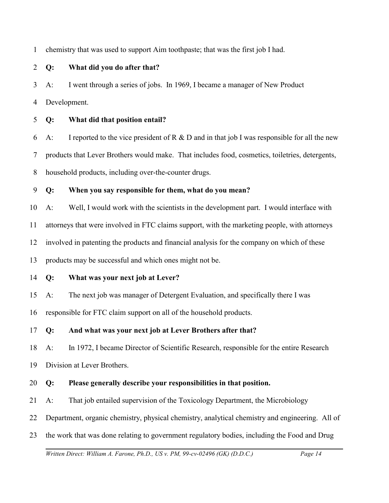1 chemistry that was used to support Aim toothpaste; that was the first job I had.

## 2 **Q: What did you do after that?**

3 4 A: I went through a series of jobs. In 1969, I became a manager of New Product Development.

5 **Q: What did that position entail?** 

6 7 8 A: I reported to the vice president of R  $\&$  D and in that job I was responsible for all the new products that Lever Brothers would make. That includes food, cosmetics, toiletries, detergents, household products, including over-the-counter drugs.

9 **Q: When you say responsible for them, what do you mean?**

10 A: Well, I would work with the scientists in the development part. I would interface with

11 attorneys that were involved in FTC claims support, with the marketing people, with attorneys

12 involved in patenting the products and financial analysis for the company on which of these

13 products may be successful and which ones might not be.

## 14 **Q: What was your next job at Lever?**

15 A: The next job was manager of Detergent Evaluation, and specifically there I was

16 responsible for FTC claim support on all of the household products.

## 17 **Q: And what was your next job at Lever Brothers after that?**

18 A: In 1972, I became Director of Scientific Research, responsible for the entire Research

19 Division at Lever Brothers.

## 20 **Q: Please generally describe your responsibilities in that position.**

- 21 A: That job entailed supervision of the Toxicology Department, the Microbiology
- 22 Department, organic chemistry, physical chemistry, analytical chemistry and engineering. All of
- 23 the work that was done relating to government regulatory bodies, including the Food and Drug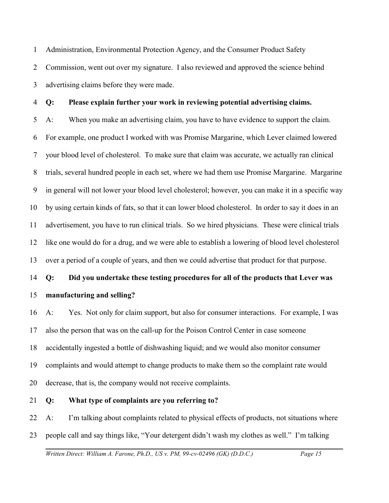1 2 3 Administration, Environmental Protection Agency, and the Consumer Product Safety Commission, went out over my signature. I also reviewed and approved the science behind advertising claims before they were made.

5 6 7 8 9 10 11 12 13 **Q: Please explain further your work in reviewing potential advertising claims.**  A: When you make an advertising claim, you have to have evidence to support the claim. For example, one product I worked with was Promise Margarine, which Lever claimed lowered your blood level of cholesterol. To make sure that claim was accurate, we actually ran clinical trials, several hundred people in each set, where we had them use Promise Margarine. Margarine in general will not lower your blood level cholesterol; however, you can make it in a specific way by using certain kinds of fats, so that it can lower blood cholesterol. In order to say it does in an advertisement, you have to run clinical trials. So we hired physicians. These were clinical trials like one would do for a drug, and we were able to establish a lowering of blood level cholesterol over a period of a couple of years, and then we could advertise that product for that purpose.

14 15 **Q: Did you undertake these testing procedures for all of the products that Lever was manufacturing and selling?**

16 17 18 19 20 A: Yes. Not only for claim support, but also for consumer interactions. For example, I was also the person that was on the call-up for the Poison Control Center in case someone accidentally ingested a bottle of dishwashing liquid; and we would also monitor consumer complaints and would attempt to change products to make them so the complaint rate would decrease, that is, the company would not receive complaints.

#### 21 **Q: What type of complaints are you referring to?**

4

22 23 A: I'm talking about complaints related to physical effects of products, not situations where people call and say things like, "Your detergent didn't wash my clothes as well." I'm talking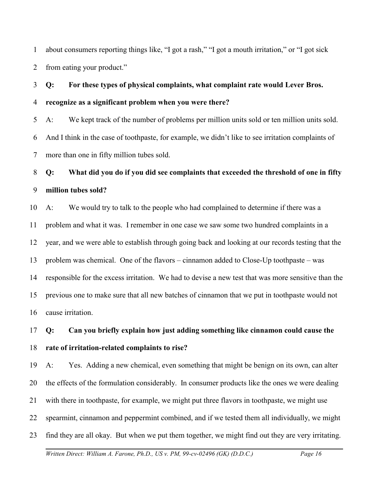1 2 about consumers reporting things like, "I got a rash," "I got a mouth irritation," or "I got sick from eating your product."

# 3 4 **Q: For these types of physical complaints, what complaint rate would Lever Bros. recognize as a significant problem when you were there?**

5 6 7 A: We kept track of the number of problems per million units sold or ten million units sold. And I think in the case of toothpaste, for example, we didn't like to see irritation complaints of more than one in fifty million tubes sold.

# 8 9 **Q: What did you do if you did see complaints that exceeded the threshold of one in fifty million tubes sold?**

10 11 12 13 14 15 16 A: We would try to talk to the people who had complained to determine if there was a problem and what it was. I remember in one case we saw some two hundred complaints in a year, and we were able to establish through going back and looking at our records testing that the problem was chemical. One of the flavors – cinnamon added to Close-Up toothpaste – was responsible for the excess irritation. We had to devise a new test that was more sensitive than the previous one to make sure that all new batches of cinnamon that we put in toothpaste would not cause irritation.

# 17 18 **Q: Can you briefly explain how just adding something like cinnamon could cause the rate of irritation-related complaints to rise?**

19 20 21 22 23 A: Yes. Adding a new chemical, even something that might be benign on its own, can alter the effects of the formulation considerably. In consumer products like the ones we were dealing with there in toothpaste, for example, we might put three flavors in toothpaste, we might use spearmint, cinnamon and peppermint combined, and if we tested them all individually, we might find they are all okay. But when we put them together, we might find out they are very irritating.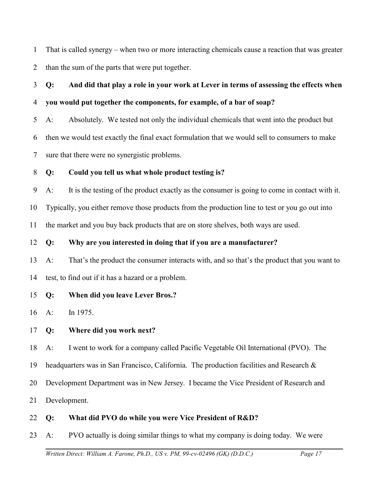1 2 That is called synergy – when two or more interacting chemicals cause a reaction that was greater than the sum of the parts that were put together.

3 4 **Q: And did that play a role in your work at Lever in terms of assessing the effects when you would put together the components, for example, of a bar of soap?**

5 A: Absolutely. We tested not only the individual chemicals that went into the product but

6 then we would test exactly the final exact formulation that we would sell to consumers to make

7 sure that there were no synergistic problems.

#### 8 **Q: Could you tell us what whole product testing is?**

9 A: It is the testing of the product exactly as the consumer is going to come in contact with it.

10 Typically, you either remove those products from the production line to test or you go out into

11 the market and you buy back products that are on store shelves, both ways are used.

## 12 **Q: Why are you interested in doing that if you are a manufacturer?**

13 14 A: That's the product the consumer interacts with, and so that's the product that you want to test, to find out if it has a hazard or a problem.

## 15 **Q: When did you leave Lever Bros.?**

16 A: In 1975.

## 17 **Q: Where did you work next?**

18 A: I went to work for a company called Pacific Vegetable Oil International (PVO). The

19 headquarters was in San Francisco, California. The production facilities and Research &

20 Development Department was in New Jersey. I became the Vice President of Research and

21 Development.

## 22 **Q: What did PVO do while you were Vice President of R&D?**

23 A: PVO actually is doing similar things to what my company is doing today. We were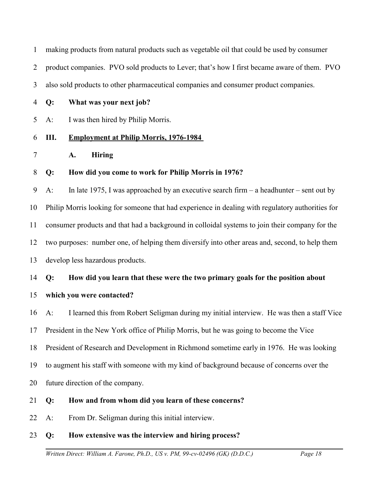1 making products from natural products such as vegetable oil that could be used by consumer

2 product companies. PVO sold products to Lever; that's how I first became aware of them. PVO

3 also sold products to other pharmaceutical companies and consumer product companies.

4 **Q: What was your next job?**

5 A: I was then hired by Philip Morris.

#### 6 **III. Employment at Philip Morris, 1976-1984**

7 **A. Hiring**

#### 8 **Q: How did you come to work for Philip Morris in 1976?**

9 10 11 12 13 A: In late 1975, I was approached by an executive search firm – a headhunter – sent out by Philip Morris looking for someone that had experience in dealing with regulatory authorities for consumer products and that had a background in colloidal systems to join their company for the two purposes: number one, of helping them diversify into other areas and, second, to help them develop less hazardous products.

## 14 **Q: How did you learn that these were the two primary goals for the position about**

#### 15 **which you were contacted?**

16 A: I learned this from Robert Seligman during my initial interview. He was then a staff Vice

17 President in the New York office of Philip Morris, but he was going to become the Vice

18 President of Research and Development in Richmond sometime early in 1976. He was looking

19 to augment his staff with someone with my kind of background because of concerns over the

20 future direction of the company.

## 21 **Q: How and from whom did you learn of these concerns?**

22 A: From Dr. Seligman during this initial interview.

## 23 **Q: How extensive was the interview and hiring process?**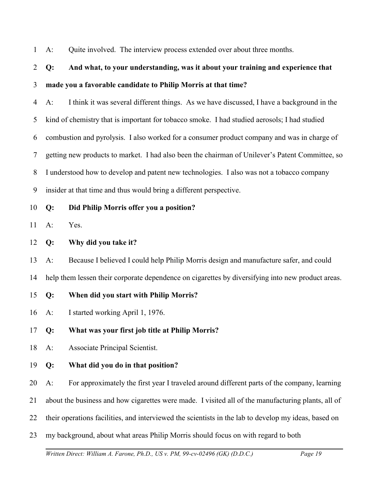1 A: Quite involved. The interview process extended over about three months.

# 2 3 **Q: And what, to your understanding, was it about your training and experience that made you a favorable candidate to Philip Morris at that time?**

4 5 6 7 8 9 A: I think it was several different things. As we have discussed, I have a background in the kind of chemistry that is important for tobacco smoke. I had studied aerosols; I had studied combustion and pyrolysis. I also worked for a consumer product company and was in charge of getting new products to market. I had also been the chairman of Unilever's Patent Committee, so I understood how to develop and patent new technologies. I also was not a tobacco company insider at that time and thus would bring a different perspective.

## 10 **Q: Did Philip Morris offer you a position?**

11 A: Yes.

12 **Q: Why did you take it?**

13 A: Because I believed I could help Philip Morris design and manufacture safer, and could

14 help them lessen their corporate dependence on cigarettes by diversifying into new product areas.

- 15 **Q: When did you start with Philip Morris?**
- 16 A: I started working April 1, 1976.
- 17 **Q: What was your first job title at Philip Morris?**
- 18 A: Associate Principal Scientist.

## 19 **Q: What did you do in that position?**

20 A: For approximately the first year I traveled around different parts of the company, learning

- 21 about the business and how cigarettes were made. I visited all of the manufacturing plants, all of
- 22 their operations facilities, and interviewed the scientists in the lab to develop my ideas, based on
- 23 my background, about what areas Philip Morris should focus on with regard to both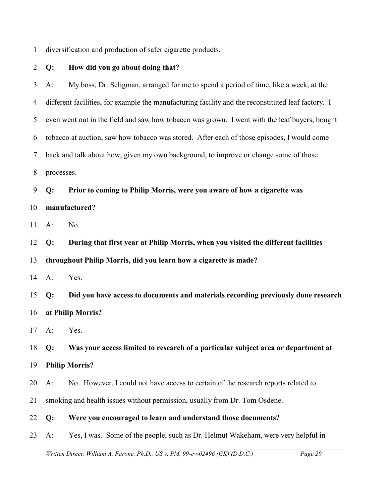1 diversification and production of safer cigarette products.

| $\overline{2}$ | $Q$ :        | How did you go about doing that?                                                                   |
|----------------|--------------|----------------------------------------------------------------------------------------------------|
| 3              | $A$ :        | My boss, Dr. Seligman, arranged for me to spend a period of time, like a week, at the              |
| 4              |              | different facilities, for example the manufacturing facility and the reconstituted leaf factory. I |
| 5              |              | even went out in the field and saw how tobacco was grown. I went with the leaf buyers, bought      |
| 6              |              | tobacco at auction, saw how tobacco was stored. After each of those episodes, I would come         |
| 7              |              | back and talk about how, given my own background, to improve or change some of those               |
| 8              | processes.   |                                                                                                    |
| 9              | Q:           | Prior to coming to Philip Morris, were you aware of how a cigarette was                            |
| 10             |              | manufactured?                                                                                      |
| 11             | $A$ :        | No.                                                                                                |
| 12             | Q:           | During that first year at Philip Morris, when you visited the different facilities                 |
| 13             |              | throughout Philip Morris, did you learn how a cigarette is made?                                   |
| 14             | $A$ :        | Yes.                                                                                               |
| 15             | Q:           | Did you have access to documents and materials recording previously done research                  |
| 16             |              | at Philip Morris?                                                                                  |
| 17             | $A$ :        | Yes.                                                                                               |
|                | 18 <b>Q:</b> | Was your access limited to research of a particular subject area or department at                  |
| 19             |              | <b>Philip Morris?</b>                                                                              |
| 20             | $A$ :        | No. However, I could not have access to certain of the research reports related to                 |
| 21             |              | smoking and health issues without permission, usually from Dr. Tom Osdene.                         |
| 22             | Q:           | Were you encouraged to learn and understand those documents?                                       |
| 23             | $A$ :        | Yes, I was. Some of the people, such as Dr. Helmut Wakeham, were very helpful in                   |
|                |              |                                                                                                    |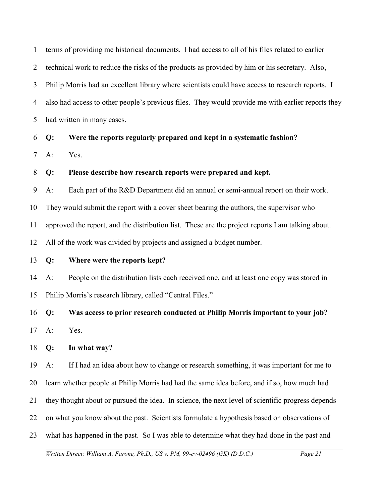1 2 3 4 5 terms of providing me historical documents. I had access to all of his files related to earlier technical work to reduce the risks of the products as provided by him or his secretary. Also, Philip Morris had an excellent library where scientists could have access to research reports. I also had access to other people's previous files. They would provide me with earlier reports they had written in many cases.

6 **Q: Were the reports regularly prepared and kept in a systematic fashion?**

7 A: Yes.

#### 8 **Q: Please describe how research reports were prepared and kept.**

9 A: Each part of the R&D Department did an annual or semi-annual report on their work.

10 They would submit the report with a cover sheet bearing the authors, the supervisor who

11 approved the report, and the distribution list. These are the project reports I am talking about.

12 All of the work was divided by projects and assigned a budget number.

#### 13 **Q: Where were the reports kept?**

14 15 A: People on the distribution lists each received one, and at least one copy was stored in Philip Morris's research library, called "Central Files."

16 17 **Q: Was access to prior research conducted at Philip Morris important to your job?** A: Yes.

18 **Q: In what way?**

19 A: If I had an idea about how to change or research something, it was important for me to

20 learn whether people at Philip Morris had had the same idea before, and if so, how much had

21 they thought about or pursued the idea. In science, the next level of scientific progress depends

22 on what you know about the past. Scientists formulate a hypothesis based on observations of

23 what has happened in the past. So I was able to determine what they had done in the past and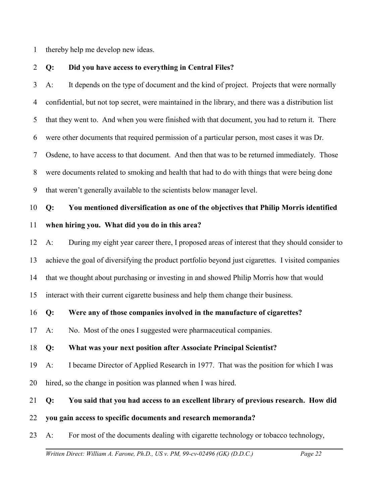1 thereby help me develop new ideas.

2 **Q: Did you have access to everything in Central Files?**

3 4 5 6 7 8 9 A: It depends on the type of document and the kind of project. Projects that were normally confidential, but not top secret, were maintained in the library, and there was a distribution list that they went to. And when you were finished with that document, you had to return it. There were other documents that required permission of a particular person, most cases it was Dr. Osdene, to have access to that document. And then that was to be returned immediately. Those were documents related to smoking and health that had to do with things that were being done that weren't generally available to the scientists below manager level.

# 10 11 **Q: You mentioned diversification as one of the objectives that Philip Morris identified when hiring you. What did you do in this area?**

12 13 14 15 A: During my eight year career there, I proposed areas of interest that they should consider to achieve the goal of diversifying the product portfolio beyond just cigarettes. I visited companies that we thought about purchasing or investing in and showed Philip Morris how that would interact with their current cigarette business and help them change their business.

16 **Q: Were any of those companies involved in the manufacture of cigarettes?**

17 A: No. Most of the ones I suggested were pharmaceutical companies.

## 18 **Q: What was your next position after Associate Principal Scientist?**

- 19 A: I became Director of Applied Research in 1977. That was the position for which I was
- 20 hired, so the change in position was planned when I was hired.

#### 21 **Q: You said that you had access to an excellent library of previous research. How did**

## 22 **you gain access to specific documents and research memoranda?**

23 A: For most of the documents dealing with cigarette technology or tobacco technology,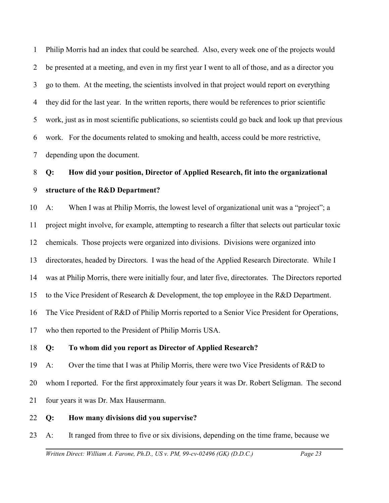1 2 3 4 5 6 7 Philip Morris had an index that could be searched. Also, every week one of the projects would be presented at a meeting, and even in my first year I went to all of those, and as a director you go to them. At the meeting, the scientists involved in that project would report on everything they did for the last year. In the written reports, there would be references to prior scientific work, just as in most scientific publications, so scientists could go back and look up that previous work. For the documents related to smoking and health, access could be more restrictive, depending upon the document.

# 8 9 **Q: How did your position, Director of Applied Research, fit into the organizational structure of the R&D Department?**

10 11 12 13 14 15 16 17 A: When I was at Philip Morris, the lowest level of organizational unit was a "project"; a project might involve, for example, attempting to research a filter that selects out particular toxic chemicals. Those projects were organized into divisions. Divisions were organized into directorates, headed by Directors. I was the head of the Applied Research Directorate. While I was at Philip Morris, there were initially four, and later five, directorates. The Directors reported to the Vice President of Research & Development, the top employee in the R&D Department. The Vice President of R&D of Philip Morris reported to a Senior Vice President for Operations, who then reported to the President of Philip Morris USA.

#### 18 **Q: To whom did you report as Director of Applied Research?**

19 20 21 A: Over the time that I was at Philip Morris, there were two Vice Presidents of R&D to whom I reported. For the first approximately four years it was Dr. Robert Seligman. The second four years it was Dr. Max Hausermann.

22 **Q: How many divisions did you supervise?** 

23 A: It ranged from three to five or six divisions, depending on the time frame, because we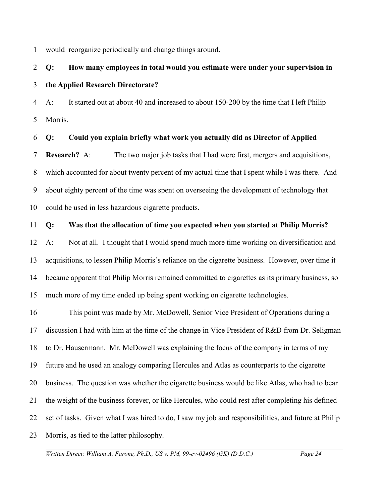1 would reorganize periodically and change things around.

# 2 3 **Q: How many employees in total would you estimate were under your supervision in the Applied Research Directorate?**

4 5 A: It started out at about 40 and increased to about 150-200 by the time that I left Philip Morris.

#### 6 **Q: Could you explain briefly what work you actually did as Director of Applied**

7 8 9 10 **Research?** A: The two major job tasks that I had were first, mergers and acquisitions, which accounted for about twenty percent of my actual time that I spent while I was there. And about eighty percent of the time was spent on overseeing the development of technology that could be used in less hazardous cigarette products.

#### 11 **Q: Was that the allocation of time you expected when you started at Philip Morris?**

12 13 14 15 A: Not at all. I thought that I would spend much more time working on diversification and acquisitions, to lessen Philip Morris's reliance on the cigarette business. However, over time it became apparent that Philip Morris remained committed to cigarettes as its primary business, so much more of my time ended up being spent working on cigarette technologies.

16 17 18 19 20 21 22 23 This point was made by Mr. McDowell, Senior Vice President of Operations during a discussion I had with him at the time of the change in Vice President of R&D from Dr. Seligman to Dr. Hausermann. Mr. McDowell was explaining the focus of the company in terms of my future and he used an analogy comparing Hercules and Atlas as counterparts to the cigarette business. The question was whether the cigarette business would be like Atlas, who had to bear the weight of the business forever, or like Hercules, who could rest after completing his defined set of tasks. Given what I was hired to do, I saw my job and responsibilities, and future at Philip Morris, as tied to the latter philosophy.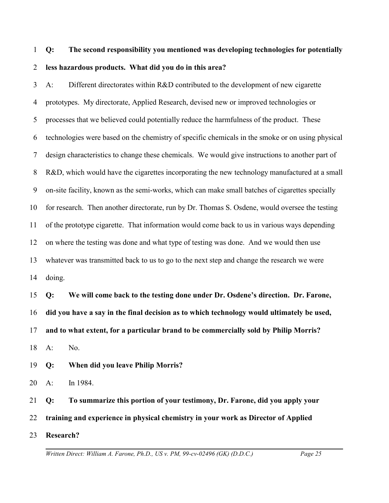# 1 2 **Q: The second responsibility you mentioned was developing technologies for potentially less hazardous products. What did you do in this area?**

3 4 5 6 7 8 9 10 11 12 13 14 A: Different directorates within R&D contributed to the development of new cigarette prototypes. My directorate, Applied Research, devised new or improved technologies or processes that we believed could potentially reduce the harmfulness of the product. These technologies were based on the chemistry of specific chemicals in the smoke or on using physical design characteristics to change these chemicals. We would give instructions to another part of R&D, which would have the cigarettes incorporating the new technology manufactured at a small on-site facility, known as the semi-works, which can make small batches of cigarettes specially for research. Then another directorate, run by Dr. Thomas S. Osdene, would oversee the testing of the prototype cigarette. That information would come back to us in various ways depending on where the testing was done and what type of testing was done. And we would then use whatever was transmitted back to us to go to the next step and change the research we were doing.

15 16 17 18 **Q: We will come back to the testing done under Dr. Osdene's direction. Dr. Farone, did you have a say in the final decision as to which technology would ultimately be used, and to what extent, for a particular brand to be commercially sold by Philip Morris?**  $A:$  No.

19 **Q: When did you leave Philip Morris?**

20 A: In 1984.

21 22 23 **Q: To summarize this portion of your testimony, Dr. Farone, did you apply your training and experience in physical chemistry in your work as Director of Applied Research?**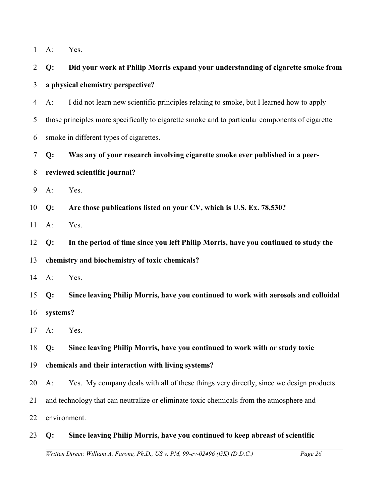| Yes. |
|------|
|      |

| $\overline{2}$ | Q:       | Did your work at Philip Morris expand your understanding of cigarette smoke from                |
|----------------|----------|-------------------------------------------------------------------------------------------------|
| 3              |          | a physical chemistry perspective?                                                               |
| 4              | $A$ :    | I did not learn new scientific principles relating to smoke, but I learned how to apply         |
| 5              |          | those principles more specifically to cigarette smoke and to particular components of cigarette |
| 6              |          | smoke in different types of cigarettes.                                                         |
| 7              | Q:       | Was any of your research involving cigarette smoke ever published in a peer-                    |
| 8              |          | reviewed scientific journal?                                                                    |
| 9              | $A$ :    | Yes.                                                                                            |
| 10             | Q:       | Are those publications listed on your CV, which is U.S. Ex. 78,530?                             |
| 11             | $A$ :    | Yes.                                                                                            |
| 12             | Q:       | In the period of time since you left Philip Morris, have you continued to study the             |
| 13             |          | chemistry and biochemistry of toxic chemicals?                                                  |
| 14             | $A$ :    | Yes.                                                                                            |
| 15             | Q:       | Since leaving Philip Morris, have you continued to work with aerosols and colloidal             |
| 16             | systems? |                                                                                                 |
| 17             | $A$ :    | Yes.                                                                                            |
| 18 <b>Q:</b>   |          | Since leaving Philip Morris, have you continued to work with or study toxic                     |
| 19             |          | chemicals and their interaction with living systems?                                            |
| 20             | $A$ :    | Yes. My company deals with all of these things very directly, since we design products          |
| 21             |          | and technology that can neutralize or eliminate toxic chemicals from the atmosphere and         |
|                |          |                                                                                                 |

22 environment.

## 23 **Q: Since leaving Philip Morris, have you continued to keep abreast of scientific**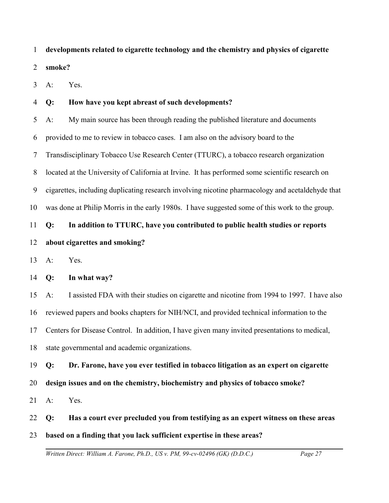1 **developments related to cigarette technology and the chemistry and physics of cigarette**

2 **smoke?**

3 A: Yes.

#### 4 **Q: How have you kept abreast of such developments?**

5 6 7 8 9 10 11 A: My main source has been through reading the published literature and documents provided to me to review in tobacco cases. I am also on the advisory board to the Transdisciplinary Tobacco Use Research Center (TTURC), a tobacco research organization located at the University of California at Irvine. It has performed some scientific research on cigarettes, including duplicating research involving nicotine pharmacology and acetaldehyde that was done at Philip Morris in the early 1980s. I have suggested some of this work to the group. **Q: In addition to TTURC, have you contributed to public health studies or reports**

# 12 **about cigarettes and smoking?**

13 A: Yes.

14 **Q: In what way?**

15 16 17 18 A: I assisted FDA with their studies on cigarette and nicotine from 1994 to 1997. I have also reviewed papers and books chapters for NIH/NCI, and provided technical information to the Centers for Disease Control. In addition, I have given many invited presentations to medical, state governmental and academic organizations.

19 **Q: Dr. Farone, have you ever testified in tobacco litigation as an expert on cigarette**

20 **design issues and on the chemistry, biochemistry and physics of tobacco smoke?** 

21 A: Yes.

22 **Q: Has a court ever precluded you from testifying as an expert witness on these areas**

23 **based on a finding that you lack sufficient expertise in these areas?**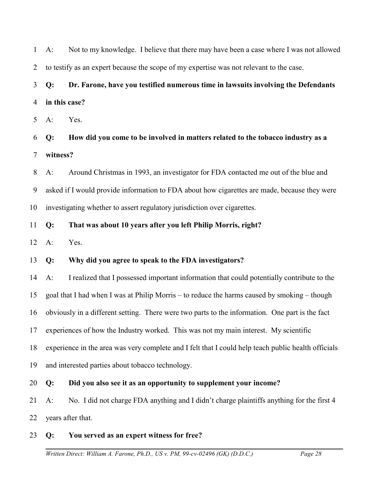2 3 4 5 6 7 8 9 10 11 12 13 14 15 16 17 18 19 20 21 22 23 *Written Direct: William A. Farone, Ph.D., US v. PM, 99-cv-02496 (GK) (D.D.C.) Page 28* to testify as an expert because the scope of my expertise was not relevant to the case. **Q: Dr. Farone, have you testified numerous time in lawsuits involving the Defendants in this case?** A: Yes. **Q: How did you come to be involved in matters related to the tobacco industry as a witness?** A: Around Christmas in 1993, an investigator for FDA contacted me out of the blue and asked if I would provide information to FDA about how cigarettes are made, because they were investigating whether to assert regulatory jurisdiction over cigarettes. **Q: That was about 10 years after you left Philip Morris, right?** A: Yes. **Q: Why did you agree to speak to the FDA investigators?** A: I realized that I possessed important information that could potentially contribute to the goal that I had when I was at Philip Morris – to reduce the harms caused by smoking – though obviously in a different setting. There were two parts to the information. One part is the fact experiences of how the Industry worked. This was not my main interest. My scientific experience in the area was very complete and I felt that I could help teach public health officials and interested parties about tobacco technology. **Q: Did you also see it as an opportunity to supplement your income?** A: No. I did not charge FDA anything and I didn't charge plaintiffs anything for the first 4 years after that. **Q: You served as an expert witness for free?**

A: Not to my knowledge. I believe that there may have been a case where I was not allowed

1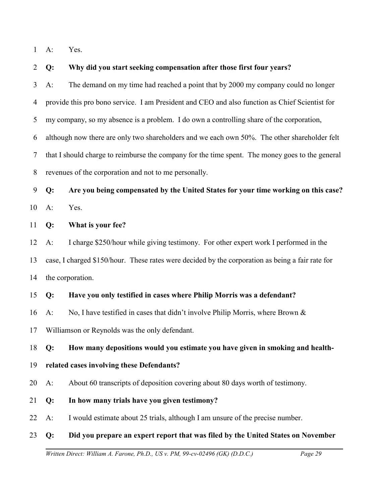1 A: Yes.

#### 2 **Q: Why did you start seeking compensation after those first four years?**

3 4 5 6 A: The demand on my time had reached a point that by 2000 my company could no longer provide this pro bono service. I am President and CEO and also function as Chief Scientist for my company, so my absence is a problem. I do own a controlling share of the corporation, although now there are only two shareholders and we each own 50%. The other shareholder felt

7 8 that I should charge to reimburse the company for the time spent. The money goes to the general revenues of the corporation and not to me personally.

9 10 **Q: Are you being compensated by the United States for your time working on this case?** A: Yes.

11 **Q: What is your fee?**

12 13 14 A: I charge \$250/hour while giving testimony. For other expert work I performed in the case, I charged \$150/hour. These rates were decided by the corporation as being a fair rate for the corporation.

#### 15 **Q: Have you only testified in cases where Philip Morris was a defendant?**

16 A: No, I have testified in cases that didn't involve Philip Morris, where Brown &

17 Williamson or Reynolds was the only defendant.

18 **Q: How many depositions would you estimate you have given in smoking and health-**

## 19 **related cases involving these Defendants?**

20 A: About 60 transcripts of deposition covering about 80 days worth of testimony.

- 21 **Q: In how many trials have you given testimony?**
- 22 A: I would estimate about 25 trials, although I am unsure of the precise number.

## 23 **Q: Did you prepare an expert report that was filed by the United States on November**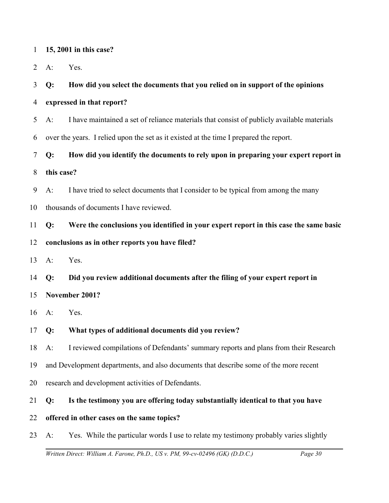|  |  |  |  |  | 15, 2001 in this case? |
|--|--|--|--|--|------------------------|
|--|--|--|--|--|------------------------|

2 A: Yes.

#### 3 **Q: How did you select the documents that you relied on in support of the opinions**

- 4 **expressed in that report?**
- 5 A: I have maintained a set of reliance materials that consist of publicly available materials
- 6 over the years. I relied upon the set as it existed at the time I prepared the report.

7 **Q: How did you identify the documents to rely upon in preparing your expert report in**

8 **this case?**

9 A: I have tried to select documents that I consider to be typical from among the many

10 thousands of documents I have reviewed.

11 **Q: Were the conclusions you identified in your expert report in this case the same basic**

#### 12 **conclusions as in other reports you have filed?**

13 A: Yes.

14 **Q: Did you review additional documents after the filing of your expert report in**

15 **November 2001?**

16 A: Yes.

17 **Q: What types of additional documents did you review?**

18 A: I reviewed compilations of Defendants' summary reports and plans from their Research

- 19 and Development departments, and also documents that describe some of the more recent
- 20 research and development activities of Defendants.

## 21 **Q: Is the testimony you are offering today substantially identical to that you have**

- 22 **offered in other cases on the same topics?**
- 23 A: Yes. While the particular words I use to relate my testimony probably varies slightly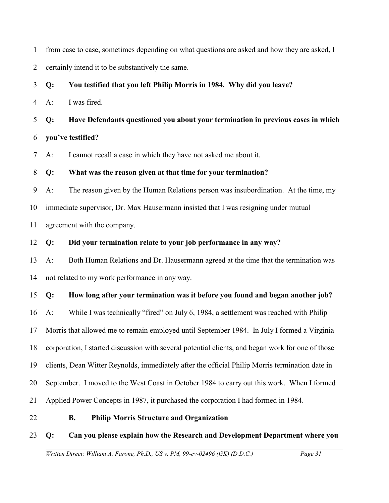| $\mathbf{1}$   |                                                                                     | from case to case, sometimes depending on what questions are asked and how they are asked, I      |  |
|----------------|-------------------------------------------------------------------------------------|---------------------------------------------------------------------------------------------------|--|
| $\overline{2}$ | certainly intend it to be substantively the same.                                   |                                                                                                   |  |
| 3              | Q:                                                                                  | You testified that you left Philip Morris in 1984. Why did you leave?                             |  |
| $\overline{4}$ | $A$ :                                                                               | I was fired.                                                                                      |  |
| 5              | Q:                                                                                  | Have Defendants questioned you about your termination in previous cases in which                  |  |
| 6              |                                                                                     | you've testified?                                                                                 |  |
| $\tau$         | $A$ :                                                                               | I cannot recall a case in which they have not asked me about it.                                  |  |
| $8\,$          | Q:                                                                                  | What was the reason given at that time for your termination?                                      |  |
| 9              | $A$ :                                                                               | The reason given by the Human Relations person was insubordination. At the time, my               |  |
| 10             | immediate supervisor, Dr. Max Hausermann insisted that I was resigning under mutual |                                                                                                   |  |
| 11             | agreement with the company.                                                         |                                                                                                   |  |
| 12             | Q:                                                                                  | Did your termination relate to your job performance in any way?                                   |  |
| 13             | $A$ :                                                                               | Both Human Relations and Dr. Hausermann agreed at the time that the termination was               |  |
| 14             |                                                                                     | not related to my work performance in any way.                                                    |  |
| 15             | Q:                                                                                  | How long after your termination was it before you found and began another job?                    |  |
| 16             | $A$ :                                                                               | While I was technically "fired" on July 6, 1984, a settlement was reached with Philip             |  |
| 17             |                                                                                     | Morris that allowed me to remain employed until September 1984. In July I formed a Virginia       |  |
| 18             |                                                                                     | corporation, I started discussion with several potential clients, and began work for one of those |  |
| 19             |                                                                                     | clients, Dean Witter Reynolds, immediately after the official Philip Morris termination date in   |  |
| 20             |                                                                                     | September. I moved to the West Coast in October 1984 to carry out this work. When I formed        |  |
| 21             |                                                                                     | Applied Power Concepts in 1987, it purchased the corporation I had formed in 1984.                |  |
| 22             |                                                                                     | <b>B.</b><br><b>Philip Morris Structure and Organization</b>                                      |  |
| 23             | Q:                                                                                  | Can you please explain how the Research and Development Department where you                      |  |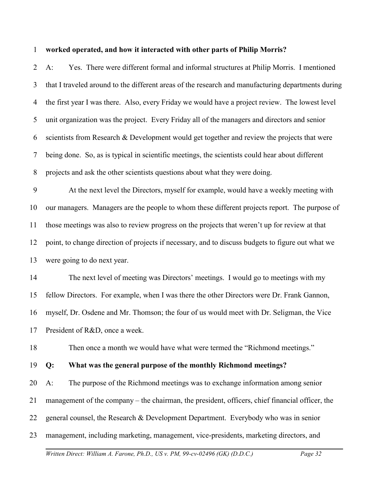#### 1 **worked operated, and how it interacted with other parts of Philip Morris?**

2 3 4 5 6 7 8 A: Yes. There were different formal and informal structures at Philip Morris. I mentioned that I traveled around to the different areas of the research and manufacturing departments during the first year I was there. Also, every Friday we would have a project review. The lowest level unit organization was the project. Every Friday all of the managers and directors and senior scientists from Research & Development would get together and review the projects that were being done. So, as is typical in scientific meetings, the scientists could hear about different projects and ask the other scientists questions about what they were doing.

9 10 11 12 13 At the next level the Directors, myself for example, would have a weekly meeting with our managers. Managers are the people to whom these different projects report. The purpose of those meetings was also to review progress on the projects that weren't up for review at that point, to change direction of projects if necessary, and to discuss budgets to figure out what we were going to do next year.

14 15 16 17 The next level of meeting was Directors' meetings. I would go to meetings with my fellow Directors. For example, when I was there the other Directors were Dr. Frank Gannon, myself, Dr. Osdene and Mr. Thomson; the four of us would meet with Dr. Seligman, the Vice President of R&D, once a week.

18 Then once a month we would have what were termed the "Richmond meetings."

#### 19 **Q: What was the general purpose of the monthly Richmond meetings?**

20 21 22 23 A: The purpose of the Richmond meetings was to exchange information among senior management of the company – the chairman, the president, officers, chief financial officer, the general counsel, the Research & Development Department. Everybody who was in senior management, including marketing, management, vice-presidents, marketing directors, and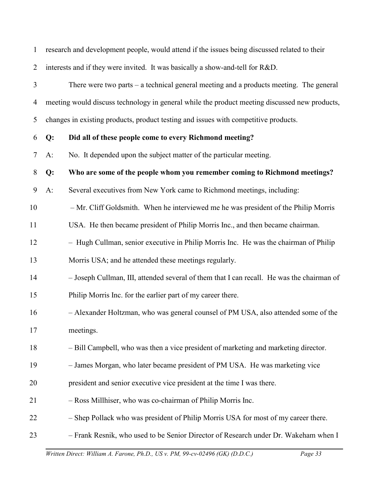| $\mathbf{1}$   |       | research and development people, would attend if the issues being discussed related to their  |
|----------------|-------|-----------------------------------------------------------------------------------------------|
| $\overline{2}$ |       | interests and if they were invited. It was basically a show-and-tell for R&D.                 |
| 3              |       | There were two parts $-$ a technical general meeting and a products meeting. The general      |
| $\overline{4}$ |       | meeting would discuss technology in general while the product meeting discussed new products, |
| 5              |       | changes in existing products, product testing and issues with competitive products.           |
| 6              | Q:    | Did all of these people come to every Richmond meeting?                                       |
| 7              | $A$ : | No. It depended upon the subject matter of the particular meeting.                            |
| 8              | Q:    | Who are some of the people whom you remember coming to Richmond meetings?                     |
| 9              | $A$ : | Several executives from New York came to Richmond meetings, including:                        |
| 10             |       | - Mr. Cliff Goldsmith. When he interviewed me he was president of the Philip Morris           |
| 11             |       | USA. He then became president of Philip Morris Inc., and then became chairman.                |
| 12             |       | - Hugh Cullman, senior executive in Philip Morris Inc. He was the chairman of Philip          |
| 13             |       | Morris USA; and he attended these meetings regularly.                                         |
| 14             |       | - Joseph Cullman, III, attended several of them that I can recall. He was the chairman of     |
| 15             |       | Philip Morris Inc. for the earlier part of my career there.                                   |
| 16             |       | - Alexander Holtzman, who was general counsel of PM USA, also attended some of the            |
| 17             |       | meetings.                                                                                     |
| 18             |       | - Bill Campbell, who was then a vice president of marketing and marketing director.           |
| 19             |       | - James Morgan, who later became president of PM USA. He was marketing vice                   |
| 20             |       | president and senior executive vice president at the time I was there.                        |
| 21             |       | - Ross Millhiser, who was co-chairman of Philip Morris Inc.                                   |
| 22             |       | - Shep Pollack who was president of Philip Morris USA for most of my career there.            |
| 23             |       | - Frank Resnik, who used to be Senior Director of Research under Dr. Wakeham when I           |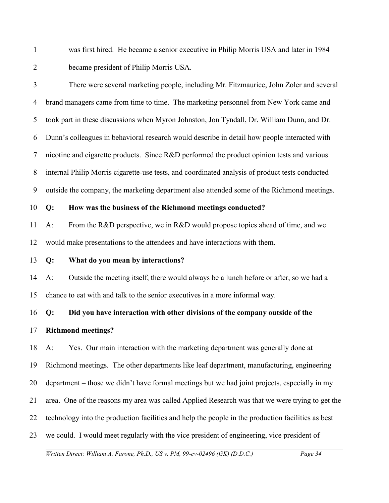1 2 was first hired. He became a senior executive in Philip Morris USA and later in 1984 became president of Philip Morris USA.

3 4 5 6 7 8 9 There were several marketing people, including Mr. Fitzmaurice, John Zoler and several brand managers came from time to time. The marketing personnel from New York came and took part in these discussions when Myron Johnston, Jon Tyndall, Dr. William Dunn, and Dr. Dunn's colleagues in behavioral research would describe in detail how people interacted with nicotine and cigarette products. Since R&D performed the product opinion tests and various internal Philip Morris cigarette-use tests, and coordinated analysis of product tests conducted outside the company, the marketing department also attended some of the Richmond meetings.

10 **Q: How was the business of the Richmond meetings conducted?** 

11 12 A: From the R&D perspective, we in R&D would propose topics ahead of time, and we would make presentations to the attendees and have interactions with them.

13 **Q: What do you mean by interactions?**

14 15 A: Outside the meeting itself, there would always be a lunch before or after, so we had a chance to eat with and talk to the senior executives in a more informal way.

16 **Q: Did you have interaction with other divisions of the company outside of the**

17 **Richmond meetings?**

18 19 20 21 22 23 A: Yes. Our main interaction with the marketing department was generally done at Richmond meetings. The other departments like leaf department, manufacturing, engineering department – those we didn't have formal meetings but we had joint projects, especially in my area. One of the reasons my area was called Applied Research was that we were trying to get the technology into the production facilities and help the people in the production facilities as best we could. I would meet regularly with the vice president of engineering, vice president of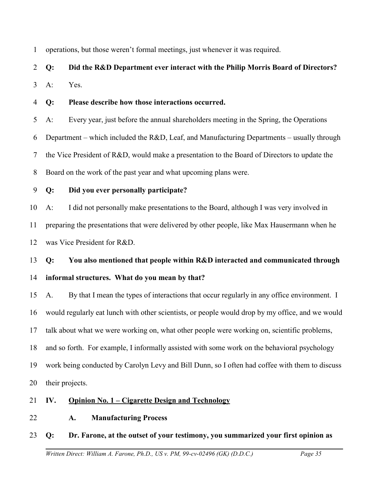1 operations, but those weren't formal meetings, just whenever it was required.

# 2 **Q: Did the R&D Department ever interact with the Philip Morris Board of Directors?**

3 A: Yes.

4 **Q: Please describe how those interactions occurred.** 

5 A: Every year, just before the annual shareholders meeting in the Spring, the Operations

6 7 8 Department – which included the R&D, Leaf, and Manufacturing Departments – usually through the Vice President of R&D, would make a presentation to the Board of Directors to update the Board on the work of the past year and what upcoming plans were.

9 **Q: Did you ever personally participate?**

10 11 12 A: I did not personally make presentations to the Board, although I was very involved in preparing the presentations that were delivered by other people, like Max Hausermann when he was Vice President for R&D.

13 14 **Q: You also mentioned that people within R&D interacted and communicated through informal structures. What do you mean by that?**

15 16 17 18 19 20 A. By that I mean the types of interactions that occur regularly in any office environment. I would regularly eat lunch with other scientists, or people would drop by my office, and we would talk about what we were working on, what other people were working on, scientific problems, and so forth. For example, I informally assisted with some work on the behavioral psychology work being conducted by Carolyn Levy and Bill Dunn, so I often had coffee with them to discuss their projects.

## 21 **IV. Opinion No. 1 – Cigarette Design and Technology**

22 **A. Manufacturing Process**

## 23 **Q: Dr. Farone, at the outset of your testimony, you summarized your first opinion as**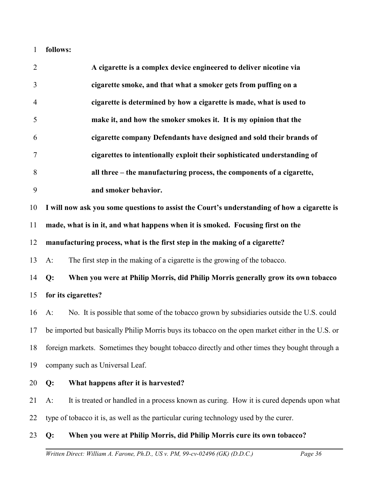1 **follows:**

| $\sqrt{2}$     | A cigarette is a complex device engineered to deliver nicotine via                                |
|----------------|---------------------------------------------------------------------------------------------------|
| 3              | cigarette smoke, and that what a smoker gets from puffing on a                                    |
| $\overline{4}$ | cigarette is determined by how a cigarette is made, what is used to                               |
| 5              | make it, and how the smoker smokes it. It is my opinion that the                                  |
| 6              | cigarette company Defendants have designed and sold their brands of                               |
| 7              | cigarettes to intentionally exploit their sophisticated understanding of                          |
| 8              | all three – the manufacturing process, the components of a cigarette,                             |
| 9              | and smoker behavior.                                                                              |
| 10             | I will now ask you some questions to assist the Court's understanding of how a cigarette is       |
| 11             | made, what is in it, and what happens when it is smoked. Focusing first on the                    |
| 12             | manufacturing process, what is the first step in the making of a cigarette?                       |
| 13             | The first step in the making of a cigarette is the growing of the tobacco.<br>$A$ :               |
| 14             | When you were at Philip Morris, did Philip Morris generally grow its own tobacco<br>Q:            |
| 15             | for its cigarettes?                                                                               |
| 16             | No. It is possible that some of the tobacco grown by subsidiaries outside the U.S. could<br>$A$ : |
| 17             | be imported but basically Philip Morris buys its tobacco on the open market either in the U.S. or |
|                | 18 foreign markets. Sometimes they bought tobacco directly and other times they bought through a  |
| 19             | company such as Universal Leaf.                                                                   |
| 20             | What happens after it is harvested?<br>Q:                                                         |
| 21             | It is treated or handled in a process known as curing. How it is cured depends upon what<br>$A$ : |
| 22             | type of tobacco it is, as well as the particular curing technology used by the curer.             |
| 23             | When you were at Philip Morris, did Philip Morris cure its own tobacco?<br>Q:                     |
|                |                                                                                                   |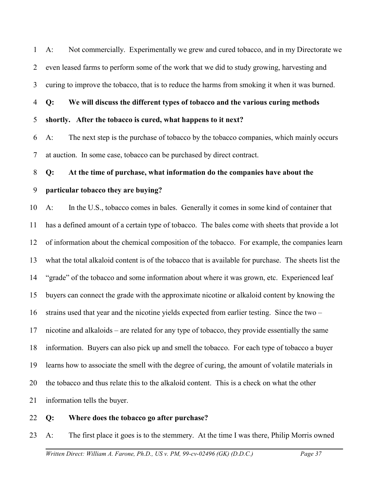1 2 3 A: Not commercially. Experimentally we grew and cured tobacco, and in my Directorate we even leased farms to perform some of the work that we did to study growing, harvesting and curing to improve the tobacco, that is to reduce the harms from smoking it when it was burned.

4 **Q: We will discuss the different types of tobacco and the various curing methods**

5 **shortly. After the tobacco is cured, what happens to it next?**

6 7 A: The next step is the purchase of tobacco by the tobacco companies, which mainly occurs at auction. In some case, tobacco can be purchased by direct contract.

### 8 **Q: At the time of purchase, what information do the companies have about the**

### 9 **particular tobacco they are buying?**

10 11 12 13 14 15 16 17 18 19 20 21 A: In the U.S., tobacco comes in bales. Generally it comes in some kind of container that has a defined amount of a certain type of tobacco. The bales come with sheets that provide a lot of information about the chemical composition of the tobacco. For example, the companies learn what the total alkaloid content is of the tobacco that is available for purchase. The sheets list the "grade" of the tobacco and some information about where it was grown, etc. Experienced leaf buyers can connect the grade with the approximate nicotine or alkaloid content by knowing the strains used that year and the nicotine yields expected from earlier testing. Since the two – nicotine and alkaloids – are related for any type of tobacco, they provide essentially the same information. Buyers can also pick up and smell the tobacco. For each type of tobacco a buyer learns how to associate the smell with the degree of curing, the amount of volatile materials in the tobacco and thus relate this to the alkaloid content. This is a check on what the other information tells the buyer.

22 **Q: Where does the tobacco go after purchase?** 

23 A: The first place it goes is to the stemmery. At the time I was there, Philip Morris owned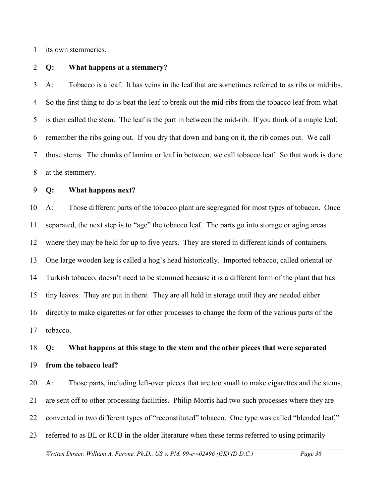1 its own stemmeries.

#### 2 **Q: What happens at a stemmery?**

3 4 5 6 7 8 A: Tobacco is a leaf. It has veins in the leaf that are sometimes referred to as ribs or midribs. So the first thing to do is beat the leaf to break out the mid-ribs from the tobacco leaf from what is then called the stem. The leaf is the part in between the mid-rib. If you think of a maple leaf, remember the ribs going out. If you dry that down and bang on it, the rib comes out. We call those stems. The chunks of lamina or leaf in between, we call tobacco leaf. So that work is done at the stemmery.

#### 9 **Q: What happens next?**

10 11 12 13 14 15 16 17 A: Those different parts of the tobacco plant are segregated for most types of tobacco. Once separated, the next step is to "age" the tobacco leaf. The parts go into storage or aging areas where they may be held for up to five years. They are stored in different kinds of containers. One large wooden keg is called a hog's head historically. Imported tobacco, called oriental or Turkish tobacco, doesn't need to be stemmed because it is a different form of the plant that has tiny leaves. They are put in there. They are all held in storage until they are needed either directly to make cigarettes or for other processes to change the form of the various parts of the tobacco.

## 18 19 **Q: What happens at this stage to the stem and the other pieces that were separated from the tobacco leaf?**

20 21 22 23 A: Those parts, including left-over pieces that are too small to make cigarettes and the stems, are sent off to other processing facilities. Philip Morris had two such processes where they are converted in two different types of "reconstituted" tobacco. One type was called "blended leaf," referred to as BL or RCB in the older literature when these terms referred to using primarily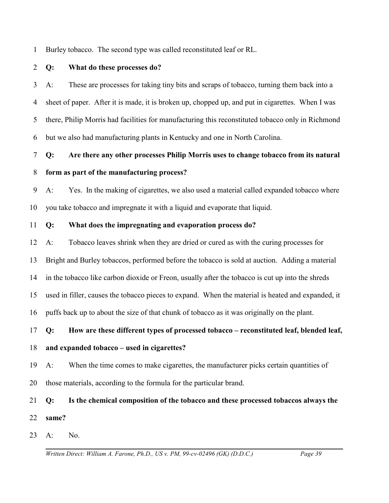1 Burley tobacco. The second type was called reconstituted leaf or RL.

### 2 **Q: What do these processes do?**

3 4 5 6 A: These are processes for taking tiny bits and scraps of tobacco, turning them back into a sheet of paper. After it is made, it is broken up, chopped up, and put in cigarettes. When I was there, Philip Morris had facilities for manufacturing this reconstituted tobacco only in Richmond but we also had manufacturing plants in Kentucky and one in North Carolina.

## 7 8 **Q: Are there any other processes Philip Morris uses to change tobacco from its natural form as part of the manufacturing process?**

9 10 A: Yes. In the making of cigarettes, we also used a material called expanded tobacco where you take tobacco and impregnate it with a liquid and evaporate that liquid.

### 11 **Q: What does the impregnating and evaporation process do?**

12 A: Tobacco leaves shrink when they are dried or cured as with the curing processes for

13 Bright and Burley tobaccos, performed before the tobacco is sold at auction. Adding a material

14 in the tobacco like carbon dioxide or Freon, usually after the tobacco is cut up into the shreds

15 used in filler, causes the tobacco pieces to expand. When the material is heated and expanded, it

16 puffs back up to about the size of that chunk of tobacco as it was originally on the plant.

### 17 **Q: How are these different types of processed tobacco – reconstituted leaf, blended leaf,**

### 18 **and expanded tobacco – used in cigarettes?**

- 19 A: When the time comes to make cigarettes, the manufacturer picks certain quantities of
- 20 those materials, according to the formula for the particular brand.

## 21 22 **Q: Is the chemical composition of the tobacco and these processed tobaccos always the same?**

23  $A:$  No.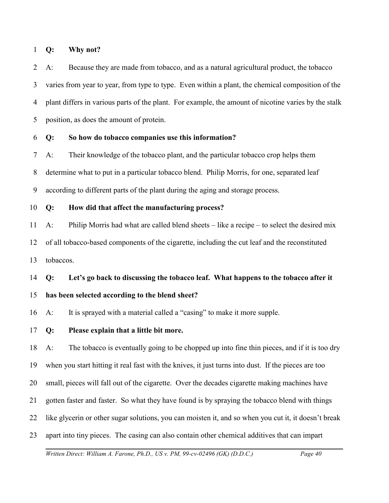#### 1 **Q: Why not?**

2 3 4 5 A: Because they are made from tobacco, and as a natural agricultural product, the tobacco varies from year to year, from type to type. Even within a plant, the chemical composition of the plant differs in various parts of the plant. For example, the amount of nicotine varies by the stalk position, as does the amount of protein.

#### 6 **Q: So how do tobacco companies use this information?**

7 8 9 A: Their knowledge of the tobacco plant, and the particular tobacco crop helps them determine what to put in a particular tobacco blend. Philip Morris, for one, separated leaf according to different parts of the plant during the aging and storage process.

#### 10 **Q: How did that affect the manufacturing process?**

11 12 13 A: Philip Morris had what are called blend sheets – like a recipe – to select the desired mix of all tobacco-based components of the cigarette, including the cut leaf and the reconstituted tobaccos.

#### 14 **Q: Let's go back to discussing the tobacco leaf. What happens to the tobacco after it**

#### 15 **has been selected according to the blend sheet?**

16 A: It is sprayed with a material called a "casing" to make it more supple.

17 **Q: Please explain that a little bit more.** 

18 19 20 21 22 23 A: The tobacco is eventually going to be chopped up into fine thin pieces, and if it is too dry when you start hitting it real fast with the knives, it just turns into dust. If the pieces are too small, pieces will fall out of the cigarette. Over the decades cigarette making machines have gotten faster and faster. So what they have found is by spraying the tobacco blend with things like glycerin or other sugar solutions, you can moisten it, and so when you cut it, it doesn't break apart into tiny pieces. The casing can also contain other chemical additives that can impart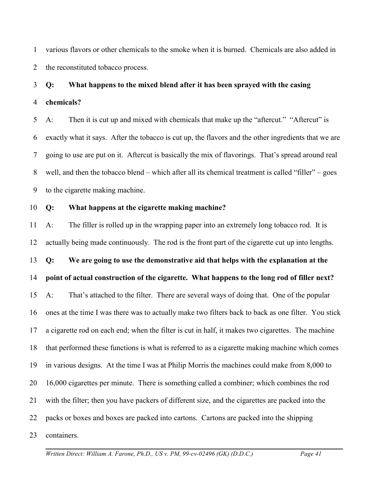1 2 various flavors or other chemicals to the smoke when it is burned. Chemicals are also added in the reconstituted tobacco process.

## 3 4 **Q: What happens to the mixed blend after it has been sprayed with the casing chemicals?**

5 6 7 8 9 A: Then it is cut up and mixed with chemicals that make up the "aftercut." "Aftercut" is exactly what it says. After the tobacco is cut up, the flavors and the other ingredients that we are going to use are put on it. Aftercut is basically the mix of flavorings. That's spread around real well, and then the tobacco blend – which after all its chemical treatment is called "filler" – goes to the cigarette making machine.

#### 10 **Q: What happens at the cigarette making machine?**

11 12 13 14 15 16 17 18 19 20 21 22 23 A: The filler is rolled up in the wrapping paper into an extremely long tobacco rod. It is actually being made continuously. The rod is the front part of the cigarette cut up into lengths. **Q: We are going to use the demonstrative aid that helps with the explanation at the point of actual construction of the cigarette. What happens to the long rod of filler next?** A: That's attached to the filter. There are several ways of doing that. One of the popular ones at the time I was there was to actually make two filters back to back as one filter. You stick a cigarette rod on each end; when the filter is cut in half, it makes two cigarettes. The machine that performed these functions is what is referred to as a cigarette making machine which comes in various designs. At the time I was at Philip Morris the machines could make from 8,000 to 16,000 cigarettes per minute. There is something called a combiner; which combines the rod with the filter; then you have packers of different size, and the cigarettes are packed into the packs or boxes and boxes are packed into cartons. Cartons are packed into the shipping containers.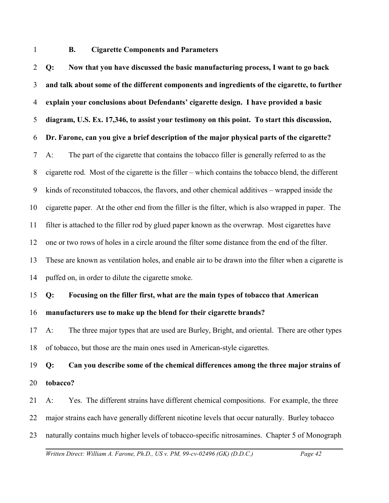1

# **B. Cigarette Components and Parameters**

2 3 4 5 6 7 8 9 10 11 12 13 14 15 16 17 **Q: Now that you have discussed the basic manufacturing process, I want to go back and talk about some of the different components and ingredients of the cigarette, to further explain your conclusions about Defendants' cigarette design. I have provided a basic diagram, U.S. Ex. 17,346, to assist your testimony on this point. To start this discussion, Dr. Farone, can you give a brief description of the major physical parts of the cigarette?** A: The part of the cigarette that contains the tobacco filler is generally referred to as the cigarette rod. Most of the cigarette is the filler – which contains the tobacco blend, the different kinds of reconstituted tobaccos, the flavors, and other chemical additives – wrapped inside the cigarette paper. At the other end from the filler is the filter, which is also wrapped in paper. The filter is attached to the filler rod by glued paper known as the overwrap. Most cigarettes have one or two rows of holes in a circle around the filter some distance from the end of the filter. These are known as ventilation holes, and enable air to be drawn into the filter when a cigarette is puffed on, in order to dilute the cigarette smoke. **Q: Focusing on the filler first, what are the main types of tobacco that American manufacturers use to make up the blend for their cigarette brands?**  A: The three major types that are used are Burley, Bright, and oriental. There are other types

18 of tobacco, but those are the main ones used in American-style cigarettes.

19 20 **Q: Can you describe some of the chemical differences among the three major strains of tobacco?**

21 A: Yes. The different strains have different chemical compositions. For example, the three

22 major strains each have generally different nicotine levels that occur naturally. Burley tobacco

23 naturally contains much higher levels of tobacco-specific nitrosamines. Chapter 5 of Monograph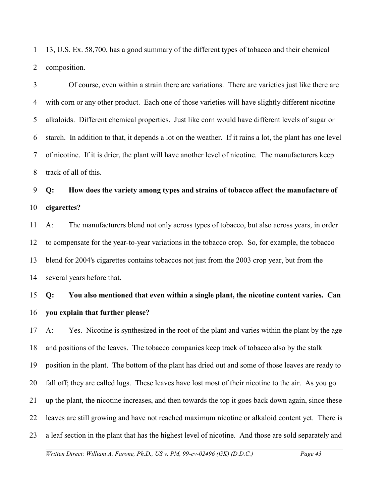1 2 13, U.S. Ex. 58,700, has a good summary of the different types of tobacco and their chemical composition.

3 4 5 6 7 8 Of course, even within a strain there are variations. There are varieties just like there are with corn or any other product. Each one of those varieties will have slightly different nicotine alkaloids. Different chemical properties. Just like corn would have different levels of sugar or starch. In addition to that, it depends a lot on the weather. If it rains a lot, the plant has one level of nicotine. If it is drier, the plant will have another level of nicotine. The manufacturers keep track of all of this.

9 10 **Q: How does the variety among types and strains of tobacco affect the manufacture of cigarettes?**

11 12 13 14 A: The manufacturers blend not only across types of tobacco, but also across years, in order to compensate for the year-to-year variations in the tobacco crop. So, for example, the tobacco blend for 2004's cigarettes contains tobaccos not just from the 2003 crop year, but from the several years before that.

15 16 **Q: You also mentioned that even within a single plant, the nicotine content varies. Can you explain that further please?** 

17 18 19 20 21 22 23 A: Yes. Nicotine is synthesized in the root of the plant and varies within the plant by the age and positions of the leaves. The tobacco companies keep track of tobacco also by the stalk position in the plant. The bottom of the plant has dried out and some of those leaves are ready to fall off; they are called lugs. These leaves have lost most of their nicotine to the air. As you go up the plant, the nicotine increases, and then towards the top it goes back down again, since these leaves are still growing and have not reached maximum nicotine or alkaloid content yet. There is a leaf section in the plant that has the highest level of nicotine. And those are sold separately and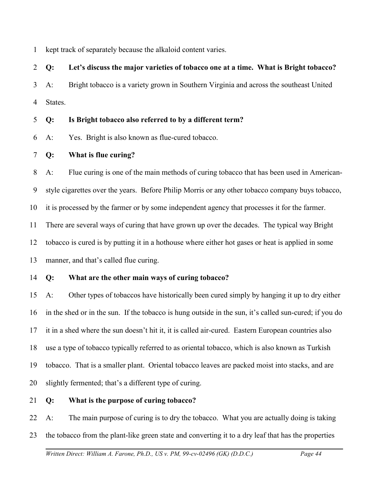1 kept track of separately because the alkaloid content varies.

# 2 3 4 **Q: Let's discuss the major varieties of tobacco one at a time. What is Bright tobacco?** A: Bright tobacco is a variety grown in Southern Virginia and across the southeast United States.

### 5 **Q: Is Bright tobacco also referred to by a different term?**

- 6 A: Yes. Bright is also known as flue-cured tobacco.
- 7 **Q: What is flue curing?**

8 9 10 11 12 13 A: Flue curing is one of the main methods of curing tobacco that has been used in Americanstyle cigarettes over the years. Before Philip Morris or any other tobacco company buys tobacco, it is processed by the farmer or by some independent agency that processes it for the farmer. There are several ways of curing that have grown up over the decades. The typical way Bright tobacco is cured is by putting it in a hothouse where either hot gases or heat is applied in some manner, and that's called flue curing.

14 **Q: What are the other main ways of curing tobacco?**

15 16 17 18 19 20 A: Other types of tobaccos have historically been cured simply by hanging it up to dry either in the shed or in the sun. If the tobacco is hung outside in the sun, it's called sun-cured; if you do it in a shed where the sun doesn't hit it, it is called air-cured. Eastern European countries also use a type of tobacco typically referred to as oriental tobacco, which is also known as Turkish tobacco. That is a smaller plant. Oriental tobacco leaves are packed moist into stacks, and are slightly fermented; that's a different type of curing.

21 **Q: What is the purpose of curing tobacco?**

22 23 A: The main purpose of curing is to dry the tobacco. What you are actually doing is taking the tobacco from the plant-like green state and converting it to a dry leaf that has the properties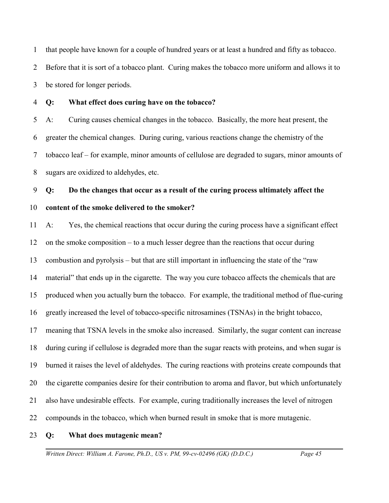1 2 3 that people have known for a couple of hundred years or at least a hundred and fifty as tobacco. Before that it is sort of a tobacco plant. Curing makes the tobacco more uniform and allows it to be stored for longer periods.

4

# **Q: What effect does curing have on the tobacco?**

5 6 7 8 A: Curing causes chemical changes in the tobacco. Basically, the more heat present, the greater the chemical changes. During curing, various reactions change the chemistry of the tobacco leaf – for example, minor amounts of cellulose are degraded to sugars, minor amounts of sugars are oxidized to aldehydes, etc.

9 10 **Q: Do the changes that occur as a result of the curing process ultimately affect the content of the smoke delivered to the smoker?**

11 12 13 14 15 16 17 18 19 20 21 22 A: Yes, the chemical reactions that occur during the curing process have a significant effect on the smoke composition – to a much lesser degree than the reactions that occur during combustion and pyrolysis – but that are still important in influencing the state of the "raw material" that ends up in the cigarette. The way you cure tobacco affects the chemicals that are produced when you actually burn the tobacco. For example, the traditional method of flue-curing greatly increased the level of tobacco-specific nitrosamines (TSNAs) in the bright tobacco, meaning that TSNA levels in the smoke also increased. Similarly, the sugar content can increase during curing if cellulose is degraded more than the sugar reacts with proteins, and when sugar is burned it raises the level of aldehydes. The curing reactions with proteins create compounds that the cigarette companies desire for their contribution to aroma and flavor, but which unfortunately also have undesirable effects. For example, curing traditionally increases the level of nitrogen compounds in the tobacco, which when burned result in smoke that is more mutagenic.

23 **Q: What does mutagenic mean?**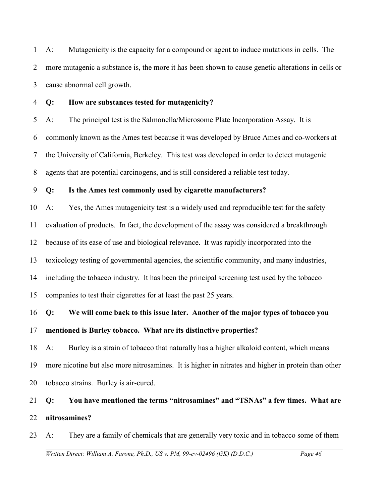1 2 3 A: Mutagenicity is the capacity for a compound or agent to induce mutations in cells. The more mutagenic a substance is, the more it has been shown to cause genetic alterations in cells or cause abnormal cell growth.

4

# **Q: How are substances tested for mutagenicity?**

5 6 7 8 A: The principal test is the Salmonella/Microsome Plate Incorporation Assay. It is commonly known as the Ames test because it was developed by Bruce Ames and co-workers at the University of California, Berkeley. This test was developed in order to detect mutagenic agents that are potential carcinogens, and is still considered a reliable test today.

#### 9 **Q: Is the Ames test commonly used by cigarette manufacturers?**

10 11 12 13 14 15 A: Yes, the Ames mutagenicity test is a widely used and reproducible test for the safety evaluation of products. In fact, the development of the assay was considered a breakthrough because of its ease of use and biological relevance. It was rapidly incorporated into the toxicology testing of governmental agencies, the scientific community, and many industries, including the tobacco industry. It has been the principal screening test used by the tobacco companies to test their cigarettes for at least the past 25 years.

## 16 17 **Q: We will come back to this issue later. Another of the major types of tobacco you mentioned is Burley tobacco. What are its distinctive properties?**

18 19 20 A: Burley is a strain of tobacco that naturally has a higher alkaloid content, which means more nicotine but also more nitrosamines. It is higher in nitrates and higher in protein than other tobacco strains. Burley is air-cured.

## 21 22 **Q: You have mentioned the terms "nitrosamines" and "TSNAs" a few times. What are nitrosamines?**

23 A: They are a family of chemicals that are generally very toxic and in tobacco some of them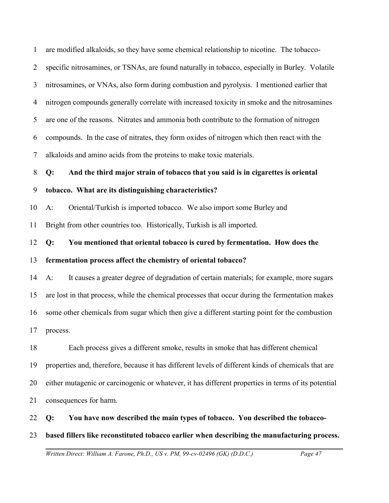1 2 3 4 5 6 7 are modified alkaloids, so they have some chemical relationship to nicotine. The tobaccospecific nitrosamines, or TSNAs, are found naturally in tobacco, especially in Burley. Volatile nitrosamines, or VNAs, also form during combustion and pyrolysis. I mentioned earlier that nitrogen compounds generally correlate with increased toxicity in smoke and the nitrosamines are one of the reasons. Nitrates and ammonia both contribute to the formation of nitrogen compounds. In the case of nitrates, they form oxides of nitrogen which then react with the alkaloids and amino acids from the proteins to make toxic materials.

8 **Q: And the third major strain of tobacco that you said is in cigarettes is oriental**

#### 9 **tobacco. What are its distinguishing characteristics?**

10 A: Oriental/Turkish is imported tobacco. We also import some Burley and

11 Bright from other countries too. Historically, Turkish is all imported.

12 13 **Q: You mentioned that oriental tobacco is cured by fermentation. How does the fermentation process affect the chemistry of oriental tobacco?**

14 15 16 17 A: It causes a greater degree of degradation of certain materials; for example, more sugars are lost in that process, while the chemical processes that occur during the fermentation makes some other chemicals from sugar which then give a different starting point for the combustion process.

18 19 20 21 Each process gives a different smoke, results in smoke that has different chemical properties and, therefore, because it has different levels of different kinds of chemicals that are either mutagenic or carcinogenic or whatever, it has different properties in terms of its potential consequences for harm.

22 **Q: You have now described the main types of tobacco. You described the tobacco-**

### 23 **based fillers like reconstituted tobacco earlier when describing the manufacturing process.**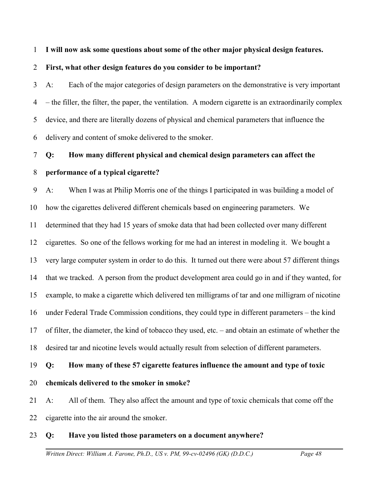1 **I will now ask some questions about some of the other major physical design features.** 

2 **First, what other design features do you consider to be important?** 

3 4 5 6 A: Each of the major categories of design parameters on the demonstrative is very important – the filler, the filter, the paper, the ventilation. A modern cigarette is an extraordinarily complex device, and there are literally dozens of physical and chemical parameters that influence the delivery and content of smoke delivered to the smoker.

## 7 8 **Q: How many different physical and chemical design parameters can affect the performance of a typical cigarette?**

9 10 11 12 13 14 15 16 17 18 A: When I was at Philip Morris one of the things I participated in was building a model of how the cigarettes delivered different chemicals based on engineering parameters. We determined that they had 15 years of smoke data that had been collected over many different cigarettes. So one of the fellows working for me had an interest in modeling it. We bought a very large computer system in order to do this. It turned out there were about 57 different things that we tracked. A person from the product development area could go in and if they wanted, for example, to make a cigarette which delivered ten milligrams of tar and one milligram of nicotine under Federal Trade Commission conditions, they could type in different parameters – the kind of filter, the diameter, the kind of tobacco they used, etc. – and obtain an estimate of whether the desired tar and nicotine levels would actually result from selection of different parameters.

19 **Q: How many of these 57 cigarette features influence the amount and type of toxic**

20 **chemicals delivered to the smoker in smoke?**

21 22 A: All of them. They also affect the amount and type of toxic chemicals that come off the cigarette into the air around the smoker.

### 23 **Q: Have you listed those parameters on a document anywhere?**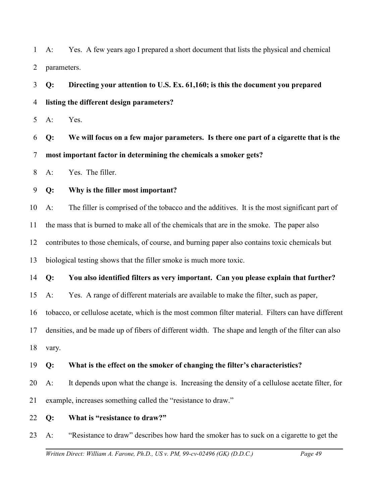1 2 A: Yes. A few years ago I prepared a short document that lists the physical and chemical parameters.

3 4 **Q: Directing your attention to U.S. Ex. 61,160; is this the document you prepared listing the different design parameters?**

5 A: Yes.

6 7 **Q: We will focus on a few major parameters. Is there one part of a cigarette that is the most important factor in determining the chemicals a smoker gets?** 

8 A: Yes. The filler.

9 **Q: Why is the filler most important?**

10 A: The filler is comprised of the tobacco and the additives. It is the most significant part of

11 the mass that is burned to make all of the chemicals that are in the smoke. The paper also

12 contributes to those chemicals, of course, and burning paper also contains toxic chemicals but

13 biological testing shows that the filler smoke is much more toxic.

### 14 **Q: You also identified filters as very important. Can you please explain that further?**

15 A: Yes. A range of different materials are available to make the filter, such as paper,

16 tobacco, or cellulose acetate, which is the most common filter material. Filters can have different

17 densities, and be made up of fibers of different width. The shape and length of the filter can also

18 vary.

## 19 **Q: What is the effect on the smoker of changing the filter's characteristics?**

20 21 A: It depends upon what the change is. Increasing the density of a cellulose acetate filter, for example, increases something called the "resistance to draw."

22 **Q: What is "resistance to draw?"**

23 A: "Resistance to draw" describes how hard the smoker has to suck on a cigarette to get the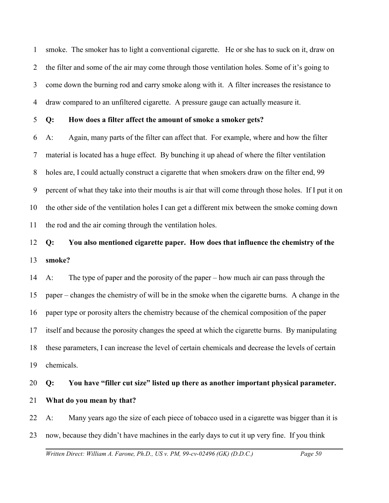1 2 3 4 smoke. The smoker has to light a conventional cigarette. He or she has to suck on it, draw on the filter and some of the air may come through those ventilation holes. Some of it's going to come down the burning rod and carry smoke along with it. A filter increases the resistance to draw compared to an unfiltered cigarette. A pressure gauge can actually measure it.

5 **Q: How does a filter affect the amount of smoke a smoker gets?**

6 7 8 9 10 11 A: Again, many parts of the filter can affect that. For example, where and how the filter material is located has a huge effect. By bunching it up ahead of where the filter ventilation holes are, I could actually construct a cigarette that when smokers draw on the filter end, 99 percent of what they take into their mouths is air that will come through those holes. If I put it on the other side of the ventilation holes I can get a different mix between the smoke coming down the rod and the air coming through the ventilation holes.

## 12 13 **Q: You also mentioned cigarette paper. How does that influence the chemistry of the smoke?**

14 15 16 17 18 19 A: The type of paper and the porosity of the paper – how much air can pass through the paper – changes the chemistry of will be in the smoke when the cigarette burns. A change in the paper type or porosity alters the chemistry because of the chemical composition of the paper itself and because the porosity changes the speed at which the cigarette burns. By manipulating these parameters, I can increase the level of certain chemicals and decrease the levels of certain chemicals.

## 20 21 **Q: You have "filler cut size" listed up there as another important physical parameter. What do you mean by that?**

22 23 A: Many years ago the size of each piece of tobacco used in a cigarette was bigger than it is now, because they didn't have machines in the early days to cut it up very fine. If you think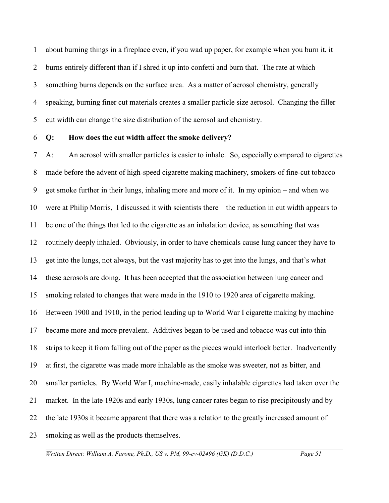1 2 3 4 5 about burning things in a fireplace even, if you wad up paper, for example when you burn it, it burns entirely different than if I shred it up into confetti and burn that. The rate at which something burns depends on the surface area. As a matter of aerosol chemistry, generally speaking, burning finer cut materials creates a smaller particle size aerosol. Changing the filler cut width can change the size distribution of the aerosol and chemistry.

#### 6 **Q: How does the cut width affect the smoke delivery?**

7 8 9 10 11 12 13 14 15 16 17 18 19 20 21 22 23 A: An aerosol with smaller particles is easier to inhale. So, especially compared to cigarettes made before the advent of high-speed cigarette making machinery, smokers of fine-cut tobacco get smoke further in their lungs, inhaling more and more of it. In my opinion – and when we were at Philip Morris, I discussed it with scientists there – the reduction in cut width appears to be one of the things that led to the cigarette as an inhalation device, as something that was routinely deeply inhaled. Obviously, in order to have chemicals cause lung cancer they have to get into the lungs, not always, but the vast majority has to get into the lungs, and that's what these aerosols are doing. It has been accepted that the association between lung cancer and smoking related to changes that were made in the 1910 to 1920 area of cigarette making. Between 1900 and 1910, in the period leading up to World War I cigarette making by machine became more and more prevalent. Additives began to be used and tobacco was cut into thin strips to keep it from falling out of the paper as the pieces would interlock better. Inadvertently at first, the cigarette was made more inhalable as the smoke was sweeter, not as bitter, and smaller particles. By World War I, machine-made, easily inhalable cigarettes had taken over the market. In the late 1920s and early 1930s, lung cancer rates began to rise precipitously and by the late 1930s it became apparent that there was a relation to the greatly increased amount of smoking as well as the products themselves.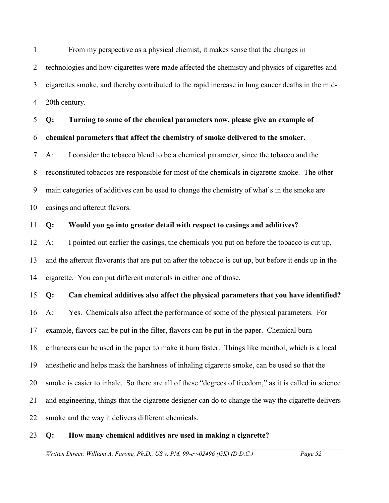1 2 3 4 From my perspective as a physical chemist, it makes sense that the changes in technologies and how cigarettes were made affected the chemistry and physics of cigarettes and cigarettes smoke, and thereby contributed to the rapid increase in lung cancer deaths in the mid-20th century.

5 6 7 8 9 10 **Q: Turning to some of the chemical parameters now, please give an example of chemical parameters that affect the chemistry of smoke delivered to the smoker.**  A: I consider the tobacco blend to be a chemical parameter, since the tobacco and the reconstituted tobaccos are responsible for most of the chemicals in cigarette smoke. The other main categories of additives can be used to change the chemistry of what's in the smoke are casings and aftercut flavors.

#### 11 **Q: Would you go into greater detail with respect to casings and additives?**

12 13 14 A: I pointed out earlier the casings, the chemicals you put on before the tobacco is cut up, and the aftercut flavorants that are put on after the tobacco is cut up, but before it ends up in the cigarette. You can put different materials in either one of those.

15 **Q: Can chemical additives also affect the physical parameters that you have identified?**

16 17 18 19 20 21 22 A: Yes. Chemicals also affect the performance of some of the physical parameters. For example, flavors can be put in the filter, flavors can be put in the paper. Chemical burn enhancers can be used in the paper to make it burn faster. Things like menthol, which is a local anesthetic and helps mask the harshness of inhaling cigarette smoke, can be used so that the smoke is easier to inhale. So there are all of these "degrees of freedom," as it is called in science and engineering, things that the cigarette designer can do to change the way the cigarette delivers smoke and the way it delivers different chemicals.

#### 23 **Q: How many chemical additives are used in making a cigarette?**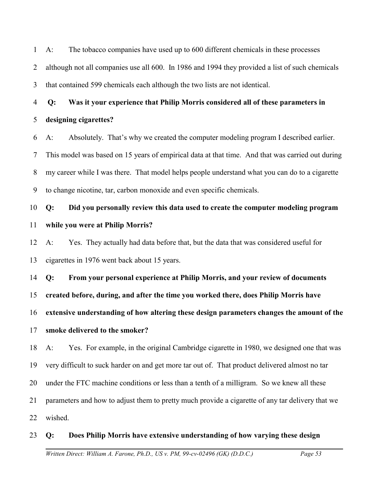1 2 3 A: The tobacco companies have used up to 600 different chemicals in these processes although not all companies use all 600. In 1986 and 1994 they provided a list of such chemicals that contained 599 chemicals each although the two lists are not identical.

4  **Q: Was it your experience that Philip Morris considered all of these parameters in**

### 5 **designing cigarettes?**

6 7 8 9 A: Absolutely. That's why we created the computer modeling program I described earlier. This model was based on 15 years of empirical data at that time. And that was carried out during my career while I was there. That model helps people understand what you can do to a cigarette to change nicotine, tar, carbon monoxide and even specific chemicals.

## 10 11 **Q: Did you personally review this data used to create the computer modeling program while you were at Philip Morris?**

12 13 A: Yes. They actually had data before that, but the data that was considered useful for cigarettes in 1976 went back about 15 years.

14 15 16 **Q: From your personal experience at Philip Morris, and your review of documents created before, during, and after the time you worked there, does Philip Morris have extensive understanding of how altering these design parameters changes the amount of the**

### 17 **smoke delivered to the smoker?**

18 19 20 21 22 A: Yes. For example, in the original Cambridge cigarette in 1980, we designed one that was very difficult to suck harder on and get more tar out of. That product delivered almost no tar under the FTC machine conditions or less than a tenth of a milligram. So we knew all these parameters and how to adjust them to pretty much provide a cigarette of any tar delivery that we wished.

### 23 **Q: Does Philip Morris have extensive understanding of how varying these design**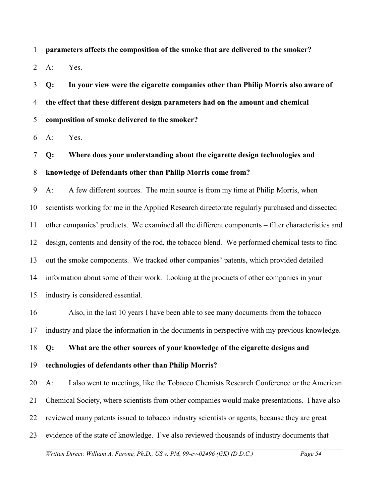1 **parameters affects the composition of the smoke that are delivered to the smoker?** 

2 A: Yes.

3 4 5 **Q: In your view were the cigarette companies other than Philip Morris also aware of the effect that these different design parameters had on the amount and chemical composition of smoke delivered to the smoker?** 

6 A: Yes.

7 8 **Q: Where does your understanding about the cigarette design technologies and knowledge of Defendants other than Philip Morris come from?**

9 10 11 12 13 14 15 A: A few different sources. The main source is from my time at Philip Morris, when scientists working for me in the Applied Research directorate regularly purchased and dissected other companies' products. We examined all the different components – filter characteristics and design, contents and density of the rod, the tobacco blend. We performed chemical tests to find out the smoke components. We tracked other companies' patents, which provided detailed information about some of their work. Looking at the products of other companies in your industry is considered essential.

16 17 Also, in the last 10 years I have been able to see many documents from the tobacco industry and place the information in the documents in perspective with my previous knowledge.

18 **Q: What are the other sources of your knowledge of the cigarette designs and**

19 **technologies of defendants other than Philip Morris?**

20 21 22 23 A: I also went to meetings, like the Tobacco Chemists Research Conference or the American Chemical Society, where scientists from other companies would make presentations. I have also reviewed many patents issued to tobacco industry scientists or agents, because they are great evidence of the state of knowledge. I've also reviewed thousands of industry documents that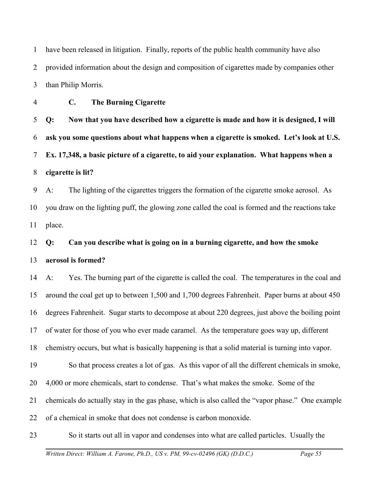1 2 3 have been released in litigation. Finally, reports of the public health community have also provided information about the design and composition of cigarettes made by companies other than Philip Morris.

4 **C. The Burning Cigarette**

5 6 7 8 **Q: Now that you have described how a cigarette is made and how it is designed, I will ask you some questions about what happens when a cigarette is smoked. Let's look at U.S. Ex. 17,348, a basic picture of a cigarette, to aid your explanation. What happens when a cigarette is lit?**

9 10 11 A: The lighting of the cigarettes triggers the formation of the cigarette smoke aerosol. As you draw on the lighting puff, the glowing zone called the coal is formed and the reactions take place.

12 13 **Q: Can you describe what is going on in a burning cigarette, and how the smoke aerosol is formed?**

14 15 16 17 18 19 20 21 22 A: Yes. The burning part of the cigarette is called the coal. The temperatures in the coal and around the coal get up to between 1,500 and 1,700 degrees Fahrenheit. Paper burns at about 450 degrees Fahrenheit. Sugar starts to decompose at about 220 degrees, just above the boiling point of water for those of you who ever made caramel. As the temperature goes way up, different chemistry occurs, but what is basically happening is that a solid material is turning into vapor. So that process creates a lot of gas. As this vapor of all the different chemicals in smoke, 4,000 or more chemicals, start to condense. That's what makes the smoke. Some of the chemicals do actually stay in the gas phase, which is also called the "vapor phase." One example of a chemical in smoke that does not condense is carbon monoxide.

23 So it starts out all in vapor and condenses into what are called particles. Usually the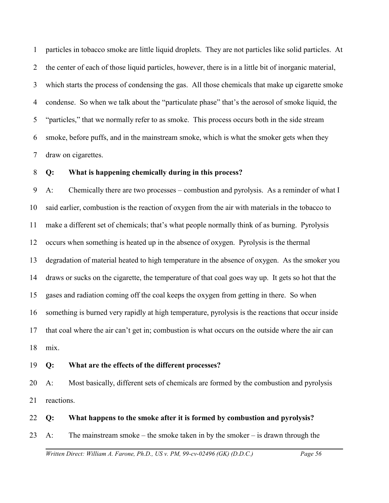1 2 3 4 5 6 7 particles in tobacco smoke are little liquid droplets. They are not particles like solid particles. At the center of each of those liquid particles, however, there is in a little bit of inorganic material, which starts the process of condensing the gas. All those chemicals that make up cigarette smoke condense. So when we talk about the "particulate phase" that's the aerosol of smoke liquid, the "particles," that we normally refer to as smoke. This process occurs both in the side stream smoke, before puffs, and in the mainstream smoke, which is what the smoker gets when they draw on cigarettes.

#### 8 **Q: What is happening chemically during in this process?**

9 10 11 12 13 14 15 16 17 18 A: Chemically there are two processes – combustion and pyrolysis. As a reminder of what I said earlier, combustion is the reaction of oxygen from the air with materials in the tobacco to make a different set of chemicals; that's what people normally think of as burning. Pyrolysis occurs when something is heated up in the absence of oxygen. Pyrolysis is the thermal degradation of material heated to high temperature in the absence of oxygen. As the smoker you draws or sucks on the cigarette, the temperature of that coal goes way up. It gets so hot that the gases and radiation coming off the coal keeps the oxygen from getting in there. So when something is burned very rapidly at high temperature, pyrolysis is the reactions that occur inside that coal where the air can't get in; combustion is what occurs on the outside where the air can mix.

#### 19 **Q: What are the effects of the different processes?**

20 21 A: Most basically, different sets of chemicals are formed by the combustion and pyrolysis reactions.

22 **Q: What happens to the smoke after it is formed by combustion and pyrolysis?**

23 A: The mainstream smoke – the smoke taken in by the smoker – is drawn through the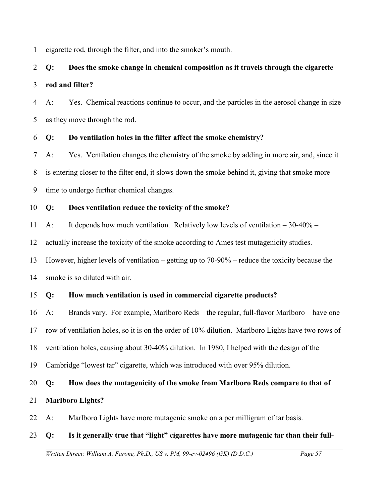1 cigarette rod, through the filter, and into the smoker's mouth.

# 2 3 **Q: Does the smoke change in chemical composition as it travels through the cigarette rod and filter?**

4 5 A: Yes. Chemical reactions continue to occur, and the particles in the aerosol change in size as they move through the rod.

### 6 **Q: Do ventilation holes in the filter affect the smoke chemistry?**

7 8 9 A: Yes. Ventilation changes the chemistry of the smoke by adding in more air, and, since it is entering closer to the filter end, it slows down the smoke behind it, giving that smoke more time to undergo further chemical changes.

### 10 **Q: Does ventilation reduce the toxicity of the smoke?**

11 A: It depends how much ventilation. Relatively low levels of ventilation – 30-40% –

12 actually increase the toxicity of the smoke according to Ames test mutagenicity studies.

13 However, higher levels of ventilation – getting up to 70-90% – reduce the toxicity because the

14 smoke is so diluted with air.

### 15 **Q: How much ventilation is used in commercial cigarette products?**

16 17 18 19 A: Brands vary. For example, Marlboro Reds – the regular, full-flavor Marlboro – have one row of ventilation holes, so it is on the order of 10% dilution. Marlboro Lights have two rows of ventilation holes, causing about 30-40% dilution. In 1980, I helped with the design of the Cambridge "lowest tar" cigarette, which was introduced with over 95% dilution.

## 20 **Q: How does the mutagenicity of the smoke from Marlboro Reds compare to that of**

### 21 **Marlboro Lights?**

22 A: Marlboro Lights have more mutagenic smoke on a per milligram of tar basis.

### 23 **Q: Is it generally true that "light" cigarettes have more mutagenic tar than their full-**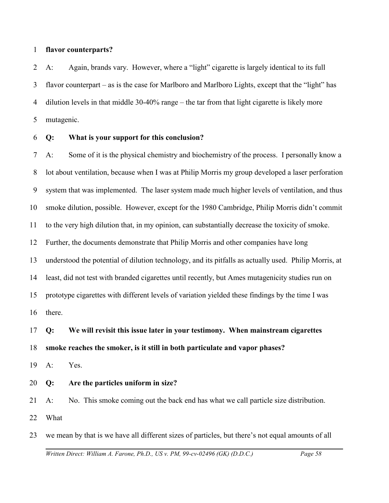#### 1 **flavor counterparts?**

2 3 4 5 A: Again, brands vary. However, where a "light" cigarette is largely identical to its full flavor counterpart – as is the case for Marlboro and Marlboro Lights, except that the "light" has dilution levels in that middle 30-40% range – the tar from that light cigarette is likely more mutagenic.

#### 6 **Q: What is your support for this conclusion?**

7 8 9 10 11 12 13 14 15 16 A: Some of it is the physical chemistry and biochemistry of the process. I personally know a lot about ventilation, because when I was at Philip Morris my group developed a laser perforation system that was implemented. The laser system made much higher levels of ventilation, and thus smoke dilution, possible. However, except for the 1980 Cambridge, Philip Morris didn't commit to the very high dilution that, in my opinion, can substantially decrease the toxicity of smoke. Further, the documents demonstrate that Philip Morris and other companies have long understood the potential of dilution technology, and its pitfalls as actually used. Philip Morris, at least, did not test with branded cigarettes until recently, but Ames mutagenicity studies run on prototype cigarettes with different levels of variation yielded these findings by the time I was there.

## 17 18 **Q: We will revisit this issue later in your testimony. When mainstream cigarettes smoke reaches the smoker, is it still in both particulate and vapor phases?**

19 A: Yes.

#### 20 **Q: Are the particles uniform in size?**

- 21 22 A: No. This smoke coming out the back end has what we call particle size distribution. What
- 23 we mean by that is we have all different sizes of particles, but there's not equal amounts of all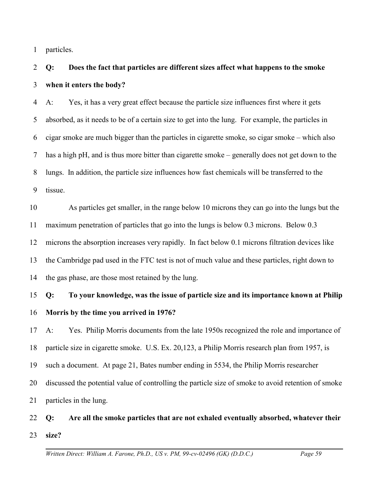1 particles.

## 2 3 **Q: Does the fact that particles are different sizes affect what happens to the smoke when it enters the body?**

4 5 6 7 8 9 A: Yes, it has a very great effect because the particle size influences first where it gets absorbed, as it needs to be of a certain size to get into the lung. For example, the particles in cigar smoke are much bigger than the particles in cigarette smoke, so cigar smoke – which also has a high pH, and is thus more bitter than cigarette smoke – generally does not get down to the lungs. In addition, the particle size influences how fast chemicals will be transferred to the tissue.

10 11 12 13 14 As particles get smaller, in the range below 10 microns they can go into the lungs but the maximum penetration of particles that go into the lungs is below 0.3 microns. Below 0.3 microns the absorption increases very rapidly. In fact below 0.1 microns filtration devices like the Cambridge pad used in the FTC test is not of much value and these particles, right down to the gas phase, are those most retained by the lung.

## 15 16 **Q: To your knowledge, was the issue of particle size and its importance known at Philip Morris by the time you arrived in 1976?**

17 18 19 20 21 A: Yes. Philip Morris documents from the late 1950s recognized the role and importance of particle size in cigarette smoke. U.S. Ex. 20,123, a Philip Morris research plan from 1957, is such a document. At page 21, Bates number ending in 5534, the Philip Morris researcher discussed the potential value of controlling the particle size of smoke to avoid retention of smoke particles in the lung.

## 22 23 **Q: Are all the smoke particles that are not exhaled eventually absorbed, whatever their size?**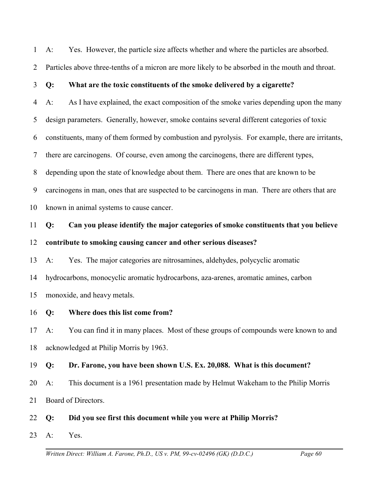1 A: Yes. However, the particle size affects whether and where the particles are absorbed.

2 Particles above three-tenths of a micron are more likely to be absorbed in the mouth and throat.

#### 3 **Q: What are the toxic constituents of the smoke delivered by a cigarette?**

4 5 6 7 8 9 10 A: As I have explained, the exact composition of the smoke varies depending upon the many design parameters. Generally, however, smoke contains several different categories of toxic constituents, many of them formed by combustion and pyrolysis. For example, there are irritants, there are carcinogens. Of course, even among the carcinogens, there are different types, depending upon the state of knowledge about them. There are ones that are known to be carcinogens in man, ones that are suspected to be carcinogens in man. There are others that are known in animal systems to cause cancer.

11 12 **Q: Can you please identify the major categories of smoke constituents that you believe contribute to smoking causing cancer and other serious diseases?** 

13 14 15 A: Yes. The major categories are nitrosamines, aldehydes, polycyclic aromatic hydrocarbons, monocyclic aromatic hydrocarbons, aza-arenes, aromatic amines, carbon monoxide, and heavy metals.

16 **Q: Where does this list come from?**

17 18 A: You can find it in many places. Most of these groups of compounds were known to and acknowledged at Philip Morris by 1963.

- 19 **Q: Dr. Farone, you have been shown U.S. Ex. 20,088. What is this document?**
- 20 A: This document is a 1961 presentation made by Helmut Wakeham to the Philip Morris
- 21 Board of Directors.
- 22 **Q: Did you see first this document while you were at Philip Morris?**
- 23 A: Yes.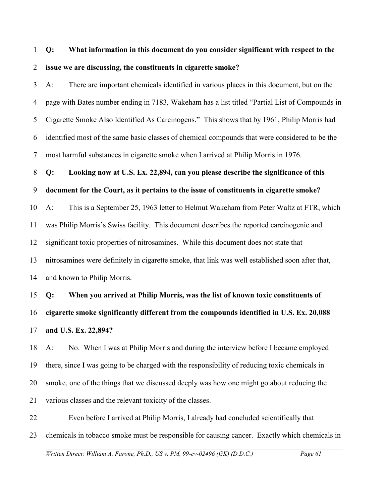## 1 2 **Q: What information in this document do you consider significant with respect to the issue we are discussing, the constituents in cigarette smoke?**

3 4 5 6 7 A: There are important chemicals identified in various places in this document, but on the page with Bates number ending in 7183, Wakeham has a list titled "Partial List of Compounds in Cigarette Smoke Also Identified As Carcinogens." This shows that by 1961, Philip Morris had identified most of the same basic classes of chemical compounds that were considered to be the most harmful substances in cigarette smoke when I arrived at Philip Morris in 1976.

#### 8 **Q: Looking now at U.S. Ex. 22,894, can you please describe the significance of this**

9 **document for the Court, as it pertains to the issue of constituents in cigarette smoke?**

10 11 12 13 14 A: This is a September 25, 1963 letter to Helmut Wakeham from Peter Waltz at FTR, which was Philip Morris's Swiss facility. This document describes the reported carcinogenic and significant toxic properties of nitrosamines. While this document does not state that nitrosamines were definitely in cigarette smoke, that link was well established soon after that, and known to Philip Morris.

15 16 17 **Q: When you arrived at Philip Morris, was the list of known toxic constituents of cigarette smoke significantly different from the compounds identified in U.S. Ex. 20,088 and U.S. Ex. 22,894?**

18 19 20 21 A: No. When I was at Philip Morris and during the interview before I became employed there, since I was going to be charged with the responsibility of reducing toxic chemicals in smoke, one of the things that we discussed deeply was how one might go about reducing the various classes and the relevant toxicity of the classes.

22 23 Even before I arrived at Philip Morris, I already had concluded scientifically that chemicals in tobacco smoke must be responsible for causing cancer. Exactly which chemicals in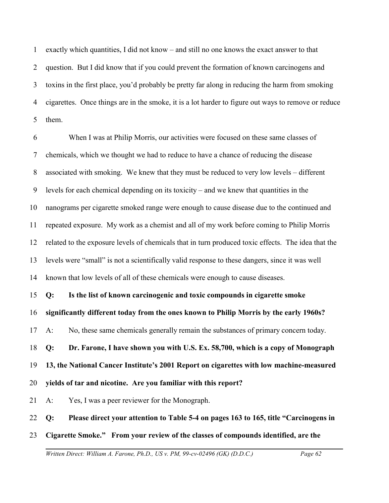1 2 3 4 5 exactly which quantities, I did not know – and still no one knows the exact answer to that question. But I did know that if you could prevent the formation of known carcinogens and toxins in the first place, you'd probably be pretty far along in reducing the harm from smoking cigarettes. Once things are in the smoke, it is a lot harder to figure out ways to remove or reduce them.

6 7 8 9 10 11 12 13 14 When I was at Philip Morris, our activities were focused on these same classes of chemicals, which we thought we had to reduce to have a chance of reducing the disease associated with smoking. We knew that they must be reduced to very low levels – different levels for each chemical depending on its toxicity – and we knew that quantities in the nanograms per cigarette smoked range were enough to cause disease due to the continued and repeated exposure. My work as a chemist and all of my work before coming to Philip Morris related to the exposure levels of chemicals that in turn produced toxic effects. The idea that the levels were "small" is not a scientifically valid response to these dangers, since it was well known that low levels of all of these chemicals were enough to cause diseases.

15 **Q: Is the list of known carcinogenic and toxic compounds in cigarette smoke**

16 **significantly different today from the ones known to Philip Morris by the early 1960s?**

17 A: No, these same chemicals generally remain the substances of primary concern today.

18 **Q: Dr. Farone, I have shown you with U.S. Ex. 58,700, which is a copy of Monograph**

19 **13, the National Cancer Institute's 2001 Report on cigarettes with low machine-measured**

20 **yields of tar and nicotine. Are you familiar with this report?**

21 A: Yes, I was a peer reviewer for the Monograph.

22 **Q: Please direct your attention to Table 5-4 on pages 163 to 165, title "Carcinogens in**

23 **Cigarette Smoke." From your review of the classes of compounds identified, are the**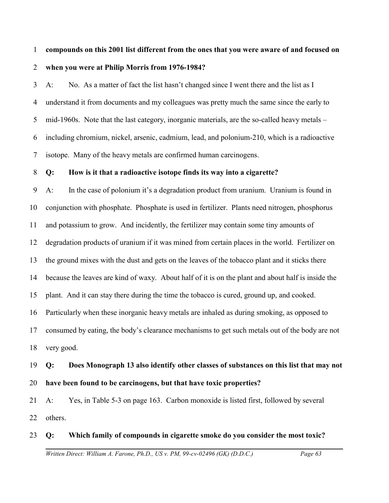## 1 2 **compounds on this 2001 list different from the ones that you were aware of and focused on when you were at Philip Morris from 1976-1984?**

3 4 5 6 7 A: No. As a matter of fact the list hasn't changed since I went there and the list as I understand it from documents and my colleagues was pretty much the same since the early to mid-1960s. Note that the last category, inorganic materials, are the so-called heavy metals – including chromium, nickel, arsenic, cadmium, lead, and polonium-210, which is a radioactive isotope. Many of the heavy metals are confirmed human carcinogens.

#### 8 **Q: How is it that a radioactive isotope finds its way into a cigarette?**

9 10 11 12 13 14 15 16 17 18 A: In the case of polonium it's a degradation product from uranium. Uranium is found in conjunction with phosphate. Phosphate is used in fertilizer. Plants need nitrogen, phosphorus and potassium to grow. And incidently, the fertilizer may contain some tiny amounts of degradation products of uranium if it was mined from certain places in the world. Fertilizer on the ground mixes with the dust and gets on the leaves of the tobacco plant and it sticks there because the leaves are kind of waxy. About half of it is on the plant and about half is inside the plant. And it can stay there during the time the tobacco is cured, ground up, and cooked. Particularly when these inorganic heavy metals are inhaled as during smoking, as opposed to consumed by eating, the body's clearance mechanisms to get such metals out of the body are not very good.

## 19 20 **Q: Does Monograph 13 also identify other classes of substances on this list that may not have been found to be carcinogens, but that have toxic properties?**

21 22 A: Yes, in Table 5-3 on page 163. Carbon monoxide is listed first, followed by several others.

## 23 **Q: Which family of compounds in cigarette smoke do you consider the most toxic?**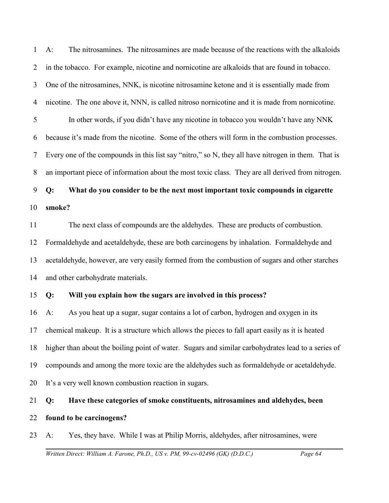1 2 3 4 5 6 7 8 A: The nitrosamines. The nitrosamines are made because of the reactions with the alkaloids in the tobacco. For example, nicotine and nornicotine are alkaloids that are found in tobacco. One of the nitrosamines, NNK, is nicotine nitrosamine ketone and it is essentially made from nicotine. The one above it, NNN, is called nitroso nornicotine and it is made from nornicotine. In other words, if you didn't have any nicotine in tobacco you wouldn't have any NNK because it's made from the nicotine. Some of the others will form in the combustion processes. Every one of the compounds in this list say "nitro," so N, they all have nitrogen in them. That is an important piece of information about the most toxic class. They are all derived from nitrogen.

## 9 10 **Q: What do you consider to be the next most important toxic compounds in cigarette smoke?**

11 12 13 14 The next class of compounds are the aldehydes. These are products of combustion. Formaldehyde and acetaldehyde, these are both carcinogens by inhalation. Formaldehyde and acetaldehyde, however, are very easily formed from the combustion of sugars and other starches and other carbohydrate materials.

### 15 **Q: Will you explain how the sugars are involved in this process?**

16 17 18 19 20 A: As you heat up a sugar, sugar contains a lot of carbon, hydrogen and oxygen in its chemical makeup. It is a structure which allows the pieces to fall apart easily as it is heated higher than about the boiling point of water. Sugars and similar carbohydrates lead to a series of compounds and among the more toxic are the aldehydes such as formaldehyde or acetaldehyde. It's a very well known combustion reaction in sugars.

## 21 22 **Q: Have these categories of smoke constituents, nitrosamines and aldehydes, been found to be carcinogens?**

23 A: Yes, they have. While I was at Philip Morris, aldehydes, after nitrosamines, were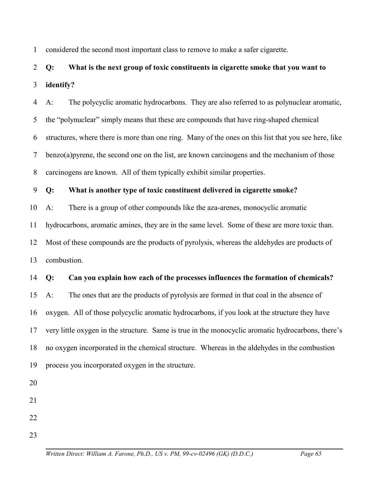1 considered the second most important class to remove to make a safer cigarette.

## 2 3 **Q: What is the next group of toxic constituents in cigarette smoke that you want to identify?**

4 5 6 7 8 A: The polycyclic aromatic hydrocarbons. They are also referred to as polynuclear aromatic, the "polynuclear" simply means that these are compounds that have ring-shaped chemical structures, where there is more than one ring. Many of the ones on this list that you see here, like benzo(a)pyrene, the second one on the list, are known carcinogens and the mechanism of those carcinogens are known. All of them typically exhibit similar properties.

9 **Q: What is another type of toxic constituent delivered in cigarette smoke?**

10 A: There is a group of other compounds like the aza-arenes, monocyclic aromatic

11 hydrocarbons, aromatic amines, they are in the same level. Some of these are more toxic than.

12 13 Most of these compounds are the products of pyrolysis, whereas the aldehydes are products of combustion.

### 14 **Q: Can you explain how each of the processes influences the formation of chemicals?**

15 16 17 18 19 A: The ones that are the products of pyrolysis are formed in that coal in the absence of oxygen. All of those polycyclic aromatic hydrocarbons, if you look at the structure they have very little oxygen in the structure. Same is true in the monocyclic aromatic hydrocarbons, there's no oxygen incorporated in the chemical structure. Whereas in the aldehydes in the combustion process you incorporated oxygen in the structure.

- 20
- 21
- 22
- 23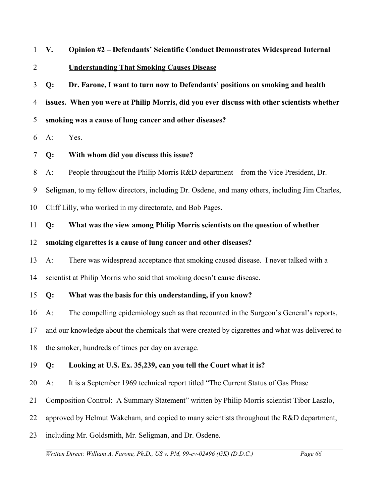- 1 **V. Opinion #2 – Defendants' Scientific Conduct Demonstrates Widespread Internal**
- 2 **Understanding That Smoking Causes Disease**
- 3 4 5 **Q: Dr. Farone, I want to turn now to Defendants' positions on smoking and health issues. When you were at Philip Morris, did you ever discuss with other scientists whether smoking was a cause of lung cancer and other diseases?**
- 6 A: Yes.
- 7 **Q: With whom did you discuss this issue?**
- 8 A: People throughout the Philip Morris R&D department – from the Vice President, Dr.
- 9 Seligman, to my fellow directors, including Dr. Osdene, and many others, including Jim Charles,
- 10 Cliff Lilly, who worked in my directorate, and Bob Pages.
- 11 **Q: What was the view among Philip Morris scientists on the question of whether**
- 12 **smoking cigarettes is a cause of lung cancer and other diseases?**
- 13 A: There was widespread acceptance that smoking caused disease. I never talked with a
- 14 scientist at Philip Morris who said that smoking doesn't cause disease.
- 15 **Q: What was the basis for this understanding, if you know?**
- 16 A: The compelling epidemiology such as that recounted in the Surgeon's General's reports,
- 17 and our knowledge about the chemicals that were created by cigarettes and what was delivered to
- 18 the smoker, hundreds of times per day on average.
- 19 **Q: Looking at U.S. Ex. 35,239, can you tell the Court what it is?**
- 20 A: It is a September 1969 technical report titled "The Current Status of Gas Phase
- 21 Composition Control: A Summary Statement" written by Philip Morris scientist Tibor Laszlo,
- 22 approved by Helmut Wakeham, and copied to many scientists throughout the R&D department,
- 23 including Mr. Goldsmith, Mr. Seligman, and Dr. Osdene.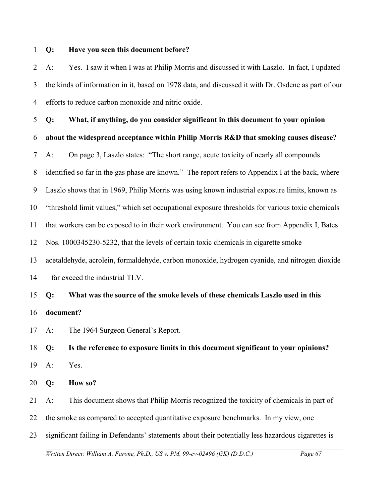#### 1 **Q: Have you seen this document before?**

2 3 4 A: Yes. I saw it when I was at Philip Morris and discussed it with Laszlo. In fact, I updated the kinds of information in it, based on 1978 data, and discussed it with Dr. Osdene as part of our efforts to reduce carbon monoxide and nitric oxide.

5 6 7 8 9 10 11 12 13 14 15 16 17 18 **Q: What, if anything, do you consider significant in this document to your opinion about the widespread acceptance within Philip Morris R&D that smoking causes disease?** A: On page 3, Laszlo states: "The short range, acute toxicity of nearly all compounds identified so far in the gas phase are known." The report refers to Appendix I at the back, where Laszlo shows that in 1969, Philip Morris was using known industrial exposure limits, known as "threshold limit values," which set occupational exposure thresholds for various toxic chemicals that workers can be exposed to in their work environment. You can see from Appendix I, Bates Nos. 1000345230-5232, that the levels of certain toxic chemicals in cigarette smoke – acetaldehyde, acrolein, formaldehyde, carbon monoxide, hydrogen cyanide, and nitrogen dioxide – far exceed the industrial TLV. **Q: What was the source of the smoke levels of these chemicals Laszlo used in this document?** A: The 1964 Surgeon General's Report. **Q: Is the reference to exposure limits in this document significant to your opinions?**

- 19 A: Yes.
- 20 **Q: How so?**

21 A: This document shows that Philip Morris recognized the toxicity of chemicals in part of

22 the smoke as compared to accepted quantitative exposure benchmarks. In my view, one

23 significant failing in Defendants' statements about their potentially less hazardous cigarettes is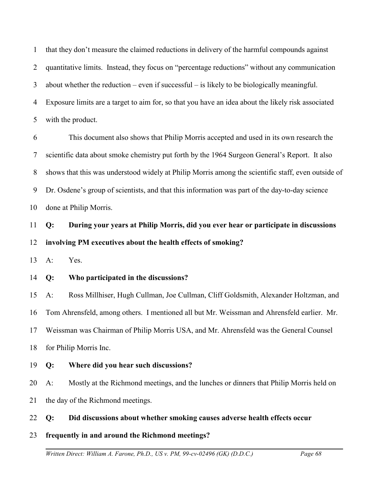1 2 3 4 5 that they don't measure the claimed reductions in delivery of the harmful compounds against quantitative limits. Instead, they focus on "percentage reductions" without any communication about whether the reduction – even if successful – is likely to be biologically meaningful. Exposure limits are a target to aim for, so that you have an idea about the likely risk associated with the product.

6 7 8 9 10 This document also shows that Philip Morris accepted and used in its own research the scientific data about smoke chemistry put forth by the 1964 Surgeon General's Report. It also shows that this was understood widely at Philip Morris among the scientific staff, even outside of Dr. Osdene's group of scientists, and that this information was part of the day-to-day science done at Philip Morris.

11 12 **Q: During your years at Philip Morris, did you ever hear or participate in discussions involving PM executives about the health effects of smoking?**

13 A: Yes.

14 **Q: Who participated in the discussions?**

15 16 17 18 A: Ross Millhiser, Hugh Cullman, Joe Cullman, Cliff Goldsmith, Alexander Holtzman, and Tom Ahrensfeld, among others. I mentioned all but Mr. Weissman and Ahrensfeld earlier. Mr. Weissman was Chairman of Philip Morris USA, and Mr. Ahrensfeld was the General Counsel for Philip Morris Inc.

### 19 **Q: Where did you hear such discussions?**

20 21 A: Mostly at the Richmond meetings, and the lunches or dinners that Philip Morris held on the day of the Richmond meetings.

22 **Q: Did discussions about whether smoking causes adverse health effects occur**

23 **frequently in and around the Richmond meetings?**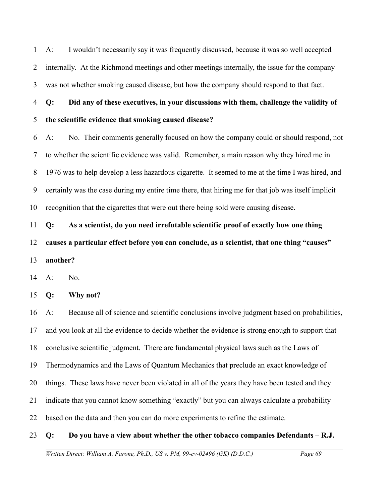1 2 3 A: I wouldn't necessarily say it was frequently discussed, because it was so well accepted internally. At the Richmond meetings and other meetings internally, the issue for the company was not whether smoking caused disease, but how the company should respond to that fact.

4 5 **Q: Did any of these executives, in your discussions with them, challenge the validity of the scientific evidence that smoking caused disease?**

6 7 8 9 10 A: No. Their comments generally focused on how the company could or should respond, not to whether the scientific evidence was valid. Remember, a main reason why they hired me in 1976 was to help develop a less hazardous cigarette. It seemed to me at the time I was hired, and certainly was the case during my entire time there, that hiring me for that job was itself implicit recognition that the cigarettes that were out there being sold were causing disease.

11 12 13 **Q: As a scientist, do you need irrefutable scientific proof of exactly how one thing causes a particular effect before you can conclude, as a scientist, that one thing "causes" another?**

14 A: No.

15 **Q: Why not?**

16 17 18 19 20 21 22 A: Because all of science and scientific conclusions involve judgment based on probabilities, and you look at all the evidence to decide whether the evidence is strong enough to support that conclusive scientific judgment. There are fundamental physical laws such as the Laws of Thermodynamics and the Laws of Quantum Mechanics that preclude an exact knowledge of things. These laws have never been violated in all of the years they have been tested and they indicate that you cannot know something "exactly" but you can always calculate a probability based on the data and then you can do more experiments to refine the estimate.

#### 23 **Q: Do you have a view about whether the other tobacco companies Defendants – R.J.**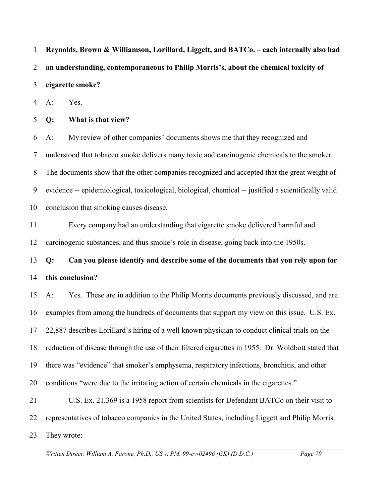1 2 3 4 5 6 7 8 9 10 11 12 13 14 15 16 17 18 19 20 21 22 23 **Reynolds, Brown & Williamson, Lorillard, Liggett, and BATCo. – each internally also had an understanding, contemporaneous to Philip Morris's, about the chemical toxicity of cigarette smoke?** A: Yes. **Q: What is that view?** A: My review of other companies' documents shows me that they recognized and understood that tobacco smoke delivers many toxic and carcinogenic chemicals to the smoker. The documents show that the other companies recognized and accepted that the great weight of evidence -- epidemiological, toxicological, biological, chemical -- justified a scientifically valid conclusion that smoking causes disease. Every company had an understanding that cigarette smoke delivered harmful and carcinogenic substances, and thus smoke's role in disease, going back into the 1950s. **Q: Can you please identify and describe some of the documents that you rely upon for this conclusion?** A: Yes. These are in addition to the Philip Morris documents previously discussed, and are examples from among the hundreds of documents that support my view on this issue. U.S. Ex. 22,887 describes Lorillard's hiring of a well known physician to conduct clinical trials on the reduction of disease through the use of their filtered cigarettes in 1955. Dr. Woldbott stated that there was "evidence" that smoker's emphysema, respiratory infections, bronchitis, and other conditions "were due to the irritating action of certain chemicals in the cigarettes." U.S. Ex. 21,369 is a 1958 report from scientists for Defendant BATCo on their visit to representatives of tobacco companies in the United States, including Liggett and Philip Morris. They wrote: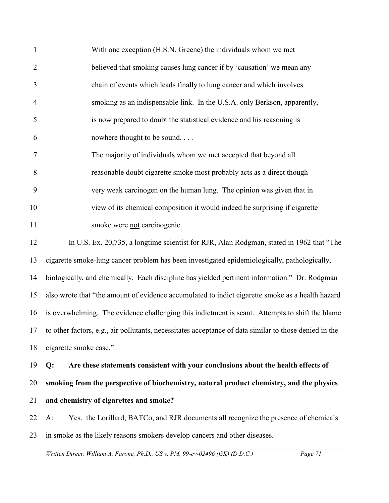| $\mathbf{1}$   | With one exception (H.S.N. Greene) the individuals whom we met                                            |
|----------------|-----------------------------------------------------------------------------------------------------------|
| $\overline{2}$ | believed that smoking causes lung cancer if by 'causation' we mean any                                    |
| 3              | chain of events which leads finally to lung cancer and which involves                                     |
| $\overline{4}$ | smoking as an indispensable link. In the U.S.A. only Berkson, apparently,                                 |
| 5              | is now prepared to doubt the statistical evidence and his reasoning is                                    |
| 6              | nowhere thought to be sound                                                                               |
| 7              | The majority of individuals whom we met accepted that beyond all                                          |
| 8              | reasonable doubt cigarette smoke most probably acts as a direct though                                    |
| 9              | very weak carcinogen on the human lung. The opinion was given that in                                     |
| 10             | view of its chemical composition it would indeed be surprising if cigarette                               |
| 11             | smoke were not carcinogenic.                                                                              |
| 12             | In U.S. Ex. 20,735, a longtime scientist for RJR, Alan Rodgman, stated in 1962 that "The                  |
| 13             | cigarette smoke-lung cancer problem has been investigated epidemiologically, pathologically,              |
| 14             | biologically, and chemically. Each discipline has yielded pertinent information." Dr. Rodgman             |
| 15             | also wrote that "the amount of evidence accumulated to indict cigarette smoke as a health hazard          |
| 16             | is overwhelming. The evidence challenging this indictment is scant. Attempts to shift the blame           |
|                | 17 to other factors, e.g., air pollutants, necessitates acceptance of data similar to those denied in the |
| 18             | cigarette smoke case."                                                                                    |
| 19             | Are these statements consistent with your conclusions about the health effects of<br>Q:                   |
| 20             | smoking from the perspective of biochemistry, natural product chemistry, and the physics                  |
| 21             | and chemistry of cigarettes and smoke?                                                                    |
| 22             | Yes. the Lorillard, BATCo, and RJR documents all recognize the presence of chemicals<br>$A$ :             |
| 23             | in smoke as the likely reasons smokers develop cancers and other diseases.                                |
|                |                                                                                                           |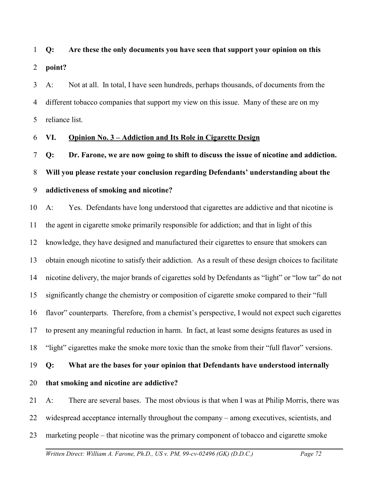# 1 2 **Q: Are these the only documents you have seen that support your opinion on this point?**

3 4 5 A: Not at all. In total, I have seen hundreds, perhaps thousands, of documents from the different tobacco companies that support my view on this issue. Many of these are on my reliance list.

#### 6 **VI. Opinion No. 3 – Addiction and Its Role in Cigarette Design**

7 **Q: Dr. Farone, we are now going to shift to discuss the issue of nicotine and addiction.** 

#### 8 **Will you please restate your conclusion regarding Defendants' understanding about the**

#### 9 **addictiveness of smoking and nicotine?**

10 11 12 13 14 15 16 17 18 A: Yes. Defendants have long understood that cigarettes are addictive and that nicotine is the agent in cigarette smoke primarily responsible for addiction; and that in light of this knowledge, they have designed and manufactured their cigarettes to ensure that smokers can obtain enough nicotine to satisfy their addiction. As a result of these design choices to facilitate nicotine delivery, the major brands of cigarettes sold by Defendants as "light" or "low tar" do not significantly change the chemistry or composition of cigarette smoke compared to their "full flavor" counterparts. Therefore, from a chemist's perspective, I would not expect such cigarettes to present any meaningful reduction in harm. In fact, at least some designs features as used in "light" cigarettes make the smoke more toxic than the smoke from their "full flavor" versions.

#### 19 **Q: What are the bases for your opinion that Defendants have understood internally**

20 **that smoking and nicotine are addictive?**

21 A: There are several bases. The most obvious is that when I was at Philip Morris, there was

22 widespread acceptance internally throughout the company – among executives, scientists, and

23 marketing people – that nicotine was the primary component of tobacco and cigarette smoke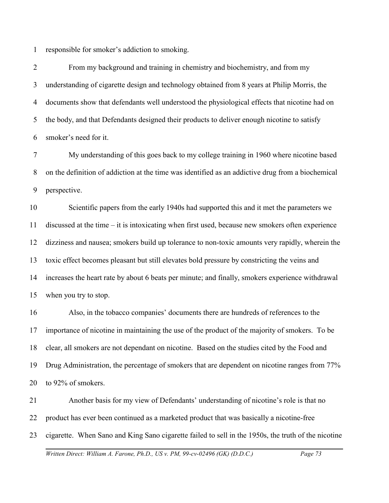1 responsible for smoker's addiction to smoking.

2 3 4 5 6 From my background and training in chemistry and biochemistry, and from my understanding of cigarette design and technology obtained from 8 years at Philip Morris, the documents show that defendants well understood the physiological effects that nicotine had on the body, and that Defendants designed their products to deliver enough nicotine to satisfy smoker's need for it.

7 8 9 My understanding of this goes back to my college training in 1960 where nicotine based on the definition of addiction at the time was identified as an addictive drug from a biochemical perspective.

10 11 12 13 14 15 Scientific papers from the early 1940s had supported this and it met the parameters we discussed at the time – it is intoxicating when first used, because new smokers often experience dizziness and nausea; smokers build up tolerance to non-toxic amounts very rapidly, wherein the toxic effect becomes pleasant but still elevates bold pressure by constricting the veins and increases the heart rate by about 6 beats per minute; and finally, smokers experience withdrawal when you try to stop.

16 17 18 19 20 Also, in the tobacco companies' documents there are hundreds of references to the importance of nicotine in maintaining the use of the product of the majority of smokers. To be clear, all smokers are not dependant on nicotine. Based on the studies cited by the Food and Drug Administration, the percentage of smokers that are dependent on nicotine ranges from 77% to 92% of smokers.

21 22 23 Another basis for my view of Defendants' understanding of nicotine's role is that no product has ever been continued as a marketed product that was basically a nicotine-free cigarette. When Sano and King Sano cigarette failed to sell in the 1950s, the truth of the nicotine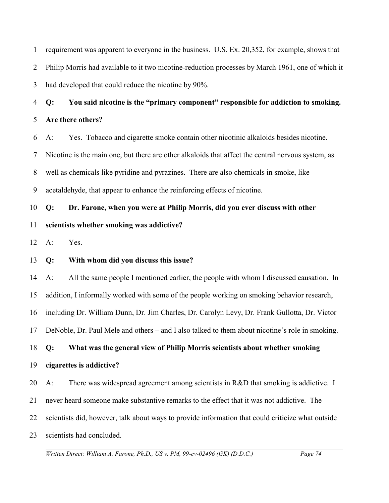1 2 3 requirement was apparent to everyone in the business. U.S. Ex. 20,352, for example, shows that Philip Morris had available to it two nicotine-reduction processes by March 1961, one of which it had developed that could reduce the nicotine by 90%.

4 5 **Q: You said nicotine is the "primary component" responsible for addiction to smoking. Are there others?**

6 A: Yes. Tobacco and cigarette smoke contain other nicotinic alkaloids besides nicotine.

7 Nicotine is the main one, but there are other alkaloids that affect the central nervous system, as

8 well as chemicals like pyridine and pyrazines. There are also chemicals in smoke, like

9 acetaldehyde, that appear to enhance the reinforcing effects of nicotine.

### 10 **Q: Dr. Farone, when you were at Philip Morris, did you ever discuss with other**

#### 11 **scientists whether smoking was addictive?**

12 A: Yes.

#### 13 **Q: With whom did you discuss this issue?**

14 15 A: All the same people I mentioned earlier, the people with whom I discussed causation. In addition, I informally worked with some of the people working on smoking behavior research,

16 including Dr. William Dunn, Dr. Jim Charles, Dr. Carolyn Levy, Dr. Frank Gullotta, Dr. Victor

17 DeNoble, Dr. Paul Mele and others – and I also talked to them about nicotine's role in smoking.

#### 18 **Q: What was the general view of Philip Morris scientists about whether smoking**

#### 19 **cigarettes is addictive?**

20 A: There was widespread agreement among scientists in R&D that smoking is addictive. I

- 21 never heard someone make substantive remarks to the effect that it was not addictive. The
- 22 scientists did, however, talk about ways to provide information that could criticize what outside
- 23 scientists had concluded.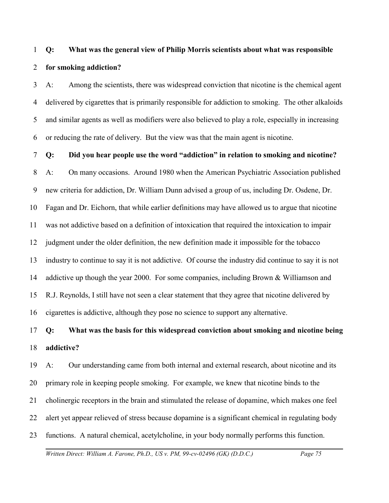# 1 2 **Q: What was the general view of Philip Morris scientists about what was responsible for smoking addiction?**

3 4 5 6 A: Among the scientists, there was widespread conviction that nicotine is the chemical agent delivered by cigarettes that is primarily responsible for addiction to smoking. The other alkaloids and similar agents as well as modifiers were also believed to play a role, especially in increasing or reducing the rate of delivery. But the view was that the main agent is nicotine.

7 **Q: Did you hear people use the word "addiction" in relation to smoking and nicotine?**

8 9 10 11 12 13 14 15 16 A: On many occasions. Around 1980 when the American Psychiatric Association published new criteria for addiction, Dr. William Dunn advised a group of us, including Dr. Osdene, Dr. Fagan and Dr. Eichorn, that while earlier definitions may have allowed us to argue that nicotine was not addictive based on a definition of intoxication that required the intoxication to impair judgment under the older definition, the new definition made it impossible for the tobacco industry to continue to say it is not addictive. Of course the industry did continue to say it is not addictive up though the year 2000. For some companies, including Brown & Williamson and R.J. Reynolds, I still have not seen a clear statement that they agree that nicotine delivered by cigarettes is addictive, although they pose no science to support any alternative.

### 17 18 **Q: What was the basis for this widespread conviction about smoking and nicotine being addictive?**

19 20 21 22 23 A: Our understanding came from both internal and external research, about nicotine and its primary role in keeping people smoking. For example, we knew that nicotine binds to the cholinergic receptors in the brain and stimulated the release of dopamine, which makes one feel alert yet appear relieved of stress because dopamine is a significant chemical in regulating body functions. A natural chemical, acetylcholine, in your body normally performs this function.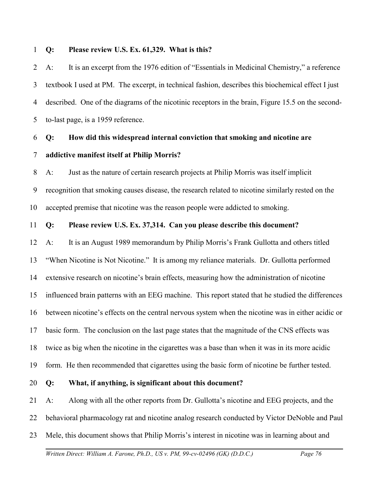#### 1 **Q: Please review U.S. Ex. 61,329. What is this?**

2 3 4 5 A: It is an excerpt from the 1976 edition of "Essentials in Medicinal Chemistry," a reference textbook I used at PM. The excerpt, in technical fashion, describes this biochemical effect I just described. One of the diagrams of the nicotinic receptors in the brain, Figure 15.5 on the secondto-last page, is a 1959 reference.

### 6 7 **Q: How did this widespread internal conviction that smoking and nicotine are addictive manifest itself at Philip Morris?**

8 9 10 A: Just as the nature of certain research projects at Philip Morris was itself implicit recognition that smoking causes disease, the research related to nicotine similarly rested on the accepted premise that nicotine was the reason people were addicted to smoking.

#### 11 **Q: Please review U.S. Ex. 37,314. Can you please describe this document?**

12 13 14 15 16 17 18 19 A: It is an August 1989 memorandum by Philip Morris's Frank Gullotta and others titled "When Nicotine is Not Nicotine." It is among my reliance materials. Dr. Gullotta performed extensive research on nicotine's brain effects, measuring how the administration of nicotine influenced brain patterns with an EEG machine. This report stated that he studied the differences between nicotine's effects on the central nervous system when the nicotine was in either acidic or basic form. The conclusion on the last page states that the magnitude of the CNS effects was twice as big when the nicotine in the cigarettes was a base than when it was in its more acidic form. He then recommended that cigarettes using the basic form of nicotine be further tested.

20 **Q: What, if anything, is significant about this document?** 

21 22 23 A: Along with all the other reports from Dr. Gullotta's nicotine and EEG projects, and the behavioral pharmacology rat and nicotine analog research conducted by Victor DeNoble and Paul Mele, this document shows that Philip Morris's interest in nicotine was in learning about and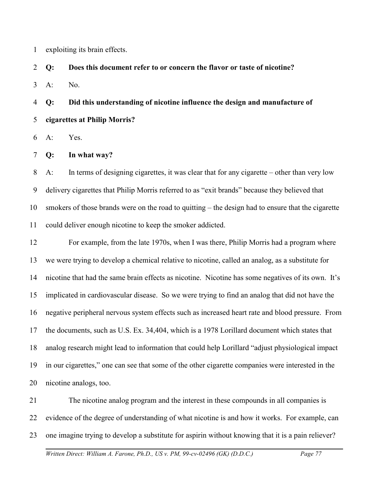1 exploiting its brain effects.

2 **Q: Does this document refer to or concern the flavor or taste of nicotine?**

3  $A:$  No.

4 5 **Q: Did this understanding of nicotine influence the design and manufacture of cigarettes at Philip Morris?**

6 A: Yes.

7 **Q: In what way?**

8 9 10 11 A: In terms of designing cigarettes, it was clear that for any cigarette – other than very low delivery cigarettes that Philip Morris referred to as "exit brands" because they believed that smokers of those brands were on the road to quitting – the design had to ensure that the cigarette could deliver enough nicotine to keep the smoker addicted.

12 13 14 15 16 17 18 19 20 For example, from the late 1970s, when I was there, Philip Morris had a program where we were trying to develop a chemical relative to nicotine, called an analog, as a substitute for nicotine that had the same brain effects as nicotine. Nicotine has some negatives of its own. It's implicated in cardiovascular disease. So we were trying to find an analog that did not have the negative peripheral nervous system effects such as increased heart rate and blood pressure. From the documents, such as U.S. Ex. 34,404, which is a 1978 Lorillard document which states that analog research might lead to information that could help Lorillard "adjust physiological impact in our cigarettes," one can see that some of the other cigarette companies were interested in the nicotine analogs, too.

21 22 23 The nicotine analog program and the interest in these compounds in all companies is evidence of the degree of understanding of what nicotine is and how it works. For example, can one imagine trying to develop a substitute for aspirin without knowing that it is a pain reliever?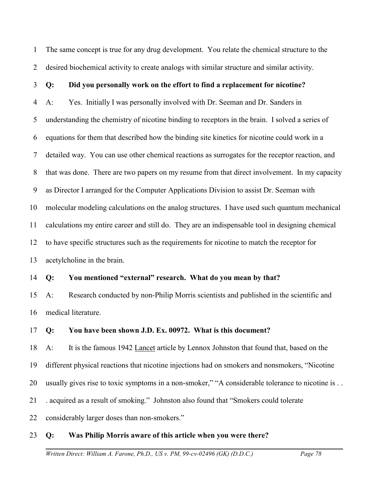1 2 The same concept is true for any drug development. You relate the chemical structure to the desired biochemical activity to create analogs with similar structure and similar activity.

#### 3 **Q: Did you personally work on the effort to find a replacement for nicotine?**

4 5 6 7 8 9 10 11 12 13 A: Yes. Initially I was personally involved with Dr. Seeman and Dr. Sanders in understanding the chemistry of nicotine binding to receptors in the brain. I solved a series of equations for them that described how the binding site kinetics for nicotine could work in a detailed way. You can use other chemical reactions as surrogates for the receptor reaction, and that was done. There are two papers on my resume from that direct involvement. In my capacity as Director I arranged for the Computer Applications Division to assist Dr. Seeman with molecular modeling calculations on the analog structures. I have used such quantum mechanical calculations my entire career and still do. They are an indispensable tool in designing chemical to have specific structures such as the requirements for nicotine to match the receptor for acetylcholine in the brain.

#### 14 **Q: You mentioned "external" research. What do you mean by that?**

15 16 A: Research conducted by non-Philip Morris scientists and published in the scientific and medical literature.

#### 17 **Q: You have been shown J.D. Ex. 00972. What is this document?**

18 A: It is the famous 1942 Lancet article by Lennox Johnston that found that, based on the

19 different physical reactions that nicotine injections had on smokers and nonsmokers, "Nicotine

20 usually gives rise to toxic symptoms in a non-smoker," "A considerable tolerance to nicotine is . .

21 . acquired as a result of smoking." Johnston also found that "Smokers could tolerate

22 considerably larger doses than non-smokers."

#### 23 **Q: Was Philip Morris aware of this article when you were there?**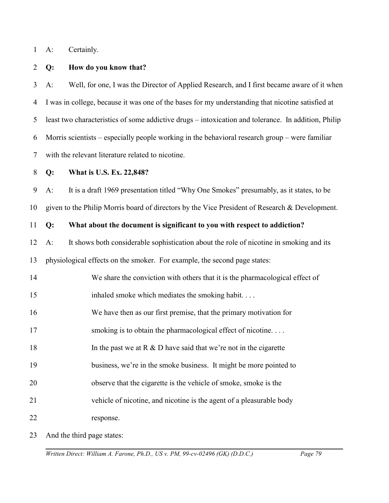1 A: Certainly.

#### 2 **Q: How do you know that?**

3 4 5 6 7 A: Well, for one, I was the Director of Applied Research, and I first became aware of it when I was in college, because it was one of the bases for my understanding that nicotine satisfied at least two characteristics of some addictive drugs – intoxication and tolerance. In addition, Philip Morris scientists – especially people working in the behavioral research group – were familiar with the relevant literature related to nicotine.

#### 8 **Q: What is U.S. Ex. 22,848?**

9 10 A: It is a draft 1969 presentation titled "Why One Smokes" presumably, as it states, to be given to the Philip Morris board of directors by the Vice President of Research & Development.

#### 11 **Q: What about the document is significant to you with respect to addiction?**

- 12 13 A: It shows both considerable sophistication about the role of nicotine in smoking and its physiological effects on the smoker. For example, the second page states:
- 14 We share the conviction with others that it is the pharmacological effect of
- 15 inhaled smoke which mediates the smoking habit. . . .
- 16 We have then as our first premise, that the primary motivation for
- 17 smoking is to obtain the pharmacological effect of nicotine...
- 18 In the past we at  $R \& D$  have said that we're not in the cigarette
- 19 business, we're in the smoke business. It might be more pointed to
- 20 observe that the cigarette is the vehicle of smoke, smoke is the
- 21 vehicle of nicotine, and nicotine is the agent of a pleasurable body
- 22 response.

23 And the third page states: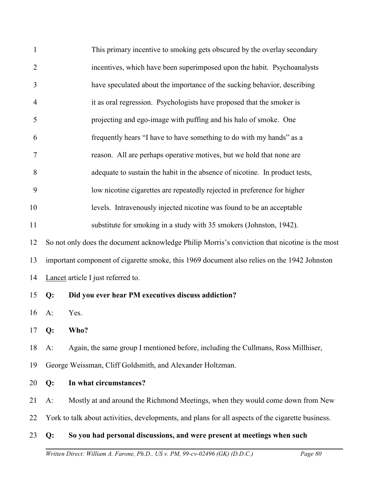| $\mathbf{1}$   |       | This primary incentive to smoking gets obscured by the overlay secondary                          |
|----------------|-------|---------------------------------------------------------------------------------------------------|
| $\overline{2}$ |       | incentives, which have been superimposed upon the habit. Psychoanalysts                           |
| 3              |       | have speculated about the importance of the sucking behavior, describing                          |
| $\overline{4}$ |       | it as oral regression. Psychologists have proposed that the smoker is                             |
| 5              |       | projecting and ego-image with puffing and his halo of smoke. One                                  |
| 6              |       | frequently hears "I have to have something to do with my hands" as a                              |
| 7              |       | reason. All are perhaps operative motives, but we hold that none are                              |
| 8              |       | adequate to sustain the habit in the absence of nicotine. In product tests,                       |
| 9              |       | low nicotine cigarettes are repeatedly rejected in preference for higher                          |
| 10             |       | levels. Intravenously injected nicotine was found to be an acceptable                             |
| 11             |       | substitute for smoking in a study with 35 smokers (Johnston, 1942).                               |
| 12             |       | So not only does the document acknowledge Philip Morris's conviction that nicotine is the most    |
| 13             |       | important component of cigarette smoke, this 1969 document also relies on the 1942 Johnston       |
| 14             |       | Lancet article I just referred to.                                                                |
| 15             | Q:    | Did you ever hear PM executives discuss addiction?                                                |
| 16             | $A$ : | Yes.                                                                                              |
| 17 $Q$ :       |       | Who?                                                                                              |
| 18             | $A$ : | Again, the same group I mentioned before, including the Cullmans, Ross Millhiser,                 |
| 19             |       | George Weissman, Cliff Goldsmith, and Alexander Holtzman.                                         |
| 20             | Q:    | In what circumstances?                                                                            |
| 21             | $A$ : | Mostly at and around the Richmond Meetings, when they would come down from New                    |
| 22             |       | York to talk about activities, developments, and plans for all aspects of the cigarette business. |
| 23             | Q:    | So you had personal discussions, and were present at meetings when such                           |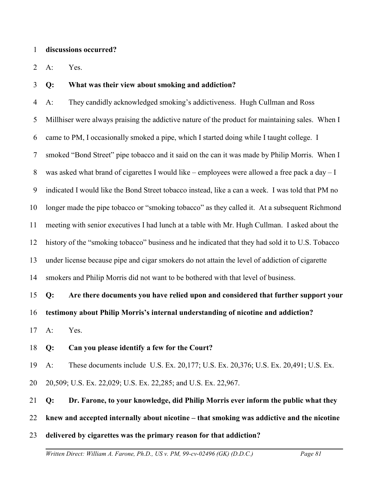#### 1 **discussions occurred?**

2 A: Yes.

#### 3 **Q: What was their view about smoking and addiction?**

4 5 6 7 8 9 10 11 12 13 14 15 A: They candidly acknowledged smoking's addictiveness. Hugh Cullman and Ross Millhiser were always praising the addictive nature of the product for maintaining sales. When I came to PM, I occasionally smoked a pipe, which I started doing while I taught college. I smoked "Bond Street" pipe tobacco and it said on the can it was made by Philip Morris. When I was asked what brand of cigarettes I would like – employees were allowed a free pack a day – I indicated I would like the Bond Street tobacco instead, like a can a week. I was told that PM no longer made the pipe tobacco or "smoking tobacco" as they called it. At a subsequent Richmond meeting with senior executives I had lunch at a table with Mr. Hugh Cullman. I asked about the history of the "smoking tobacco" business and he indicated that they had sold it to U.S. Tobacco under license because pipe and cigar smokers do not attain the level of addiction of cigarette smokers and Philip Morris did not want to be bothered with that level of business. **Q: Are there documents you have relied upon and considered that further support your**

16 **testimony about Philip Morris's internal understanding of nicotine and addiction?**

17 A: Yes.

#### 18 **Q: Can you please identify a few for the Court?**

19 A: These documents include U.S. Ex. 20,177; U.S. Ex. 20,376; U.S. Ex. 20,491; U.S. Ex.

20 20,509; U.S. Ex. 22,029; U.S. Ex. 22,285; and U.S. Ex. 22,967.

#### 21 **Q: Dr. Farone, to your knowledge, did Philip Morris ever inform the public what they**

22 **knew and accepted internally about nicotine – that smoking was addictive and the nicotine**

23 **delivered by cigarettes was the primary reason for that addiction?**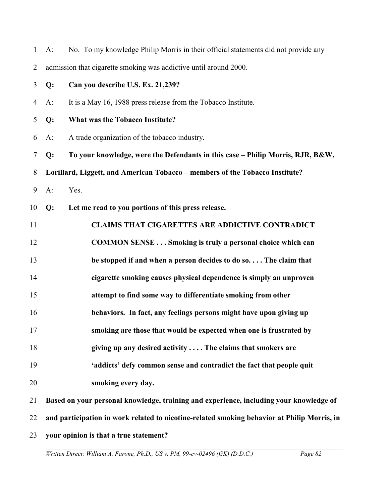| $\mathbf{1}$   | A:                                                                                          | No. To my knowledge Philip Morris in their official statements did not provide any |  |
|----------------|---------------------------------------------------------------------------------------------|------------------------------------------------------------------------------------|--|
| 2              |                                                                                             | admission that cigarette smoking was addictive until around 2000.                  |  |
| $\mathfrak{Z}$ | Q:                                                                                          | Can you describe U.S. Ex. 21,239?                                                  |  |
| $\overline{4}$ | $A$ :                                                                                       | It is a May 16, 1988 press release from the Tobacco Institute.                     |  |
| 5              | Q:                                                                                          | <b>What was the Tobacco Institute?</b>                                             |  |
| 6              | $A$ :                                                                                       | A trade organization of the tobacco industry.                                      |  |
| $\tau$         | Q:                                                                                          | To your knowledge, were the Defendants in this case - Philip Morris, RJR, B&W,     |  |
| 8              | Lorillard, Liggett, and American Tobacco - members of the Tobacco Institute?                |                                                                                    |  |
| 9              | $A$ :                                                                                       | Yes.                                                                               |  |
| 10             | Q:                                                                                          | Let me read to you portions of this press release.                                 |  |
| 11             |                                                                                             | <b>CLAIMS THAT CIGARETTES ARE ADDICTIVE CONTRADICT</b>                             |  |
| 12             |                                                                                             | <b>COMMON SENSE Smoking is truly a personal choice which can</b>                   |  |
| 13             |                                                                                             | be stopped if and when a person decides to do so The claim that                    |  |
| 14             |                                                                                             | cigarette smoking causes physical dependence is simply an unproven                 |  |
| 15             |                                                                                             | attempt to find some way to differentiate smoking from other                       |  |
| 16             |                                                                                             | behaviors. In fact, any feelings persons might have upon giving up                 |  |
| 17             |                                                                                             | smoking are those that would be expected when one is frustrated by                 |  |
| 18             |                                                                                             | giving up any desired activity  The claims that smokers are                        |  |
| 19             |                                                                                             | 'addicts' defy common sense and contradict the fact that people quit               |  |
| 20             |                                                                                             | smoking every day.                                                                 |  |
| 21             | Based on your personal knowledge, training and experience, including your knowledge of      |                                                                                    |  |
| 22             | and participation in work related to nicotine-related smoking behavior at Philip Morris, in |                                                                                    |  |
| 23             |                                                                                             | your opinion is that a true statement?                                             |  |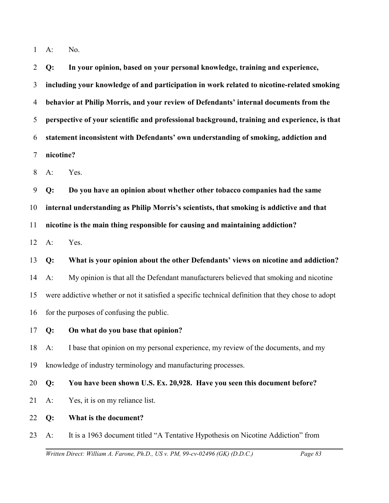1 A: No.

2 3 4 5 6 7 **Q: In your opinion, based on your personal knowledge, training and experience, including your knowledge of and participation in work related to nicotine-related smoking behavior at Philip Morris, and your review of Defendants' internal documents from the perspective of your scientific and professional background, training and experience, is that statement inconsistent with Defendants' own understanding of smoking, addiction and nicotine?**

8 A: Yes.

9 10 11 **Q: Do you have an opinion about whether other tobacco companies had the same internal understanding as Philip Morris's scientists, that smoking is addictive and that nicotine is the main thing responsible for causing and maintaining addiction?**

12 A: Yes.

13 14 15 16 **Q: What is your opinion about the other Defendants' views on nicotine and addiction?** A: My opinion is that all the Defendant manufacturers believed that smoking and nicotine were addictive whether or not it satisfied a specific technical definition that they chose to adopt for the purposes of confusing the public.

17 **Q: On what do you base that opinion?**

18 19 A: I base that opinion on my personal experience, my review of the documents, and my knowledge of industry terminology and manufacturing processes.

20 **Q: You have been shown U.S. Ex. 20,928. Have you seen this document before?**

- 21 A: Yes, it is on my reliance list.
- 22 **Q: What is the document?**

23 A: It is a 1963 document titled "A Tentative Hypothesis on Nicotine Addiction" from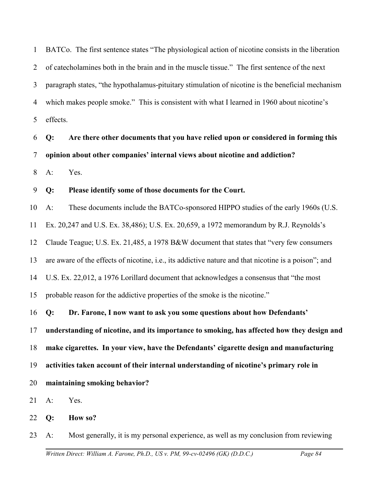1 2 3 4 5 BATCo. The first sentence states "The physiological action of nicotine consists in the liberation of catecholamines both in the brain and in the muscle tissue." The first sentence of the next paragraph states, "the hypothalamus-pituitary stimulation of nicotine is the beneficial mechanism which makes people smoke." This is consistent with what I learned in 1960 about nicotine's effects.

6 7 **Q: Are there other documents that you have relied upon or considered in forming this opinion about other companies' internal views about nicotine and addiction?**

8 A: Yes.

#### 9 **Q: Please identify some of those documents for the Court.**

10 A: These documents include the BATCo-sponsored HIPPO studies of the early 1960s (U.S.

11 Ex. 20,247 and U.S. Ex. 38,486); U.S. Ex. 20,659, a 1972 memorandum by R.J. Reynolds's

12 Claude Teague; U.S. Ex. 21,485, a 1978 B&W document that states that "very few consumers

13 are aware of the effects of nicotine, i.e., its addictive nature and that nicotine is a poison"; and

14 U.S. Ex. 22,012, a 1976 Lorillard document that acknowledges a consensus that "the most

15 probable reason for the addictive properties of the smoke is the nicotine."

16 **Q: Dr. Farone, I now want to ask you some questions about how Defendants'**

17 **understanding of nicotine, and its importance to smoking, has affected how they design and**

18 **make cigarettes. In your view, have the Defendants' cigarette design and manufacturing**

19 **activities taken account of their internal understanding of nicotine's primary role in**

20 **maintaining smoking behavior?**

21 A: Yes.

22 **Q: How so?**

23 A: Most generally, it is my personal experience, as well as my conclusion from reviewing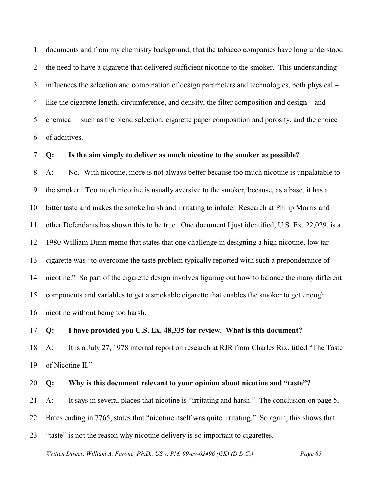1 2 3 4 5 6 documents and from my chemistry background, that the tobacco companies have long understood the need to have a cigarette that delivered sufficient nicotine to the smoker. This understanding influences the selection and combination of design parameters and technologies, both physical – like the cigarette length, circumference, and density, the filter composition and design – and chemical – such as the blend selection, cigarette paper composition and porosity, and the choice of additives.

#### 7 **Q: Is the aim simply to deliver as much nicotine to the smoker as possible?**

8 9 10 11 12 13 14 15 16 A: No. With nicotine, more is not always better because too much nicotine is unpalatable to the smoker. Too much nicotine is usually aversive to the smoker, because, as a base, it has a bitter taste and makes the smoke harsh and irritating to inhale. Research at Philip Morris and other Defendants has shown this to be true. One document I just identified, U.S. Ex. 22,029, is a 1980 William Dunn memo that states that one challenge in designing a high nicotine, low tar cigarette was "to overcome the taste problem typically reported with such a preponderance of nicotine." So part of the cigarette design involves figuring out how to balance the many different components and variables to get a smokable cigarette that enables the smoker to get enough nicotine without being too harsh.

#### 17 **Q: I have provided you U.S. Ex. 48,335 for review. What is this document?**

18 19 A: It is a July 27, 1978 internal report on research at RJR from Charles Rix, titled "The Taste of Nicotine II."

#### 20 **Q: Why is this document relevant to your opinion about nicotine and "taste"?**

21 A: It says in several places that nicotine is "irritating and harsh." The conclusion on page 5,

22 Bates ending in 7765, states that "nicotine itself was quite irritating." So again, this shows that

23 "taste" is not the reason why nicotine delivery is so important to cigarettes.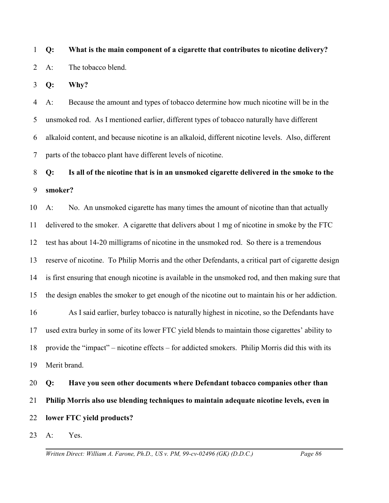1 2 **Q: What is the main component of a cigarette that contributes to nicotine delivery?** A: The tobacco blend.

3 **Q: Why?**

4 5 6 7 A: Because the amount and types of tobacco determine how much nicotine will be in the unsmoked rod. As I mentioned earlier, different types of tobacco naturally have different alkaloid content, and because nicotine is an alkaloid, different nicotine levels. Also, different parts of the tobacco plant have different levels of nicotine.

# 8 9 **Q: Is all of the nicotine that is in an unsmoked cigarette delivered in the smoke to the smoker?**

10 11 12 13 14 15 16 17 18 19 A: No. An unsmoked cigarette has many times the amount of nicotine than that actually delivered to the smoker. A cigarette that delivers about 1 mg of nicotine in smoke by the FTC test has about 14-20 milligrams of nicotine in the unsmoked rod. So there is a tremendous reserve of nicotine. To Philip Morris and the other Defendants, a critical part of cigarette design is first ensuring that enough nicotine is available in the unsmoked rod, and then making sure that the design enables the smoker to get enough of the nicotine out to maintain his or her addiction. As I said earlier, burley tobacco is naturally highest in nicotine, so the Defendants have used extra burley in some of its lower FTC yield blends to maintain those cigarettes' ability to provide the "impact" – nicotine effects – for addicted smokers. Philip Morris did this with its Merit brand.

20 21 22 **Q: Have you seen other documents where Defendant tobacco companies other than Philip Morris also use blending techniques to maintain adequate nicotine levels, even in lower FTC yield products?**

23 A: Yes.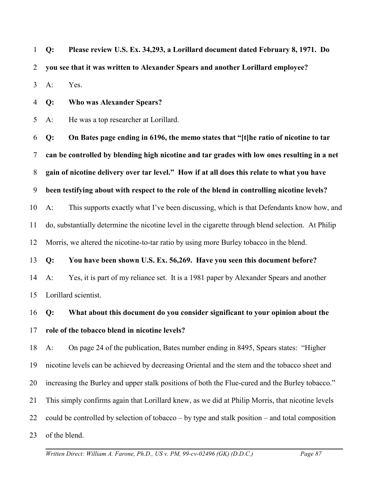1 2 3 **Q: Please review U.S. Ex. 34,293, a Lorillard document dated February 8, 1971. Do you see that it was written to Alexander Spears and another Lorillard employee?** A: Yes.

4 **Q: Who was Alexander Spears?**

5 A: He was a top researcher at Lorillard.

6 7 8 9 10 11 12 **Q: On Bates page ending in 6196, the memo states that "[t]he ratio of nicotine to tar can be controlled by blending high nicotine and tar grades with low ones resulting in a net gain of nicotine delivery over tar level." How if at all does this relate to what you have been testifying about with respect to the role of the blend in controlling nicotine levels?** A: This supports exactly what I've been discussing, which is that Defendants know how, and do, substantially determine the nicotine level in the cigarette through blend selection. At Philip Morris, we altered the nicotine-to-tar ratio by using more Burley tobacco in the blend.

13 **Q: You have been shown U.S. Ex. 56,269. Have you seen this document before?**

14 15 A: Yes, it is part of my reliance set. It is a 1981 paper by Alexander Spears and another Lorillard scientist.

16 17 **Q: What about this document do you consider significant to your opinion about the role of the tobacco blend in nicotine levels?**

18 19 20 21 22 23 A: On page 24 of the publication, Bates number ending in 8495, Spears states: "Higher nicotine levels can be achieved by decreasing Oriental and the stem and the tobacco sheet and increasing the Burley and upper stalk positions of both the Flue-cured and the Burley tobacco." This simply confirms again that Lorillard knew, as we did at Philip Morris, that nicotine levels could be controlled by selection of tobacco – by type and stalk position – and total composition of the blend.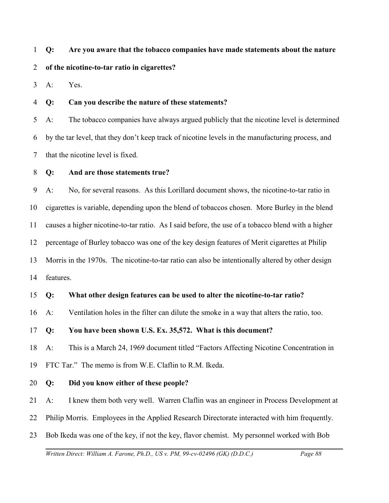# 1 **Q: Are you aware that the tobacco companies have made statements about the nature**

### 2 **of the nicotine-to-tar ratio in cigarettes?**

3 A: Yes.

4 **Q: Can you describe the nature of these statements?** 

5 6 7 A: The tobacco companies have always argued publicly that the nicotine level is determined by the tar level, that they don't keep track of nicotine levels in the manufacturing process, and that the nicotine level is fixed.

8 **Q: And are those statements true?**

9 10 11 12 13 14 A: No, for several reasons. As this Lorillard document shows, the nicotine-to-tar ratio in cigarettes is variable, depending upon the blend of tobaccos chosen. More Burley in the blend causes a higher nicotine-to-tar ratio. As I said before, the use of a tobacco blend with a higher percentage of Burley tobacco was one of the key design features of Merit cigarettes at Philip Morris in the 1970s. The nicotine-to-tar ratio can also be intentionally altered by other design features.

15 **Q: What other design features can be used to alter the nicotine-to-tar ratio?**

16 A: Ventilation holes in the filter can dilute the smoke in a way that alters the ratio, too.

### 17 **Q: You have been shown U.S. Ex. 35,572. What is this document?**

18 A: This is a March 24, 1969 document titled "Factors Affecting Nicotine Concentration in

19 FTC Tar." The memo is from W.E. Claflin to R.M. Ikeda.

### 20 **Q: Did you know either of these people?**

21 A: I knew them both very well. Warren Claflin was an engineer in Process Development at

- 22 Philip Morris. Employees in the Applied Research Directorate interacted with him frequently.
- 23 Bob Ikeda was one of the key, if not the key, flavor chemist. My personnel worked with Bob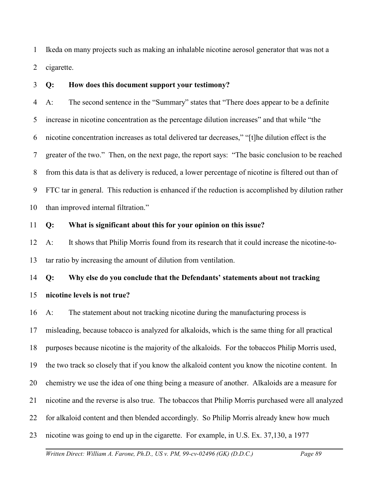1 2 Ikeda on many projects such as making an inhalable nicotine aerosol generator that was not a cigarette.

3 **Q: How does this document support your testimony?**

4 5 6 7 8 9 10 A: The second sentence in the "Summary" states that "There does appear to be a definite increase in nicotine concentration as the percentage dilution increases" and that while "the nicotine concentration increases as total delivered tar decreases," "[t]he dilution effect is the greater of the two." Then, on the next page, the report says: "The basic conclusion to be reached from this data is that as delivery is reduced, a lower percentage of nicotine is filtered out than of FTC tar in general. This reduction is enhanced if the reduction is accomplished by dilution rather than improved internal filtration."

#### 11 **Q: What is significant about this for your opinion on this issue?**

12 13 A: It shows that Philip Morris found from its research that it could increase the nicotine-totar ratio by increasing the amount of dilution from ventilation.

14 15 **Q: Why else do you conclude that the Defendants' statements about not tracking nicotine levels is not true?**

16 17 18 19 20 21 22 23 A: The statement about not tracking nicotine during the manufacturing process is misleading, because tobacco is analyzed for alkaloids, which is the same thing for all practical purposes because nicotine is the majority of the alkaloids. For the tobaccos Philip Morris used, the two track so closely that if you know the alkaloid content you know the nicotine content. In chemistry we use the idea of one thing being a measure of another. Alkaloids are a measure for nicotine and the reverse is also true. The tobaccos that Philip Morris purchased were all analyzed for alkaloid content and then blended accordingly. So Philip Morris already knew how much nicotine was going to end up in the cigarette. For example, in U.S. Ex. 37,130, a 1977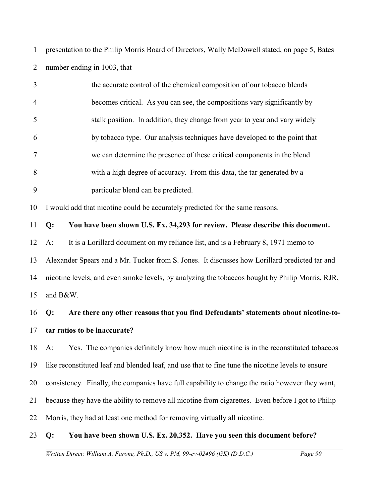1 2 presentation to the Philip Morris Board of Directors, Wally McDowell stated, on page 5, Bates number ending in 1003, that

|                | the accurate control of the chemical composition of our tobacco blends     |
|----------------|----------------------------------------------------------------------------|
| $\overline{4}$ | becomes critical. As you can see, the compositions vary significantly by   |
|                | stalk position. In addition, they change from year to year and vary widely |
| 6              | by tobacco type. Our analysis techniques have developed to the point that  |
|                | we can determine the presence of these critical components in the blend    |
| 8              | with a high degree of accuracy. From this data, the tar generated by a     |
| 9              | particular blend can be predicted.                                         |
|                |                                                                            |

10 I would add that nicotine could be accurately predicted for the same reasons.

11 **Q: You have been shown U.S. Ex. 34,293 for review. Please describe this document.**

12 A: It is a Lorillard document on my reliance list, and is a February 8, 1971 memo to

13 14 15 Alexander Spears and a Mr. Tucker from S. Jones. It discusses how Lorillard predicted tar and nicotine levels, and even smoke levels, by analyzing the tobaccos bought by Philip Morris, RJR, and B&W.

### 16 17 **Q: Are there any other reasons that you find Defendants' statements about nicotine-totar ratios to be inaccurate?**

18 19 20 21 22 A: Yes. The companies definitely know how much nicotine is in the reconstituted tobaccos like reconstituted leaf and blended leaf, and use that to fine tune the nicotine levels to ensure consistency. Finally, the companies have full capability to change the ratio however they want, because they have the ability to remove all nicotine from cigarettes. Even before I got to Philip Morris, they had at least one method for removing virtually all nicotine.

#### 23 **Q: You have been shown U.S. Ex. 20,352. Have you seen this document before?**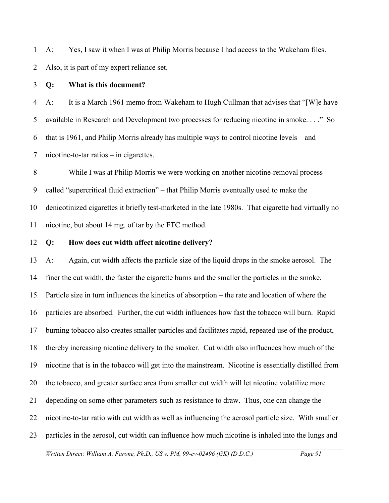1 2 A: Yes, I saw it when I was at Philip Morris because I had access to the Wakeham files. Also, it is part of my expert reliance set.

#### 3 **Q: What is this document?**

4 5 6 7 A: It is a March 1961 memo from Wakeham to Hugh Cullman that advises that "[W]e have available in Research and Development two processes for reducing nicotine in smoke. . . ." So that is 1961, and Philip Morris already has multiple ways to control nicotine levels – and nicotine-to-tar ratios – in cigarettes.

8 9 10 11 While I was at Philip Morris we were working on another nicotine-removal process – called "supercritical fluid extraction" – that Philip Morris eventually used to make the denicotinized cigarettes it briefly test-marketed in the late 1980s. That cigarette had virtually no nicotine, but about 14 mg. of tar by the FTC method.

#### 12 **Q: How does cut width affect nicotine delivery?**

13 14 15 16 17 18 19 20 21 22 23 A: Again, cut width affects the particle size of the liquid drops in the smoke aerosol. The finer the cut width, the faster the cigarette burns and the smaller the particles in the smoke. Particle size in turn influences the kinetics of absorption – the rate and location of where the particles are absorbed. Further, the cut width influences how fast the tobacco will burn. Rapid burning tobacco also creates smaller particles and facilitates rapid, repeated use of the product, thereby increasing nicotine delivery to the smoker. Cut width also influences how much of the nicotine that is in the tobacco will get into the mainstream. Nicotine is essentially distilled from the tobacco, and greater surface area from smaller cut width will let nicotine volatilize more depending on some other parameters such as resistance to draw. Thus, one can change the nicotine-to-tar ratio with cut width as well as influencing the aerosol particle size. With smaller particles in the aerosol, cut width can influence how much nicotine is inhaled into the lungs and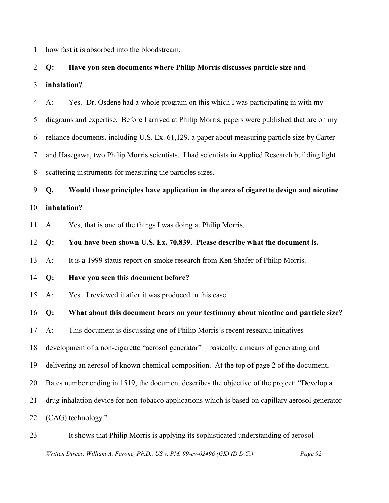1 how fast it is absorbed into the bloodstream.

# 2 3 **Q: Have you seen documents where Philip Morris discusses particle size and inhalation?**

4 5 6 7 8 A: Yes. Dr. Osdene had a whole program on this which I was participating in with my diagrams and expertise. Before I arrived at Philip Morris, papers were published that are on my reliance documents, including U.S. Ex. 61,129, a paper about measuring particle size by Carter and Hasegawa, two Philip Morris scientists. I had scientists in Applied Research building light scattering instruments for measuring the particles sizes.

9 10 **Q. Would these principles have application in the area of cigarette design and nicotine inhalation?**

11 A. Yes, that is one of the things I was doing at Philip Morris.

12 **Q: You have been shown U.S. Ex. 70,839. Please describe what the document is.** 

13 A: It is a 1999 status report on smoke research from Ken Shafer of Philip Morris.

- 14 **Q: Have you seen this document before?**
- 15 A: Yes. I reviewed it after it was produced in this case.

16 **Q: What about this document bears on your testimony about nicotine and particle size?**

17 A: This document is discussing one of Philip Morris's recent research initiatives –

18 development of a non-cigarette "aerosol generator" – basically, a means of generating and

19 delivering an aerosol of known chemical composition. At the top of page 2 of the document,

- 20 Bates number ending in 1519, the document describes the objective of the project: "Develop a
- 21 drug inhalation device for non-tobacco applications which is based on capillary aerosol generator
- 22 (CAG) technology."
- 23 It shows that Philip Morris is applying its sophisticated understanding of aerosol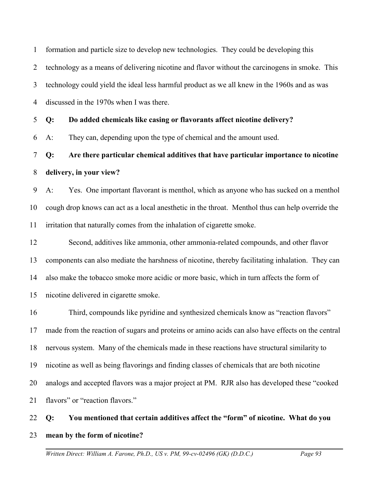1 2 3 4 formation and particle size to develop new technologies. They could be developing this technology as a means of delivering nicotine and flavor without the carcinogens in smoke. This technology could yield the ideal less harmful product as we all knew in the 1960s and as was discussed in the 1970s when I was there.

5 **Q: Do added chemicals like casing or flavorants affect nicotine delivery?**

6 A: They can, depending upon the type of chemical and the amount used.

7 8 **Q: Are there particular chemical additives that have particular importance to nicotine delivery, in your view?**

9 10 11 A: Yes. One important flavorant is menthol, which as anyone who has sucked on a menthol cough drop knows can act as a local anesthetic in the throat. Menthol thus can help override the irritation that naturally comes from the inhalation of cigarette smoke.

12 13 14 15 Second, additives like ammonia, other ammonia-related compounds, and other flavor components can also mediate the harshness of nicotine, thereby facilitating inhalation. They can also make the tobacco smoke more acidic or more basic, which in turn affects the form of nicotine delivered in cigarette smoke.

16 17 18 19 20 21 Third, compounds like pyridine and synthesized chemicals know as "reaction flavors" made from the reaction of sugars and proteins or amino acids can also have effects on the central nervous system. Many of the chemicals made in these reactions have structural similarity to nicotine as well as being flavorings and finding classes of chemicals that are both nicotine analogs and accepted flavors was a major project at PM. RJR also has developed these "cooked flavors" or "reaction flavors."

22 23 **Q: You mentioned that certain additives affect the "form" of nicotine. What do you mean by the form of nicotine?**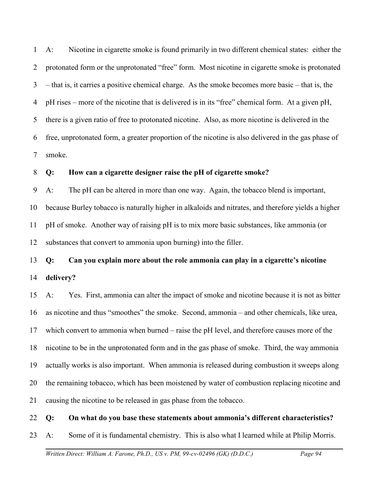1 2 3 4 5 6 7 A: Nicotine in cigarette smoke is found primarily in two different chemical states: either the protonated form or the unprotonated "free" form. Most nicotine in cigarette smoke is protonated – that is, it carries a positive chemical charge. As the smoke becomes more basic – that is, the pH rises – more of the nicotine that is delivered is in its "free" chemical form. At a given pH, there is a given ratio of free to protonated nicotine. Also, as more nicotine is delivered in the free, unprotonated form, a greater proportion of the nicotine is also delivered in the gas phase of smoke.

#### 8 **Q: How can a cigarette designer raise the pH of cigarette smoke?**

9 10 11 12 A: The pH can be altered in more than one way. Again, the tobacco blend is important, because Burley tobacco is naturally higher in alkaloids and nitrates, and therefore yields a higher pH of smoke. Another way of raising pH is to mix more basic substances, like ammonia (or substances that convert to ammonia upon burning) into the filler.

# 13 14 **Q: Can you explain more about the role ammonia can play in a cigarette's nicotine delivery?**

15 16 17 18 19 20 21 A: Yes. First, ammonia can alter the impact of smoke and nicotine because it is not as bitter as nicotine and thus "smoothes" the smoke. Second, ammonia – and other chemicals, like urea, which convert to ammonia when burned – raise the pH level, and therefore causes more of the nicotine to be in the unprotonated form and in the gas phase of smoke. Third, the way ammonia actually works is also important. When ammonia is released during combustion it sweeps along the remaining tobacco, which has been moistened by water of combustion replacing nicotine and causing the nicotine to be released in gas phase from the tobacco.

#### 22 **Q: On what do you base these statements about ammonia's different characteristics?**

23 A: Some of it is fundamental chemistry. This is also what I learned while at Philip Morris.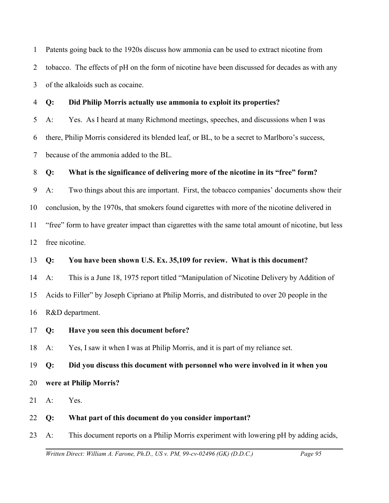1 2 3 Patents going back to the 1920s discuss how ammonia can be used to extract nicotine from tobacco. The effects of pH on the form of nicotine have been discussed for decades as with any of the alkaloids such as cocaine.

4 **Q: Did Philip Morris actually use ammonia to exploit its properties?**

5 6 7 A: Yes. As I heard at many Richmond meetings, speeches, and discussions when I was there, Philip Morris considered its blended leaf, or BL, to be a secret to Marlboro's success, because of the ammonia added to the BL.

### 8 **Q: What is the significance of delivering more of the nicotine in its "free" form?**

9 10 11 12 A: Two things about this are important. First, the tobacco companies' documents show their conclusion, by the 1970s, that smokers found cigarettes with more of the nicotine delivered in "free" form to have greater impact than cigarettes with the same total amount of nicotine, but less free nicotine.

### 13 **Q: You have been shown U.S. Ex. 35,109 for review. What is this document?**

14 15 16 A: This is a June 18, 1975 report titled "Manipulation of Nicotine Delivery by Addition of Acids to Filler" by Joseph Cipriano at Philip Morris, and distributed to over 20 people in the R&D department.

17 **Q: Have you seen this document before?**

18 A: Yes, I saw it when I was at Philip Morris, and it is part of my reliance set.

19 **Q: Did you discuss this document with personnel who were involved in it when you**

- 20 **were at Philip Morris?**
- 21 A: Yes.
- 22 **Q: What part of this document do you consider important?**
- 23 A: This document reports on a Philip Morris experiment with lowering pH by adding acids,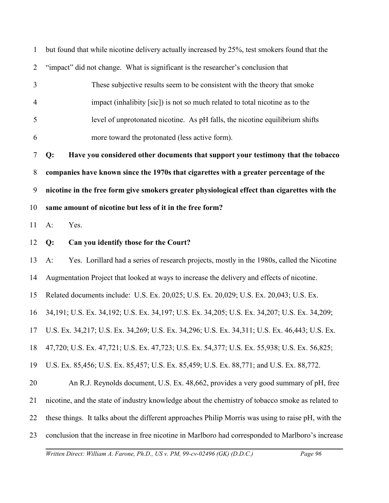| 1              | but found that while nicotine delivery actually increased by 25%, test smokers found that the       |
|----------------|-----------------------------------------------------------------------------------------------------|
| $\overline{2}$ | "impact" did not change. What is significant is the researcher's conclusion that                    |
| 3              | These subjective results seem to be consistent with the theory that smoke                           |
| $\overline{4}$ | impact (inhalibity [sic]) is not so much related to total nicotine as to the                        |
| 5              | level of unprotonated nicotine. As pH falls, the nicotine equilibrium shifts                        |
| 6              | more toward the protonated (less active form).                                                      |
| $\tau$         | Have you considered other documents that support your testimony that the tobacco<br>Q:              |
| $8\,$          | companies have known since the 1970s that cigarettes with a greater percentage of the               |
| 9              | nicotine in the free form give smokers greater physiological effect than cigarettes with the        |
| 10             | same amount of nicotine but less of it in the free form?                                            |
| 11             | $A$ :<br>Yes.                                                                                       |
| 12             | Can you identify those for the Court?<br>Q:                                                         |
| 13             | Yes. Lorillard had a series of research projects, mostly in the 1980s, called the Nicotine<br>$A$ : |
| 14             | Augmentation Project that looked at ways to increase the delivery and effects of nicotine.          |
| 15             | Related documents include: U.S. Ex. 20,025; U.S. Ex. 20,029; U.S. Ex. 20,043; U.S. Ex.              |
| 16             | 34,191; U.S. Ex. 34,192; U.S. Ex. 34,197; U.S. Ex. 34,205; U.S. Ex. 34,207; U.S. Ex. 34,209;        |
|                | 17 U.S. Ex. 34,217; U.S. Ex. 34,269; U.S. Ex. 34,296; U.S. Ex. 34,311; U.S. Ex. 46,443; U.S. Ex.    |
| 18             | 47,720; U.S. Ex. 47,721; U.S. Ex. 47,723; U.S. Ex. 54,377; U.S. Ex. 55,938; U.S. Ex. 56,825;        |
| 19             | U.S. Ex. 85,456; U.S. Ex. 85,457; U.S. Ex. 85,459; U.S. Ex. 88,771; and U.S. Ex. 88,772.            |
| 20             | An R.J. Reynolds document, U.S. Ex. 48,662, provides a very good summary of pH, free                |
| 21             | nicotine, and the state of industry knowledge about the chemistry of tobacco smoke as related to    |
| 22             | these things. It talks about the different approaches Philip Morris was using to raise pH, with the |
| 23             | conclusion that the increase in free nicotine in Marlboro had corresponded to Marlboro's increase   |
|                |                                                                                                     |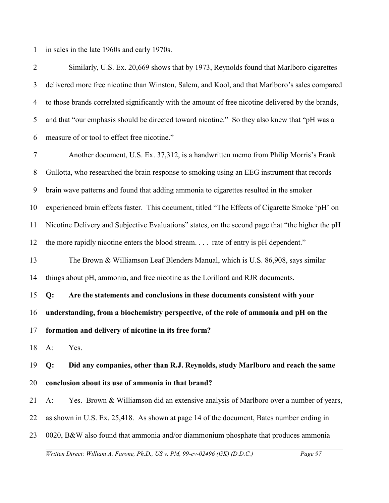1 in sales in the late 1960s and early 1970s.

2 3 4 5 6 Similarly, U.S. Ex. 20,669 shows that by 1973, Reynolds found that Marlboro cigarettes delivered more free nicotine than Winston, Salem, and Kool, and that Marlboro's sales compared to those brands correlated significantly with the amount of free nicotine delivered by the brands, and that "our emphasis should be directed toward nicotine." So they also knew that "pH was a measure of or tool to effect free nicotine."

7 8 9 10 11 12 13 14 15 16 Another document, U.S. Ex. 37,312, is a handwritten memo from Philip Morris's Frank Gullotta, who researched the brain response to smoking using an EEG instrument that records brain wave patterns and found that adding ammonia to cigarettes resulted in the smoker experienced brain effects faster. This document, titled "The Effects of Cigarette Smoke 'pH' on Nicotine Delivery and Subjective Evaluations" states, on the second page that "the higher the pH the more rapidly nicotine enters the blood stream. . . . rate of entry is pH dependent." The Brown & Williamson Leaf Blenders Manual, which is U.S. 86,908, says similar things about pH, ammonia, and free nicotine as the Lorillard and RJR documents. **Q: Are the statements and conclusions in these documents consistent with your understanding, from a biochemistry perspective, of the role of ammonia and pH on the**

17 **formation and delivery of nicotine in its free form?** 

18 A: Yes.

19 20 **Q: Did any companies, other than R.J. Reynolds, study Marlboro and reach the same conclusion about its use of ammonia in that brand?**

21 A: Yes. Brown & Williamson did an extensive analysis of Marlboro over a number of years,

22 as shown in U.S. Ex. 25,418. As shown at page 14 of the document, Bates number ending in

23 0020, B&W also found that ammonia and/or diammonium phosphate that produces ammonia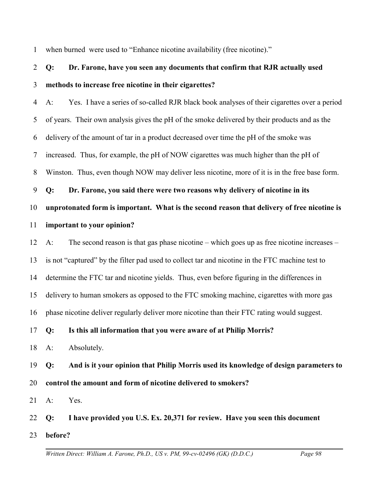1 when burned were used to "Enhance nicotine availability (free nicotine)."

# 2 3 **Q: Dr. Farone, have you seen any documents that confirm that RJR actually used methods to increase free nicotine in their cigarettes?**

4 5 6 7 8 A: Yes. I have a series of so-called RJR black book analyses of their cigarettes over a period of years. Their own analysis gives the pH of the smoke delivered by their products and as the delivery of the amount of tar in a product decreased over time the pH of the smoke was increased. Thus, for example, the pH of NOW cigarettes was much higher than the pH of Winston. Thus, even though NOW may deliver less nicotine, more of it is in the free base form.

9 10 **Q: Dr. Farone, you said there were two reasons why delivery of nicotine in its unprotonated form is important. What is the second reason that delivery of free nicotine is**

#### 11 **important to your opinion?**

12 13 14 15 16 A: The second reason is that gas phase nicotine – which goes up as free nicotine increases – is not "captured" by the filter pad used to collect tar and nicotine in the FTC machine test to determine the FTC tar and nicotine yields. Thus, even before figuring in the differences in delivery to human smokers as opposed to the FTC smoking machine, cigarettes with more gas phase nicotine deliver regularly deliver more nicotine than their FTC rating would suggest.

17 **Q: Is this all information that you were aware of at Philip Morris?**

18 A: Absolutely.

19 20 **Q: And is it your opinion that Philip Morris used its knowledge of design parameters to control the amount and form of nicotine delivered to smokers?**

21 A: Yes.

22 **Q: I have provided you U.S. Ex. 20,371 for review. Have you seen this document**

23 **before?**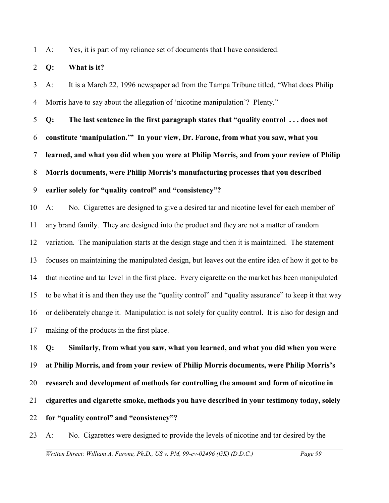1 A: Yes, it is part of my reliance set of documents that I have considered.

#### 2 **Q: What is it?**

3 4 A: It is a March 22, 1996 newspaper ad from the Tampa Tribune titled, "What does Philip Morris have to say about the allegation of 'nicotine manipulation'? Plenty."

5 6 7 8 9 **Q: The last sentence in the first paragraph states that "quality control . . . does not constitute 'manipulation.'" In your view, Dr. Farone, from what you saw, what you learned, and what you did when you were at Philip Morris, and from your review of Philip Morris documents, were Philip Morris's manufacturing processes that you described earlier solely for "quality control" and "consistency"?**

10 11 12 13 14 15 16 17 A: No. Cigarettes are designed to give a desired tar and nicotine level for each member of any brand family. They are designed into the product and they are not a matter of random variation. The manipulation starts at the design stage and then it is maintained. The statement focuses on maintaining the manipulated design, but leaves out the entire idea of how it got to be that nicotine and tar level in the first place. Every cigarette on the market has been manipulated to be what it is and then they use the "quality control" and "quality assurance" to keep it that way or deliberately change it. Manipulation is not solely for quality control. It is also for design and making of the products in the first place.

18 19 20 21 22 **Q: Similarly, from what you saw, what you learned, and what you did when you were at Philip Morris, and from your review of Philip Morris documents, were Philip Morris's research and development of methods for controlling the amount and form of nicotine in cigarettes and cigarette smoke, methods you have described in your testimony today, solely for "quality control" and "consistency"?**

23 A: No. Cigarettes were designed to provide the levels of nicotine and tar desired by the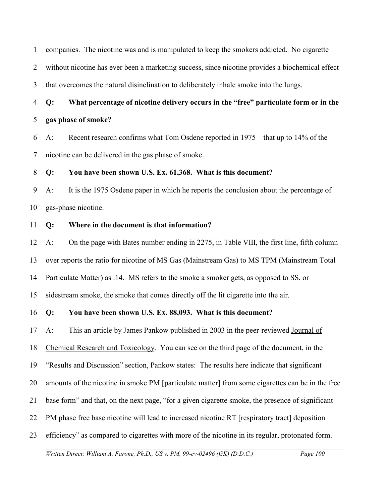1 companies. The nicotine was and is manipulated to keep the smokers addicted. No cigarette

2 without nicotine has ever been a marketing success, since nicotine provides a biochemical effect

3 that overcomes the natural disinclination to deliberately inhale smoke into the lungs.

4 5 **Q: What percentage of nicotine delivery occurs in the "free" particulate form or in the gas phase of smoke?**

6 7 A: Recent research confirms what Tom Osdene reported in 1975 – that up to 14% of the nicotine can be delivered in the gas phase of smoke.

8 **Q: You have been shown U.S. Ex. 61,368. What is this document?**

9 10 A: It is the 1975 Osdene paper in which he reports the conclusion about the percentage of gas-phase nicotine.

11 **Q: Where in the document is that information?**

12 13 14 15 A: On the page with Bates number ending in 2275, in Table VIII, the first line, fifth column over reports the ratio for nicotine of MS Gas (Mainstream Gas) to MS TPM (Mainstream Total Particulate Matter) as .14. MS refers to the smoke a smoker gets, as opposed to SS, or sidestream smoke, the smoke that comes directly off the lit cigarette into the air.

16 **Q: You have been shown U.S. Ex. 88,093. What is this document?** 

17 A: This an article by James Pankow published in 2003 in the peer-reviewed Journal of

18 Chemical Research and Toxicology. You can see on the third page of the document, in the

19 "Results and Discussion" section, Pankow states: The results here indicate that significant

20 amounts of the nicotine in smoke PM [particulate matter] from some cigarettes can be in the free

- 21 base form" and that, on the next page, "for a given cigarette smoke, the presence of significant
- 22 PM phase free base nicotine will lead to increased nicotine RT [respiratory tract] deposition
- 23 efficiency" as compared to cigarettes with more of the nicotine in its regular, protonated form.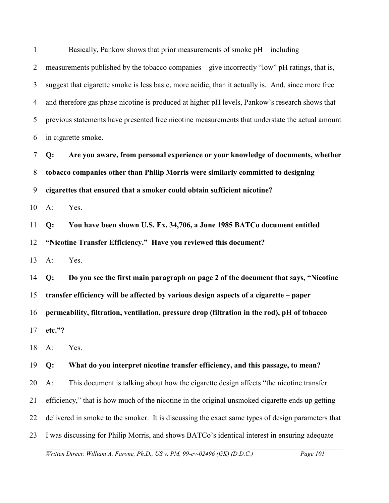1 2 3 4 5 6 Basically, Pankow shows that prior measurements of smoke pH – including measurements published by the tobacco companies – give incorrectly "low" pH ratings, that is, suggest that cigarette smoke is less basic, more acidic, than it actually is. And, since more free and therefore gas phase nicotine is produced at higher pH levels, Pankow's research shows that previous statements have presented free nicotine measurements that understate the actual amount in cigarette smoke.

7 8 9 **Q: Are you aware, from personal experience or your knowledge of documents, whether tobacco companies other than Philip Morris were similarly committed to designing cigarettes that ensured that a smoker could obtain sufficient nicotine?** 

10 A: Yes.

11 12 **Q: You have been shown U.S. Ex. 34,706, a June 1985 BATCo document entitled "Nicotine Transfer Efficiency." Have you reviewed this document?**

13 A: Yes.

14 15 16 17 **Q: Do you see the first main paragraph on page 2 of the document that says, "Nicotine transfer efficiency will be affected by various design aspects of a cigarette – paper permeability, filtration, ventilation, pressure drop (filtration in the rod), pH of tobacco etc."?** 

18 A: Yes.

19 **Q: What do you interpret nicotine transfer efficiency, and this passage, to mean?**

20 A: This document is talking about how the cigarette design affects "the nicotine transfer

21 efficiency," that is how much of the nicotine in the original unsmoked cigarette ends up getting

22 delivered in smoke to the smoker. It is discussing the exact same types of design parameters that

23 I was discussing for Philip Morris, and shows BATCo's identical interest in ensuring adequate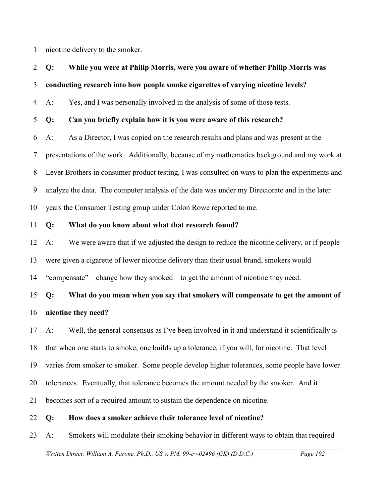1 nicotine delivery to the smoker.

# 2 **Q: While you were at Philip Morris, were you aware of whether Philip Morris was**

### 3 **conducting research into how people smoke cigarettes of varying nicotine levels?**

4 A: Yes, and I was personally involved in the analysis of some of those tests.

### 5 **Q: Can you briefly explain how it is you were aware of this research?**

6 7 8 9 10 A: As a Director, I was copied on the research results and plans and was present at the presentations of the work. Additionally, because of my mathematics background and my work at Lever Brothers in consumer product testing, I was consulted on ways to plan the experiments and analyze the data. The computer analysis of the data was under my Directorate and in the later years the Consumer Testing group under Colon Rowe reported to me.

#### 11 **Q: What do you know about what that research found?**

12 13 14 A: We were aware that if we adjusted the design to reduce the nicotine delivery, or if people were given a cigarette of lower nicotine delivery than their usual brand, smokers would "compensate" – change how they smoked – to get the amount of nicotine they need.

# 15 16 **Q: What do you mean when you say that smokers will compensate to get the amount of nicotine they need?**

17 18 19 20 21 A: Well, the general consensus as I've been involved in it and understand it scientifically is that when one starts to smoke, one builds up a tolerance, if you will, for nicotine. That level varies from smoker to smoker. Some people develop higher tolerances, some people have lower tolerances. Eventually, that tolerance becomes the amount needed by the smoker. And it becomes sort of a required amount to sustain the dependence on nicotine.

#### 22 **Q: How does a smoker achieve their tolerance level of nicotine?**

23 A: Smokers will modulate their smoking behavior in different ways to obtain that required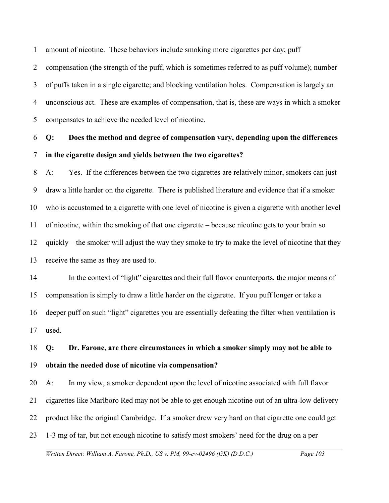1 amount of nicotine. These behaviors include smoking more cigarettes per day; puff

2 3 4 compensation (the strength of the puff, which is sometimes referred to as puff volume); number of puffs taken in a single cigarette; and blocking ventilation holes. Compensation is largely an unconscious act. These are examples of compensation, that is, these are ways in which a smoker

5 compensates to achieve the needed level of nicotine.

6 7 **Q: Does the method and degree of compensation vary, depending upon the differences in the cigarette design and yields between the two cigarettes?** 

8 9 10 11 12 13 A: Yes. If the differences between the two cigarettes are relatively minor, smokers can just draw a little harder on the cigarette. There is published literature and evidence that if a smoker who is accustomed to a cigarette with one level of nicotine is given a cigarette with another level of nicotine, within the smoking of that one cigarette – because nicotine gets to your brain so quickly – the smoker will adjust the way they smoke to try to make the level of nicotine that they receive the same as they are used to.

14 15 16 17 In the context of "light" cigarettes and their full flavor counterparts, the major means of compensation is simply to draw a little harder on the cigarette. If you puff longer or take a deeper puff on such "light" cigarettes you are essentially defeating the filter when ventilation is used.

18 19 **Q: Dr. Farone, are there circumstances in which a smoker simply may not be able to obtain the needed dose of nicotine via compensation?**

20 21 22 23 A: In my view, a smoker dependent upon the level of nicotine associated with full flavor cigarettes like Marlboro Red may not be able to get enough nicotine out of an ultra-low delivery product like the original Cambridge. If a smoker drew very hard on that cigarette one could get 1-3 mg of tar, but not enough nicotine to satisfy most smokers' need for the drug on a per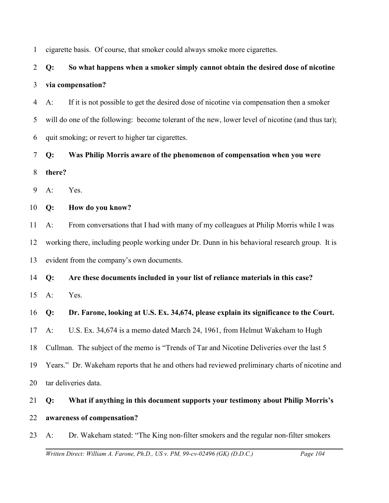1 cigarette basis. Of course, that smoker could always smoke more cigarettes.

# 2 3 **Q: So what happens when a smoker simply cannot obtain the desired dose of nicotine via compensation?**

4 5 6 A: If it is not possible to get the desired dose of nicotine via compensation then a smoker will do one of the following: become tolerant of the new, lower level of nicotine (and thus tar); quit smoking; or revert to higher tar cigarettes.

7 8 **Q: Was Philip Morris aware of the phenomenon of compensation when you were there?**

9 A: Yes.

10 **Q: How do you know?**

11 12 13 A: From conversations that I had with many of my colleagues at Philip Morris while I was working there, including people working under Dr. Dunn in his behavioral research group. It is evident from the company's own documents.

14 **Q: Are these documents included in your list of reliance materials in this case?**

15 A: Yes.

16 **Q: Dr. Farone, looking at U.S. Ex. 34,674, please explain its significance to the Court.**

17 A: U.S. Ex. 34,674 is a memo dated March 24, 1961, from Helmut Wakeham to Hugh

18 Cullman. The subject of the memo is "Trends of Tar and Nicotine Deliveries over the last 5

19 Years." Dr. Wakeham reports that he and others had reviewed preliminary charts of nicotine and

20 tar deliveries data.

# 21 22 **Q: What if anything in this document supports your testimony about Philip Morris's awareness of compensation?**

23 A: Dr. Wakeham stated: "The King non-filter smokers and the regular non-filter smokers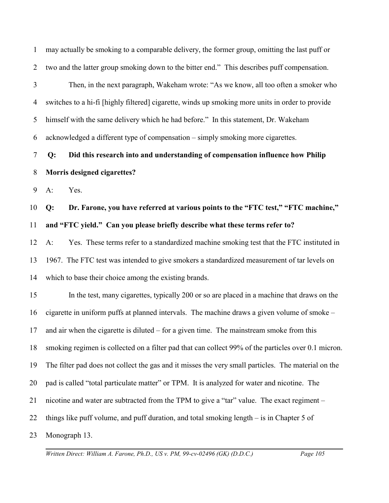1 2 may actually be smoking to a comparable delivery, the former group, omitting the last puff or two and the latter group smoking down to the bitter end." This describes puff compensation.

3 4 5 6 Then, in the next paragraph, Wakeham wrote: "As we know, all too often a smoker who switches to a hi-fi [highly filtered] cigarette, winds up smoking more units in order to provide himself with the same delivery which he had before." In this statement, Dr. Wakeham acknowledged a different type of compensation – simply smoking more cigarettes.

7 8 **Q: Did this research into and understanding of compensation influence how Philip Morris designed cigarettes?**

9 A: Yes.

10 11 **Q: Dr. Farone, you have referred at various points to the "FTC test," "FTC machine," and "FTC yield." Can you please briefly describe what these terms refer to?**

12 13 14 A: Yes. These terms refer to a standardized machine smoking test that the FTC instituted in 1967. The FTC test was intended to give smokers a standardized measurement of tar levels on which to base their choice among the existing brands.

15 16 17 18 19 20 21 22 23 In the test, many cigarettes, typically 200 or so are placed in a machine that draws on the cigarette in uniform puffs at planned intervals. The machine draws a given volume of smoke – and air when the cigarette is diluted – for a given time. The mainstream smoke from this smoking regimen is collected on a filter pad that can collect 99% of the particles over 0.1 micron. The filter pad does not collect the gas and it misses the very small particles. The material on the pad is called "total particulate matter" or TPM. It is analyzed for water and nicotine. The nicotine and water are subtracted from the TPM to give a "tar" value. The exact regiment – things like puff volume, and puff duration, and total smoking length – is in Chapter 5 of Monograph 13.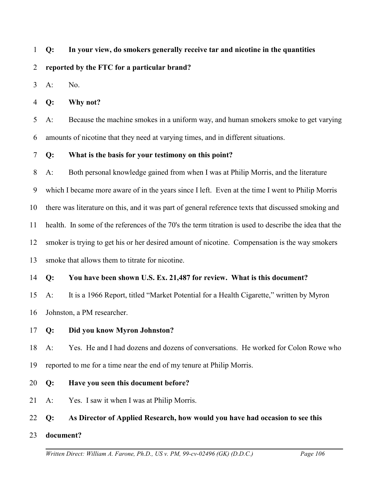#### 1 **Q: In your view, do smokers generally receive tar and nicotine in the quantities**

#### 2 **reported by the FTC for a particular brand?**

3 A: No.

4 **Q: Why not?**

5 6 A: Because the machine smokes in a uniform way, and human smokers smoke to get varying amounts of nicotine that they need at varying times, and in different situations.

7 **Q: What is the basis for your testimony on this point?**

8 A: Both personal knowledge gained from when I was at Philip Morris, and the literature

9 which I became more aware of in the years since I left. Even at the time I went to Philip Morris

10 there was literature on this, and it was part of general reference texts that discussed smoking and

11 health. In some of the references of the 70's the term titration is used to describe the idea that the

12 smoker is trying to get his or her desired amount of nicotine. Compensation is the way smokers

13 smoke that allows them to titrate for nicotine.

### 14 **Q: You have been shown U.S. Ex. 21,487 for review. What is this document?**

15 16 A: It is a 1966 Report, titled "Market Potential for a Health Cigarette," written by Myron Johnston, a PM researcher.

17 **Q: Did you know Myron Johnston?**

18 19 A: Yes. He and I had dozens and dozens of conversations. He worked for Colon Rowe who reported to me for a time near the end of my tenure at Philip Morris.

- 20 **Q: Have you seen this document before?**
- 21 A: Yes. I saw it when I was at Philip Morris.

### 22 **Q: As Director of Applied Research, how would you have had occasion to see this**

23 **document?**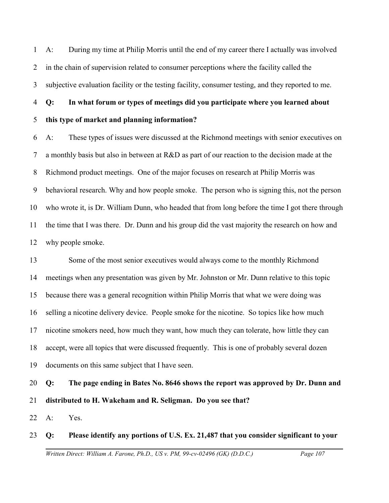1 2 3 A: During my time at Philip Morris until the end of my career there I actually was involved in the chain of supervision related to consumer perceptions where the facility called the subjective evaluation facility or the testing facility, consumer testing, and they reported to me.

### 4 **Q: In what forum or types of meetings did you participate where you learned about**

#### 5 **this type of market and planning information?**

6 7 8 9 10 11 12 A: These types of issues were discussed at the Richmond meetings with senior executives on a monthly basis but also in between at R&D as part of our reaction to the decision made at the Richmond product meetings. One of the major focuses on research at Philip Morris was behavioral research. Why and how people smoke. The person who is signing this, not the person who wrote it, is Dr. William Dunn, who headed that from long before the time I got there through the time that I was there. Dr. Dunn and his group did the vast majority the research on how and why people smoke.

13 14 15 16 17 18 19 Some of the most senior executives would always come to the monthly Richmond meetings when any presentation was given by Mr. Johnston or Mr. Dunn relative to this topic because there was a general recognition within Philip Morris that what we were doing was selling a nicotine delivery device. People smoke for the nicotine. So topics like how much nicotine smokers need, how much they want, how much they can tolerate, how little they can accept, were all topics that were discussed frequently. This is one of probably several dozen documents on this same subject that I have seen.

# 20 21 **Q: The page ending in Bates No. 8646 shows the report was approved by Dr. Dunn and distributed to H. Wakeham and R. Seligman. Do you see that?**

22 A: Yes.

### 23 **Q: Please identify any portions of U.S. Ex. 21,487 that you consider significant to your**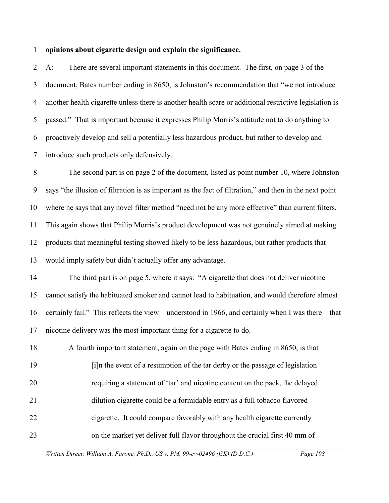#### 1 **opinions about cigarette design and explain the significance.**

2 3 4 5 6 7 A: There are several important statements in this document. The first, on page 3 of the document, Bates number ending in 8650, is Johnston's recommendation that "we not introduce another health cigarette unless there is another health scare or additional restrictive legislation is passed." That is important because it expresses Philip Morris's attitude not to do anything to proactively develop and sell a potentially less hazardous product, but rather to develop and introduce such products only defensively.

8 9 10 11 12 13 The second part is on page 2 of the document, listed as point number 10, where Johnston says "the illusion of filtration is as important as the fact of filtration," and then in the next point where he says that any novel filter method "need not be any more effective" than current filters. This again shows that Philip Morris's product development was not genuinely aimed at making products that meaningful testing showed likely to be less hazardous, but rather products that would imply safety but didn't actually offer any advantage.

14 15 16 17 The third part is on page 5, where it says: "A cigarette that does not deliver nicotine cannot satisfy the habituated smoker and cannot lead to habituation, and would therefore almost certainly fail." This reflects the view – understood in 1966, and certainly when I was there – that nicotine delivery was the most important thing for a cigarette to do.

18 19 20 21 22 23 A fourth important statement, again on the page with Bates ending in 8650, is that [i]n the event of a resumption of the tar derby or the passage of legislation requiring a statement of 'tar' and nicotine content on the pack, the delayed dilution cigarette could be a formidable entry as a full tobacco flavored cigarette. It could compare favorably with any health cigarette currently on the market yet deliver full flavor throughout the crucial first 40 mm of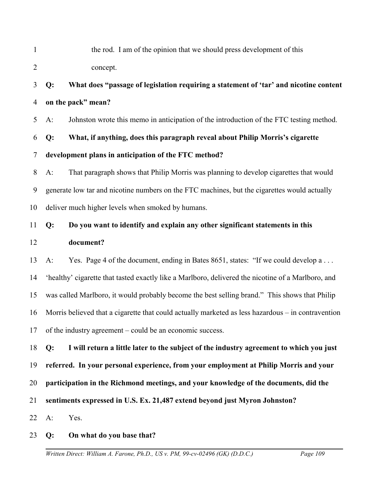1 2 the rod. I am of the opinion that we should press development of this concept.

# 3 4 **Q: What does "passage of legislation requiring a statement of 'tar' and nicotine content on the pack" mean?**

5 A: Johnston wrote this memo in anticipation of the introduction of the FTC testing method.

6 **Q: What, if anything, does this paragraph reveal about Philip Morris's cigarette**

## 7 **development plans in anticipation of the FTC method?**

8 9 10 A: That paragraph shows that Philip Morris was planning to develop cigarettes that would generate low tar and nicotine numbers on the FTC machines, but the cigarettes would actually deliver much higher levels when smoked by humans.

# 11 12 **Q: Do you want to identify and explain any other significant statements in this document?**

13 14 15 16 17 A: Yes. Page 4 of the document, ending in Bates 8651, states: "If we could develop a ... 'healthy' cigarette that tasted exactly like a Marlboro, delivered the nicotine of a Marlboro, and was called Marlboro, it would probably become the best selling brand." This shows that Philip Morris believed that a cigarette that could actually marketed as less hazardous – in contravention of the industry agreement – could be an economic success.

18 19 20 21 22 **Q: I will return a little later to the subject of the industry agreement to which you just referred. In your personal experience, from your employment at Philip Morris and your participation in the Richmond meetings, and your knowledge of the documents, did the sentiments expressed in U.S. Ex. 21,487 extend beyond just Myron Johnston?**  A: Yes.

## 23 **Q: On what do you base that?**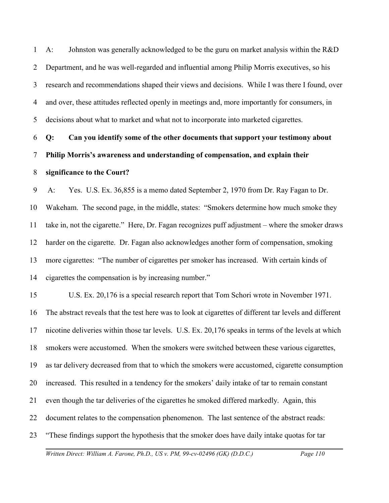1 2 3 4 5 A: Johnston was generally acknowledged to be the guru on market analysis within the R&D Department, and he was well-regarded and influential among Philip Morris executives, so his research and recommendations shaped their views and decisions. While I was there I found, over and over, these attitudes reflected openly in meetings and, more importantly for consumers, in decisions about what to market and what not to incorporate into marketed cigarettes.

6 7 **Q: Can you identify some of the other documents that support your testimony about Philip Morris's awareness and understanding of compensation, and explain their**

#### 8 **significance to the Court?**

9 10 11 12 13 14 A: Yes. U.S. Ex. 36,855 is a memo dated September 2, 1970 from Dr. Ray Fagan to Dr. Wakeham. The second page, in the middle, states: "Smokers determine how much smoke they take in, not the cigarette." Here, Dr. Fagan recognizes puff adjustment – where the smoker draws harder on the cigarette. Dr. Fagan also acknowledges another form of compensation, smoking more cigarettes: "The number of cigarettes per smoker has increased. With certain kinds of cigarettes the compensation is by increasing number."

15 16 17 18 19 20 21 22 23 U.S. Ex. 20,176 is a special research report that Tom Schori wrote in November 1971. The abstract reveals that the test here was to look at cigarettes of different tar levels and different nicotine deliveries within those tar levels. U.S. Ex. 20,176 speaks in terms of the levels at which smokers were accustomed. When the smokers were switched between these various cigarettes, as tar delivery decreased from that to which the smokers were accustomed, cigarette consumption increased. This resulted in a tendency for the smokers' daily intake of tar to remain constant even though the tar deliveries of the cigarettes he smoked differed markedly. Again, this document relates to the compensation phenomenon. The last sentence of the abstract reads: "These findings support the hypothesis that the smoker does have daily intake quotas for tar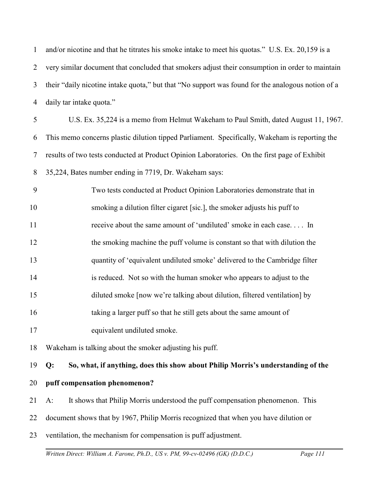1 2 3 4 and/or nicotine and that he titrates his smoke intake to meet his quotas." U.S. Ex. 20,159 is a very similar document that concluded that smokers adjust their consumption in order to maintain their "daily nicotine intake quota," but that "No support was found for the analogous notion of a daily tar intake quota."

5 6 7 8 U.S. Ex. 35,224 is a memo from Helmut Wakeham to Paul Smith, dated August 11, 1967. This memo concerns plastic dilution tipped Parliament. Specifically, Wakeham is reporting the results of two tests conducted at Product Opinion Laboratories. On the first page of Exhibit 35,224, Bates number ending in 7719, Dr. Wakeham says:

9 10 11 12 13 14 15 16 17 Two tests conducted at Product Opinion Laboratories demonstrate that in smoking a dilution filter cigaret [sic.], the smoker adjusts his puff to receive about the same amount of 'undiluted' smoke in each case. . . . In the smoking machine the puff volume is constant so that with dilution the quantity of 'equivalent undiluted smoke' delivered to the Cambridge filter is reduced. Not so with the human smoker who appears to adjust to the diluted smoke [now we're talking about dilution, filtered ventilation] by taking a larger puff so that he still gets about the same amount of equivalent undiluted smoke.

18 Wakeham is talking about the smoker adjusting his puff.

19 **Q: So, what, if anything, does this show about Philip Morris's understanding of the**

- 20 **puff compensation phenomenon?**
- 21 A: It shows that Philip Morris understood the puff compensation phenomenon. This
- 22 document shows that by 1967, Philip Morris recognized that when you have dilution or
- 23 ventilation, the mechanism for compensation is puff adjustment.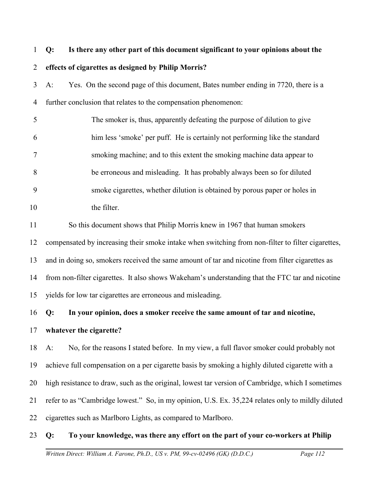# 1 2 **Q: Is there any other part of this document significant to your opinions about the effects of cigarettes as designed by Philip Morris?**

3 4 A: Yes. On the second page of this document, Bates number ending in 7720, there is a further conclusion that relates to the compensation phenomenon:

5 6 7 8 9 10 The smoker is, thus, apparently defeating the purpose of dilution to give him less 'smoke' per puff. He is certainly not performing like the standard smoking machine; and to this extent the smoking machine data appear to be erroneous and misleading. It has probably always been so for diluted smoke cigarettes, whether dilution is obtained by porous paper or holes in the filter.

11 So this document shows that Philip Morris knew in 1967 that human smokers

12 compensated by increasing their smoke intake when switching from non-filter to filter cigarettes,

13 and in doing so, smokers received the same amount of tar and nicotine from filter cigarettes as

14 from non-filter cigarettes. It also shows Wakeham's understanding that the FTC tar and nicotine

15 yields for low tar cigarettes are erroneous and misleading.

## 16 **Q: In your opinion, does a smoker receive the same amount of tar and nicotine,**

17 **whatever the cigarette?**

18 19 20 21 22 A: No, for the reasons I stated before. In my view, a full flavor smoker could probably not achieve full compensation on a per cigarette basis by smoking a highly diluted cigarette with a high resistance to draw, such as the original, lowest tar version of Cambridge, which I sometimes refer to as "Cambridge lowest." So, in my opinion, U.S. Ex. 35,224 relates only to mildly diluted cigarettes such as Marlboro Lights, as compared to Marlboro.

### 23 **Q: To your knowledge, was there any effort on the part of your co-workers at Philip**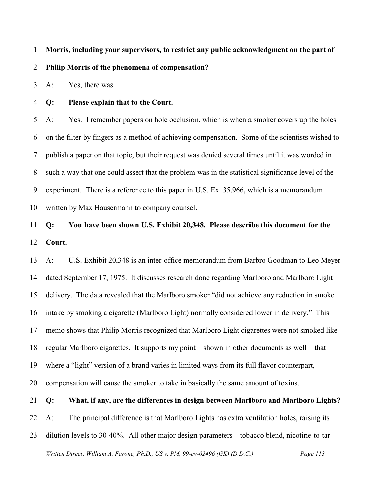1 **Morris, including your supervisors, to restrict any public acknowledgment on the part of**

#### 2 **Philip Morris of the phenomena of compensation?**

3 A: Yes, there was.

4 **Q: Please explain that to the Court.**

5 6 7 8 9 10 A: Yes. I remember papers on hole occlusion, which is when a smoker covers up the holes on the filter by fingers as a method of achieving compensation. Some of the scientists wished to publish a paper on that topic, but their request was denied several times until it was worded in such a way that one could assert that the problem was in the statistical significance level of the experiment. There is a reference to this paper in U.S. Ex. 35,966, which is a memorandum written by Max Hausermann to company counsel.

## 11 12 **Q: You have been shown U.S. Exhibit 20,348. Please describe this document for the Court.**

13 14 15 16 17 18 19 20 A: U.S. Exhibit 20,348 is an inter-office memorandum from Barbro Goodman to Leo Meyer dated September 17, 1975. It discusses research done regarding Marlboro and Marlboro Light delivery. The data revealed that the Marlboro smoker "did not achieve any reduction in smoke intake by smoking a cigarette (Marlboro Light) normally considered lower in delivery." This memo shows that Philip Morris recognized that Marlboro Light cigarettes were not smoked like regular Marlboro cigarettes. It supports my point – shown in other documents as well – that where a "light" version of a brand varies in limited ways from its full flavor counterpart, compensation will cause the smoker to take in basically the same amount of toxins.

#### 21 **Q: What, if any, are the differences in design between Marlboro and Marlboro Lights?**

22 A: The principal difference is that Marlboro Lights has extra ventilation holes, raising its

23 dilution levels to 30-40%. All other major design parameters – tobacco blend, nicotine-to-tar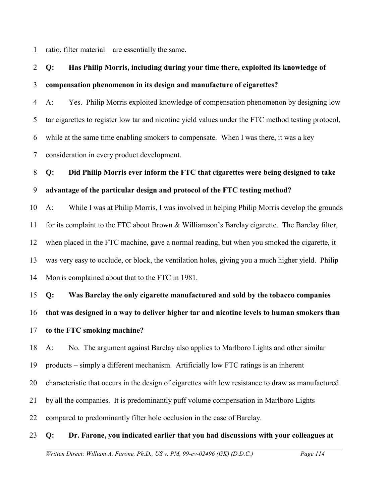1 ratio, filter material – are essentially the same.

# 2 3 **Q: Has Philip Morris, including during your time there, exploited its knowledge of compensation phenomenon in its design and manufacture of cigarettes?**

4 5 6 7 A: Yes. Philip Morris exploited knowledge of compensation phenomenon by designing low tar cigarettes to register low tar and nicotine yield values under the FTC method testing protocol, while at the same time enabling smokers to compensate. When I was there, it was a key consideration in every product development.

# 8 9 **Q: Did Philip Morris ever inform the FTC that cigarettes were being designed to take advantage of the particular design and protocol of the FTC testing method?**

10 11 12 13 14 A: While I was at Philip Morris, I was involved in helping Philip Morris develop the grounds for its complaint to the FTC about Brown & Williamson's Barclay cigarette. The Barclay filter, when placed in the FTC machine, gave a normal reading, but when you smoked the cigarette, it was very easy to occlude, or block, the ventilation holes, giving you a much higher yield. Philip Morris complained about that to the FTC in 1981.

15 16 17 **Q: Was Barclay the only cigarette manufactured and sold by the tobacco companies that was designed in a way to deliver higher tar and nicotine levels to human smokers than to the FTC smoking machine?** 

18 A: No. The argument against Barclay also applies to Marlboro Lights and other similar

19 products – simply a different mechanism. Artificially low FTC ratings is an inherent

20 characteristic that occurs in the design of cigarettes with low resistance to draw as manufactured

21 by all the companies. It is predominantly puff volume compensation in Marlboro Lights

22 compared to predominantly filter hole occlusion in the case of Barclay.

#### 23 **Q: Dr. Farone, you indicated earlier that you had discussions with your colleagues at**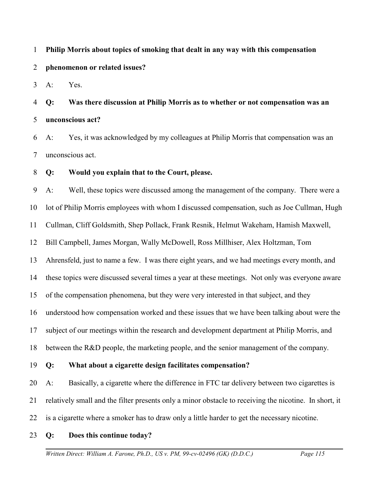#### 1 **Philip Morris about topics of smoking that dealt in any way with this compensation**

#### 2 **phenomenon or related issues?**

3 A: Yes.

4 5 **Q: Was there discussion at Philip Morris as to whether or not compensation was an unconscious act?** 

6 7 A: Yes, it was acknowledged by my colleagues at Philip Morris that compensation was an unconscious act.

#### 8 **Q: Would you explain that to the Court, please.**

9 10 11 12 13 14 15 16 17 18 19 20 21 A: Well, these topics were discussed among the management of the company. There were a lot of Philip Morris employees with whom I discussed compensation, such as Joe Cullman, Hugh Cullman, Cliff Goldsmith, Shep Pollack, Frank Resnik, Helmut Wakeham, Hamish Maxwell, Bill Campbell, James Morgan, Wally McDowell, Ross Millhiser, Alex Holtzman, Tom Ahrensfeld, just to name a few. I was there eight years, and we had meetings every month, and these topics were discussed several times a year at these meetings. Not only was everyone aware of the compensation phenomena, but they were very interested in that subject, and they understood how compensation worked and these issues that we have been talking about were the subject of our meetings within the research and development department at Philip Morris, and between the R&D people, the marketing people, and the senior management of the company. **Q: What about a cigarette design facilitates compensation?** A: Basically, a cigarette where the difference in FTC tar delivery between two cigarettes is relatively small and the filter presents only a minor obstacle to receiving the nicotine. In short, it

- 22 is a cigarette where a smoker has to draw only a little harder to get the necessary nicotine.
- 23 **Q: Does this continue today?**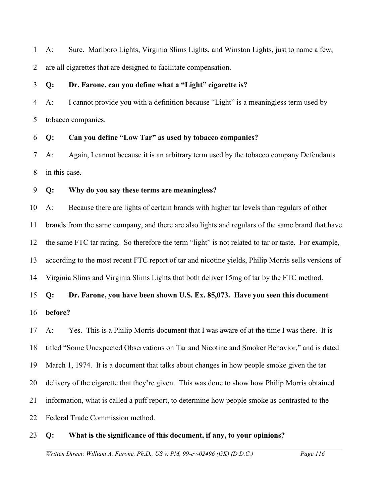1 2 A: Sure. Marlboro Lights, Virginia Slims Lights, and Winston Lights, just to name a few, are all cigarettes that are designed to facilitate compensation.

#### 3 **Q: Dr. Farone, can you define what a "Light" cigarette is?**

4 5 A: I cannot provide you with a definition because "Light" is a meaningless term used by tobacco companies.

#### 6 **Q: Can you define "Low Tar" as used by tobacco companies?**

7 8 A: Again, I cannot because it is an arbitrary term used by the tobacco company Defendants in this case.

#### 9 **Q: Why do you say these terms are meaningless?**

10 11 12 13 14 A: Because there are lights of certain brands with higher tar levels than regulars of other brands from the same company, and there are also lights and regulars of the same brand that have the same FTC tar rating. So therefore the term "light" is not related to tar or taste. For example, according to the most recent FTC report of tar and nicotine yields, Philip Morris sells versions of Virginia Slims and Virginia Slims Lights that both deliver 15mg of tar by the FTC method.

# 15 16 **Q: Dr. Farone, you have been shown U.S. Ex. 85,073. Have you seen this document before?**

17 18 19 20 21 22 A: Yes. This is a Philip Morris document that I was aware of at the time I was there. It is titled "Some Unexpected Observations on Tar and Nicotine and Smoker Behavior," and is dated March 1, 1974. It is a document that talks about changes in how people smoke given the tar delivery of the cigarette that they're given. This was done to show how Philip Morris obtained information, what is called a puff report, to determine how people smoke as contrasted to the Federal Trade Commission method.

#### 23 **Q: What is the significance of this document, if any, to your opinions?**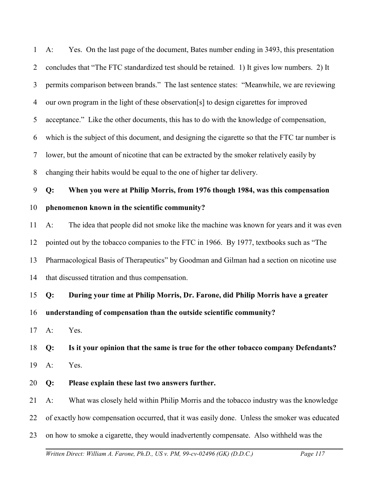1 2 3 4 5 6 7 8 9 10 A: Yes. On the last page of the document, Bates number ending in 3493, this presentation concludes that "The FTC standardized test should be retained. 1) It gives low numbers. 2) It permits comparison between brands." The last sentence states: "Meanwhile, we are reviewing our own program in the light of these observation[s] to design cigarettes for improved acceptance." Like the other documents, this has to do with the knowledge of compensation, which is the subject of this document, and designing the cigarette so that the FTC tar number is lower, but the amount of nicotine that can be extracted by the smoker relatively easily by changing their habits would be equal to the one of higher tar delivery. **Q: When you were at Philip Morris, from 1976 though 1984, was this compensation phenomenon known in the scientific community?**

11 12 13 14 A: The idea that people did not smoke like the machine was known for years and it was even pointed out by the tobacco companies to the FTC in 1966. By 1977, textbooks such as "The Pharmacological Basis of Therapeutics" by Goodman and Gilman had a section on nicotine use that discussed titration and thus compensation.

15 **Q: During your time at Philip Morris, Dr. Farone, did Philip Morris have a greater**

16 **understanding of compensation than the outside scientific community?**

17 A: Yes.

18 19 **Q: Is it your opinion that the same is true for the other tobacco company Defendants?** A: Yes.

20 **Q: Please explain these last two answers further.**

21 A: What was closely held within Philip Morris and the tobacco industry was the knowledge

22 of exactly how compensation occurred, that it was easily done. Unless the smoker was educated

23 on how to smoke a cigarette, they would inadvertently compensate. Also withheld was the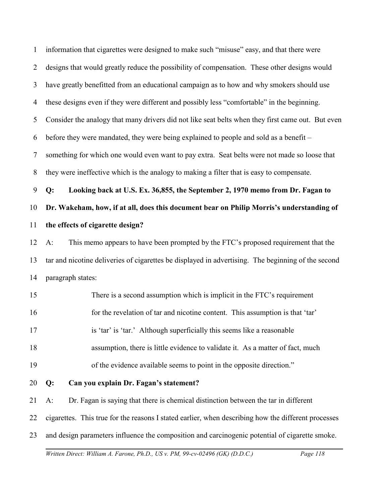| $\mathbf{1}$   | information that cigarettes were designed to make such "misuse" easy, and that there were           |
|----------------|-----------------------------------------------------------------------------------------------------|
| $\overline{2}$ | designs that would greatly reduce the possibility of compensation. These other designs would        |
| 3              | have greatly benefitted from an educational campaign as to how and why smokers should use           |
| $\overline{4}$ | these designs even if they were different and possibly less "comfortable" in the beginning.         |
| 5              | Consider the analogy that many drivers did not like seat belts when they first came out. But even   |
| 6              | before they were mandated, they were being explained to people and sold as a benefit –              |
| 7              | something for which one would even want to pay extra. Seat belts were not made so loose that        |
| 8              | they were ineffective which is the analogy to making a filter that is easy to compensate.           |
| 9              | Looking back at U.S. Ex. 36,855, the September 2, 1970 memo from Dr. Fagan to<br>Q:                 |
| 10             | Dr. Wakeham, how, if at all, does this document bear on Philip Morris's understanding of            |
| 11             | the effects of cigarette design?                                                                    |
| 12             | This memo appears to have been prompted by the FTC's proposed requirement that the<br>$A$ :         |
| 13             | tar and nicotine deliveries of cigarettes be displayed in advertising. The beginning of the second  |
| 14             | paragraph states:                                                                                   |
| 15             | There is a second assumption which is implicit in the FTC's requirement                             |
| 16             | for the revelation of tar and nicotine content. This assumption is that 'tar'                       |
| 17             | is 'tar' is 'tar.' Although superficially this seems like a reasonable                              |
| 18             | assumption, there is little evidence to validate it. As a matter of fact, much                      |
| 19             | of the evidence available seems to point in the opposite direction."                                |
| 20             | Can you explain Dr. Fagan's statement?<br>Q:                                                        |
| 21             | Dr. Fagan is saying that there is chemical distinction between the tar in different<br>$A$ :        |
| 22             | cigarettes. This true for the reasons I stated earlier, when describing how the different processes |
| 23             | and design parameters influence the composition and carcinogenic potential of cigarette smoke.      |
|                | Page 118<br>Written Direct: William A. Farone, Ph.D., US v. PM, 99-cv-02496 (GK) (D.D.C.)           |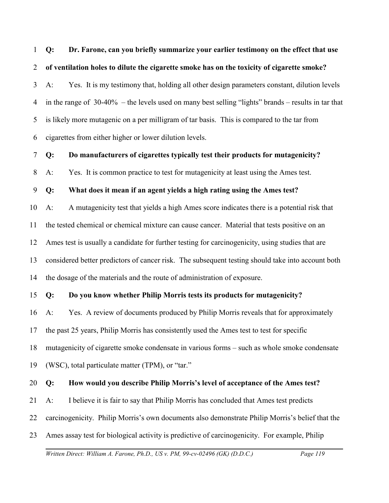1 2 **Q: Dr. Farone, can you briefly summarize your earlier testimony on the effect that use of ventilation holes to dilute the cigarette smoke has on the toxicity of cigarette smoke?** 

3 4 5 6 A: Yes. It is my testimony that, holding all other design parameters constant, dilution levels in the range of 30-40% – the levels used on many best selling "lights" brands – results in tar that is likely more mutagenic on a per milligram of tar basis. This is compared to the tar from cigarettes from either higher or lower dilution levels.

7 **Q: Do manufacturers of cigarettes typically test their products for mutagenicity?**

8 A: Yes. It is common practice to test for mutagenicity at least using the Ames test.

9 **Q: What does it mean if an agent yields a high rating using the Ames test?**

10 11 12 13 14 A: A mutagenicity test that yields a high Ames score indicates there is a potential risk that the tested chemical or chemical mixture can cause cancer. Material that tests positive on an Ames test is usually a candidate for further testing for carcinogenicity, using studies that are considered better predictors of cancer risk. The subsequent testing should take into account both the dosage of the materials and the route of administration of exposure.

15 **Q: Do you know whether Philip Morris tests its products for mutagenicity?**

16 17 18 19 A: Yes. A review of documents produced by Philip Morris reveals that for approximately the past 25 years, Philip Morris has consistently used the Ames test to test for specific mutagenicity of cigarette smoke condensate in various forms – such as whole smoke condensate (WSC), total particulate matter (TPM), or "tar."

#### 20 **Q: How would you describe Philip Morris's level of acceptance of the Ames test?**

21 A: I believe it is fair to say that Philip Morris has concluded that Ames test predicts

22 carcinogenicity. Philip Morris's own documents also demonstrate Philip Morris's belief that the

23 Ames assay test for biological activity is predictive of carcinogenicity. For example, Philip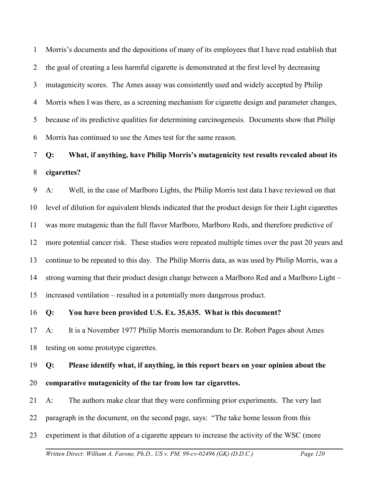1 2 3 4 5 6 Morris's documents and the depositions of many of its employees that I have read establish that the goal of creating a less harmful cigarette is demonstrated at the first level by decreasing mutagenicity scores. The Ames assay was consistently used and widely accepted by Philip Morris when I was there, as a screening mechanism for cigarette design and parameter changes, because of its predictive qualities for determining carcinogenesis. Documents show that Philip Morris has continued to use the Ames test for the same reason.

# 7 8 **Q: What, if anything, have Philip Morris's mutagenicity test results revealed about its cigarettes?**

9 10 11 12 13 14 15 A: Well, in the case of Marlboro Lights, the Philip Morris test data I have reviewed on that level of dilution for equivalent blends indicated that the product design for their Light cigarettes was more mutagenic than the full flavor Marlboro, Marlboro Reds, and therefore predictive of more potential cancer risk. These studies were repeated multiple times over the past 20 years and continue to be repeated to this day. The Philip Morris data, as was used by Philip Morris, was a strong warning that their product design change between a Marlboro Red and a Marlboro Light – increased ventilation – resulted in a potentially more dangerous product.

#### 16 **Q: You have been provided U.S. Ex. 35,635. What is this document?**

17 18 A: It is a November 1977 Philip Morris memorandum to Dr. Robert Pages about Ames testing on some prototype cigarettes.

# 19 **Q: Please identify what, if anything, in this report bears on your opinion about the**

- 20 **comparative mutagenicity of the tar from low tar cigarettes.**
- 21 A: The authors make clear that they were confirming prior experiments. The very last
- 22 paragraph in the document, on the second page, says: "The take home lesson from this
- 23 experiment is that dilution of a cigarette appears to increase the activity of the WSC (more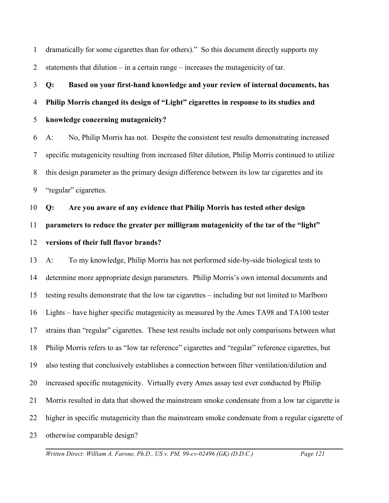1 2 dramatically for some cigarettes than for others)." So this document directly supports my statements that dilution – in a certain range – increases the mutagenicity of tar.

3 4 5 **Q: Based on your first-hand knowledge and your review of internal documents, has Philip Morris changed its design of "Light" cigarettes in response to its studies and knowledge concerning mutagenicity?**

6 7 8 9 A: No, Philip Morris has not. Despite the consistent test results demonstrating increased specific mutagenicity resulting from increased filter dilution, Philip Morris continued to utilize this design parameter as the primary design difference between its low tar cigarettes and its "regular" cigarettes.

10 11 12 **Q: Are you aware of any evidence that Philip Morris has tested other design parameters to reduce the greater per milligram mutagenicity of the tar of the "light" versions of their full flavor brands?**

13 14 15 16 17 18 19 20 21 22 23 A: To my knowledge, Philip Morris has not performed side-by-side biological tests to determine more appropriate design parameters. Philip Morris's own internal documents and testing results demonstrate that the low tar cigarettes – including but not limited to Marlboro Lights – have higher specific mutagenicity as measured by the Ames TA98 and TA100 tester strains than "regular" cigarettes. These test results include not only comparisons between what Philip Morris refers to as "low tar reference" cigarettes and "regular" reference cigarettes, but also testing that conclusively establishes a connection between filter ventilation/dilution and increased specific mutagenicity. Virtually every Ames assay test ever conducted by Philip Morris resulted in data that showed the mainstream smoke condensate from a low tar cigarette is higher in specific mutagenicity than the mainstream smoke condensate from a regular cigarette of otherwise comparable design?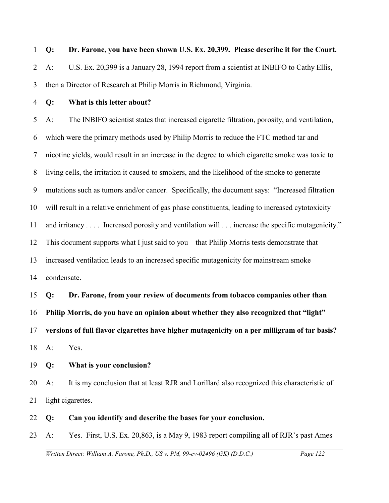1 2 3 **Q: Dr. Farone, you have been shown U.S. Ex. 20,399. Please describe it for the Court.** A: U.S. Ex. 20,399 is a January 28, 1994 report from a scientist at INBIFO to Cathy Ellis, then a Director of Research at Philip Morris in Richmond, Virginia.

4

# **Q: What is this letter about?**

5 6 7 8 9 10 11 12 13 14 A: The INBIFO scientist states that increased cigarette filtration, porosity, and ventilation, which were the primary methods used by Philip Morris to reduce the FTC method tar and nicotine yields, would result in an increase in the degree to which cigarette smoke was toxic to living cells, the irritation it caused to smokers, and the likelihood of the smoke to generate mutations such as tumors and/or cancer. Specifically, the document says: "Increased filtration will result in a relative enrichment of gas phase constituents, leading to increased cytotoxicity and irritancy . . . . Increased porosity and ventilation will . . . increase the specific mutagenicity." This document supports what I just said to you – that Philip Morris tests demonstrate that increased ventilation leads to an increased specific mutagenicity for mainstream smoke condensate.

15 16 17 18 **Q: Dr. Farone, from your review of documents from tobacco companies other than Philip Morris, do you have an opinion about whether they also recognized that "light" versions of full flavor cigarettes have higher mutagenicity on a per milligram of tar basis?** A: Yes.

19 **Q: What is your conclusion?**

20 21 A: It is my conclusion that at least RJR and Lorillard also recognized this characteristic of light cigarettes.

#### 22 **Q: Can you identify and describe the bases for your conclusion.**

23 A: Yes. First, U.S. Ex. 20,863, is a May 9, 1983 report compiling all of RJR's past Ames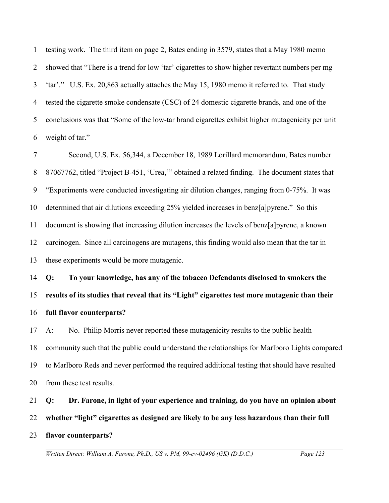1 2 3 4 5 6 testing work. The third item on page 2, Bates ending in 3579, states that a May 1980 memo showed that "There is a trend for low 'tar' cigarettes to show higher revertant numbers per mg 'tar'." U.S. Ex. 20,863 actually attaches the May 15, 1980 memo it referred to. That study tested the cigarette smoke condensate (CSC) of 24 domestic cigarette brands, and one of the conclusions was that "Some of the low-tar brand cigarettes exhibit higher mutagenicity per unit weight of tar."

7 8 9 10 11 12 13 Second, U.S. Ex. 56,344, a December 18, 1989 Lorillard memorandum, Bates number 87067762, titled "Project B-451, 'Urea,'" obtained a related finding. The document states that "Experiments were conducted investigating air dilution changes, ranging from 0-75%. It was determined that air dilutions exceeding 25% yielded increases in benz[a]pyrene." So this document is showing that increasing dilution increases the levels of benz[a]pyrene, a known carcinogen. Since all carcinogens are mutagens, this finding would also mean that the tar in these experiments would be more mutagenic.

14 15 16 **Q: To your knowledge, has any of the tobacco Defendants disclosed to smokers the results of its studies that reveal that its "Light" cigarettes test more mutagenic than their full flavor counterparts?** 

17 18 19 20 A: No. Philip Morris never reported these mutagenicity results to the public health community such that the public could understand the relationships for Marlboro Lights compared to Marlboro Reds and never performed the required additional testing that should have resulted from these test results.

21 **Q: Dr. Farone, in light of your experience and training, do you have an opinion about**

22 **whether "light" cigarettes as designed are likely to be any less hazardous than their full**

23 **flavor counterparts?**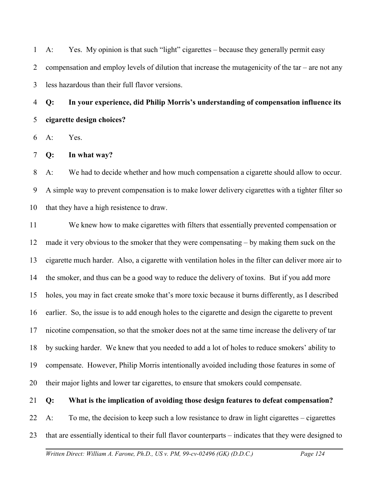1 2 3 A: Yes. My opinion is that such "light" cigarettes – because they generally permit easy compensation and employ levels of dilution that increase the mutagenicity of the tar – are not any less hazardous than their full flavor versions.

4 5 **Q: In your experience, did Philip Morris's understanding of compensation influence its cigarette design choices?** 

6 A: Yes.

7 **Q: In what way?**

8 9 10 A: We had to decide whether and how much compensation a cigarette should allow to occur. A simple way to prevent compensation is to make lower delivery cigarettes with a tighter filter so that they have a high resistence to draw.

11 12 13 14 15 16 17 18 19 20 We knew how to make cigarettes with filters that essentially prevented compensation or made it very obvious to the smoker that they were compensating – by making them suck on the cigarette much harder. Also, a cigarette with ventilation holes in the filter can deliver more air to the smoker, and thus can be a good way to reduce the delivery of toxins. But if you add more holes, you may in fact create smoke that's more toxic because it burns differently, as I described earlier. So, the issue is to add enough holes to the cigarette and design the cigarette to prevent nicotine compensation, so that the smoker does not at the same time increase the delivery of tar by sucking harder. We knew that you needed to add a lot of holes to reduce smokers' ability to compensate. However, Philip Morris intentionally avoided including those features in some of their major lights and lower tar cigarettes, to ensure that smokers could compensate.

#### 21 **Q: What is the implication of avoiding those design features to defeat compensation?**

22 23 A: To me, the decision to keep such a low resistance to draw in light cigarettes – cigarettes that are essentially identical to their full flavor counterparts – indicates that they were designed to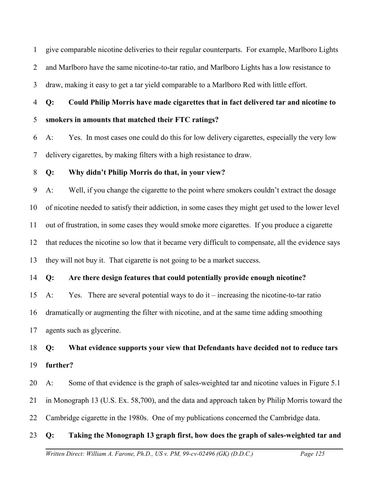1 2 3 give comparable nicotine deliveries to their regular counterparts. For example, Marlboro Lights and Marlboro have the same nicotine-to-tar ratio, and Marlboro Lights has a low resistance to draw, making it easy to get a tar yield comparable to a Marlboro Red with little effort.

4 5 **Q: Could Philip Morris have made cigarettes that in fact delivered tar and nicotine to smokers in amounts that matched their FTC ratings?**

6 7 A: Yes. In most cases one could do this for low delivery cigarettes, especially the very low delivery cigarettes, by making filters with a high resistance to draw.

#### 8 **Q: Why didn't Philip Morris do that, in your view?**

9 10 11 12 13 A: Well, if you change the cigarette to the point where smokers couldn't extract the dosage of nicotine needed to satisfy their addiction, in some cases they might get used to the lower level out of frustration, in some cases they would smoke more cigarettes. If you produce a cigarette that reduces the nicotine so low that it became very difficult to compensate, all the evidence says they will not buy it. That cigarette is not going to be a market success.

#### 14 **Q: Are there design features that could potentially provide enough nicotine?**

15 16 17 A: Yes. There are several potential ways to do it – increasing the nicotine-to-tar ratio dramatically or augmenting the filter with nicotine, and at the same time adding smoothing agents such as glycerine.

18 19 **Q: What evidence supports your view that Defendants have decided not to reduce tars further?** 

20 21 22 A: Some of that evidence is the graph of sales-weighted tar and nicotine values in Figure 5.1 in Monograph 13 (U.S. Ex. 58,700), and the data and approach taken by Philip Morris toward the Cambridge cigarette in the 1980s. One of my publications concerned the Cambridge data.

#### 23 **Q: Taking the Monograph 13 graph first, how does the graph of sales-weighted tar and**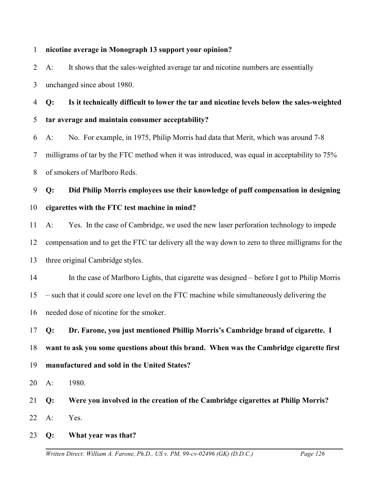#### 1 **nicotine average in Monograph 13 support your opinion?**

2 3 A: It shows that the sales-weighted average tar and nicotine numbers are essentially unchanged since about 1980.

4 5 6 **Q: Is it technically difficult to lower the tar and nicotine levels below the sales-weighted tar average and maintain consumer acceptability?**

7 8 A: No. For example, in 1975, Philip Morris had data that Merit, which was around 7-8 milligrams of tar by the FTC method when it was introduced, was equal in acceptability to 75% of smokers of Marlboro Reds.

9 **Q: Did Philip Morris employees use their knowledge of puff compensation in designing**

- 10 **cigarettes with the FTC test machine in mind?**
- 11 12 13 A: Yes. In the case of Cambridge, we used the new laser perforation technology to impede compensation and to get the FTC tar delivery all the way down to zero to three milligrams for the three original Cambridge styles.

14 15 16 In the case of Marlboro Lights, that cigarette was designed – before I got to Philip Morris – such that it could score one level on the FTC machine while simultaneously delivering the needed dose of nicotine for the smoker.

17 18 19 **Q: Dr. Farone, you just mentioned Phillip Morris's Cambridge brand of cigarette. I want to ask you some questions about this brand. When was the Cambridge cigarette first manufactured and sold in the United States?**

20 A: 1980.

21 22 **Q: Were you involved in the creation of the Cambridge cigarettes at Philip Morris?** A: Yes.

23 **Q: What year was that?**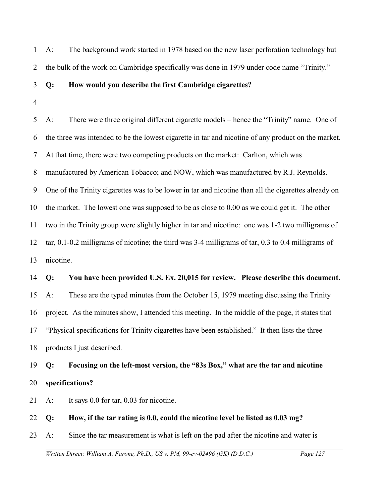1 2 A: The background work started in 1978 based on the new laser perforation technology but the bulk of the work on Cambridge specifically was done in 1979 under code name "Trinity."

#### 3 **Q: How would you describe the first Cambridge cigarettes?**

4

5 6 7 8 9 10 11 12 13 14 15 16 17 18 19 20 21 A: There were three original different cigarette models – hence the "Trinity" name. One of the three was intended to be the lowest cigarette in tar and nicotine of any product on the market. At that time, there were two competing products on the market: Carlton, which was manufactured by American Tobacco; and NOW, which was manufactured by R.J. Reynolds. One of the Trinity cigarettes was to be lower in tar and nicotine than all the cigarettes already on the market. The lowest one was supposed to be as close to 0.00 as we could get it. The other two in the Trinity group were slightly higher in tar and nicotine: one was 1-2 two milligrams of tar, 0.1-0.2 milligrams of nicotine; the third was 3-4 milligrams of tar, 0.3 to 0.4 milligrams of nicotine. **Q: You have been provided U.S. Ex. 20,015 for review. Please describe this document.** A: These are the typed minutes from the October 15, 1979 meeting discussing the Trinity project. As the minutes show, I attended this meeting. In the middle of the page, it states that "Physical specifications for Trinity cigarettes have been established." It then lists the three products I just described. **Q: Focusing on the left-most version, the "83s Box," what are the tar and nicotine specifications?** A: It says 0.0 for tar, 0.03 for nicotine.

22 **Q: How, if the tar rating is 0.0, could the nicotine level be listed as 0.03 mg?**

23 A: Since the tar measurement is what is left on the pad after the nicotine and water is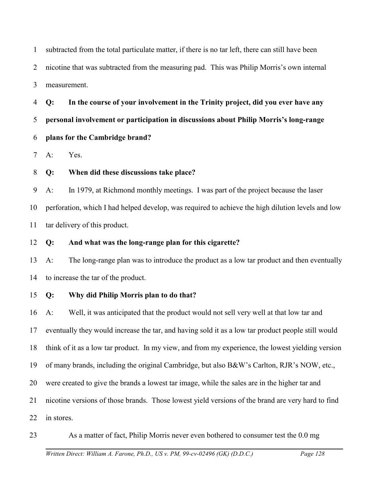1 2 3 subtracted from the total particulate matter, if there is no tar left, there can still have been nicotine that was subtracted from the measuring pad. This was Philip Morris's own internal measurement.

4 5 6 **Q: In the course of your involvement in the Trinity project, did you ever have any personal involvement or participation in discussions about Philip Morris's long-range plans for the Cambridge brand?**

7 A: Yes.

8 **Q: When did these discussions take place?**

9 10 11 A: In 1979, at Richmond monthly meetings. I was part of the project because the laser perforation, which I had helped develop, was required to achieve the high dilution levels and low tar delivery of this product.

12 **Q: And what was the long-range plan for this cigarette?**

13 14 A: The long-range plan was to introduce the product as a low tar product and then eventually to increase the tar of the product.

15 **Q: Why did Philip Morris plan to do that?**

16 17 18 19 20 21 22 A: Well, it was anticipated that the product would not sell very well at that low tar and eventually they would increase the tar, and having sold it as a low tar product people still would think of it as a low tar product. In my view, and from my experience, the lowest yielding version of many brands, including the original Cambridge, but also B&W's Carlton, RJR's NOW, etc., were created to give the brands a lowest tar image, while the sales are in the higher tar and nicotine versions of those brands. Those lowest yield versions of the brand are very hard to find in stores.

23 As a matter of fact, Philip Morris never even bothered to consumer test the 0.0 mg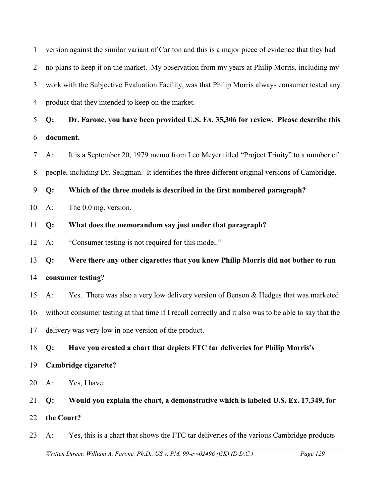1 2 3 4 version against the similar variant of Carlton and this is a major piece of evidence that they had no plans to keep it on the market. My observation from my years at Philip Morris, including my work with the Subjective Evaluation Facility, was that Philip Morris always consumer tested any product that they intended to keep on the market.

5 6 **Q: Dr. Farone, you have been provided U.S. Ex. 35,306 for review. Please describe this document.** 

7 8 A: It is a September 20, 1979 memo from Leo Meyer titled "Project Trinity" to a number of people, including Dr. Seligman. It identifies the three different original versions of Cambridge.

9 **Q: Which of the three models is described in the first numbered paragraph?**

- 10 A: The 0.0 mg. version.
- 11 **Q: What does the memorandum say just under that paragraph?**
- 12 A: "Consumer testing is not required for this model."

13 **Q: Were there any other cigarettes that you knew Philip Morris did not bother to run**

14 **consumer testing?**

15 16 17 A: Yes. There was also a very low delivery version of Benson & Hedges that was marketed without consumer testing at that time if I recall correctly and it also was to be able to say that the delivery was very low in one version of the product.

18 **Q: Have you created a chart that depicts FTC tar deliveries for Philip Morris's**

- 19 **Cambridge cigarette?**
- 20 A: Yes, I have.

21 22 **Q: Would you explain the chart, a demonstrative which is labeled U.S. Ex. 17,349, for the Court?**

23 A: Yes, this is a chart that shows the FTC tar deliveries of the various Cambridge products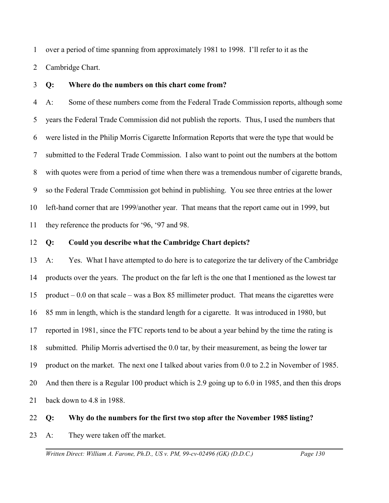1 over a period of time spanning from approximately 1981 to 1998. I'll refer to it as the

2 Cambridge Chart.

3 **Q: Where do the numbers on this chart come from?**

4 5 6 7 8 9 10 11 A: Some of these numbers come from the Federal Trade Commission reports, although some years the Federal Trade Commission did not publish the reports. Thus, I used the numbers that were listed in the Philip Morris Cigarette Information Reports that were the type that would be submitted to the Federal Trade Commission. I also want to point out the numbers at the bottom with quotes were from a period of time when there was a tremendous number of cigarette brands, so the Federal Trade Commission got behind in publishing. You see three entries at the lower left-hand corner that are 1999/another year. That means that the report came out in 1999, but they reference the products for '96, '97 and 98.

12 **Q: Could you describe what the Cambridge Chart depicts?**

13 14 15 16 17 18 19 20 21 A: Yes. What I have attempted to do here is to categorize the tar delivery of the Cambridge products over the years. The product on the far left is the one that I mentioned as the lowest tar product  $-0.0$  on that scale – was a Box 85 millimeter product. That means the cigarettes were 85 mm in length, which is the standard length for a cigarette. It was introduced in 1980, but reported in 1981, since the FTC reports tend to be about a year behind by the time the rating is submitted. Philip Morris advertised the 0.0 tar, by their measurement, as being the lower tar product on the market. The next one I talked about varies from 0.0 to 2.2 in November of 1985. And then there is a Regular 100 product which is 2.9 going up to 6.0 in 1985, and then this drops back down to 4.8 in 1988.

- 22 **Q: Why do the numbers for the first two stop after the November 1985 listing?**
- 23 A: They were taken off the market.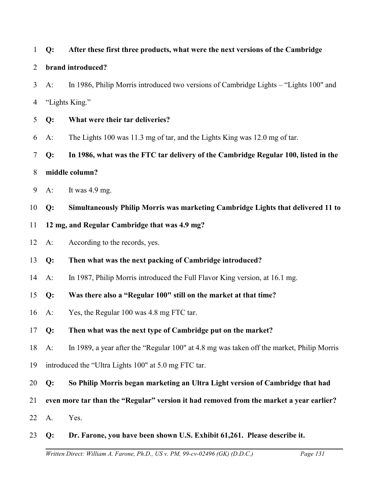| $\mathbf{1}$   | Q:                                                                                      | After these first three products, what were the next versions of the Cambridge            |  |  |
|----------------|-----------------------------------------------------------------------------------------|-------------------------------------------------------------------------------------------|--|--|
| $\overline{2}$ |                                                                                         | brand introduced?                                                                         |  |  |
| 3              | $A$ :                                                                                   | In 1986, Philip Morris introduced two versions of Cambridge Lights - "Lights 100" and     |  |  |
| 4              |                                                                                         | "Lights King."                                                                            |  |  |
| 5              | Q:                                                                                      | What were their tar deliveries?                                                           |  |  |
| 6              | $A$ :                                                                                   | The Lights 100 was 11.3 mg of tar, and the Lights King was 12.0 mg of tar.                |  |  |
| 7              | Q:                                                                                      | In 1986, what was the FTC tar delivery of the Cambridge Regular 100, listed in the        |  |  |
| 8              | middle column?                                                                          |                                                                                           |  |  |
| 9              | $A$ :                                                                                   | It was 4.9 mg.                                                                            |  |  |
| 10             | Q:                                                                                      | Simultaneously Philip Morris was marketing Cambridge Lights that delivered 11 to          |  |  |
| 11             | 12 mg, and Regular Cambridge that was 4.9 mg?                                           |                                                                                           |  |  |
| 12             | $A$ :                                                                                   | According to the records, yes.                                                            |  |  |
| 13             | Q:                                                                                      | Then what was the next packing of Cambridge introduced?                                   |  |  |
| 14             | $A$ :                                                                                   | In 1987, Philip Morris introduced the Full Flavor King version, at 16.1 mg.               |  |  |
| 15             | $Q$ :                                                                                   | Was there also a "Regular 100" still on the market at that time?                          |  |  |
| 16             | $A$ :                                                                                   | Yes, the Regular 100 was 4.8 mg FTC tar.                                                  |  |  |
|                | 17 Q:                                                                                   | Then what was the next type of Cambridge put on the market?                               |  |  |
| 18             | $A$ :                                                                                   | In 1989, a year after the "Regular 100" at 4.8 mg was taken off the market, Philip Morris |  |  |
| 19             |                                                                                         | introduced the "Ultra Lights 100" at 5.0 mg FTC tar.                                      |  |  |
| 20             | Q:                                                                                      | So Philip Morris began marketing an Ultra Light version of Cambridge that had             |  |  |
| 21             | even more tar than the "Regular" version it had removed from the market a year earlier? |                                                                                           |  |  |
| 22             | A.                                                                                      | Yes.                                                                                      |  |  |
| 23             | Q:                                                                                      | Dr. Farone, you have been shown U.S. Exhibit 61,261. Please describe it.                  |  |  |
|                |                                                                                         | Page 131<br>Written Direct: William A. Farone, Ph.D., US v. PM, 99-cv-02496 (GK) (D.D.C.) |  |  |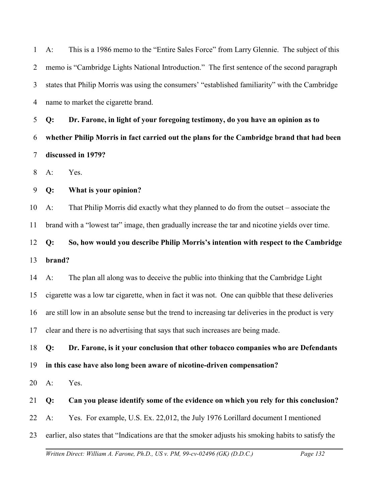1 2 3 4 A: This is a 1986 memo to the "Entire Sales Force" from Larry Glennie. The subject of this memo is "Cambridge Lights National Introduction." The first sentence of the second paragraph states that Philip Morris was using the consumers' "established familiarity" with the Cambridge name to market the cigarette brand.

5 6 7 **Q: Dr. Farone, in light of your foregoing testimony, do you have an opinion as to whether Philip Morris in fact carried out the plans for the Cambridge brand that had been discussed in 1979?** 

8 A: Yes.

9 **Q: What is your opinion?**

10 11 A: That Philip Morris did exactly what they planned to do from the outset – associate the brand with a "lowest tar" image, then gradually increase the tar and nicotine yields over time.

12 13 **Q: So, how would you describe Philip Morris's intention with respect to the Cambridge brand?**

14 15 16 17 A: The plan all along was to deceive the public into thinking that the Cambridge Light cigarette was a low tar cigarette, when in fact it was not. One can quibble that these deliveries are still low in an absolute sense but the trend to increasing tar deliveries in the product is very clear and there is no advertising that says that such increases are being made.

18 19 **Q: Dr. Farone, is it your conclusion that other tobacco companies who are Defendants in this case have also long been aware of nicotine-driven compensation?**

20 A: Yes.

### 21 **Q: Can you please identify some of the evidence on which you rely for this conclusion?**

22 A: Yes. For example, U.S. Ex. 22,012, the July 1976 Lorillard document I mentioned

23 earlier, also states that "Indications are that the smoker adjusts his smoking habits to satisfy the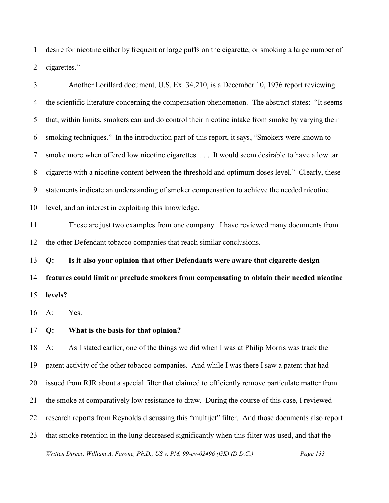1 2 desire for nicotine either by frequent or large puffs on the cigarette, or smoking a large number of cigarettes."

3 4 5 6 7 8 9 10 11 12 13 14 15 16 17 18 19 20 21 22 Another Lorillard document, U.S. Ex. 34,210, is a December 10, 1976 report reviewing the scientific literature concerning the compensation phenomenon. The abstract states: "It seems that, within limits, smokers can and do control their nicotine intake from smoke by varying their smoking techniques." In the introduction part of this report, it says, "Smokers were known to smoke more when offered low nicotine cigarettes. . . . It would seem desirable to have a low tar cigarette with a nicotine content between the threshold and optimum doses level." Clearly, these statements indicate an understanding of smoker compensation to achieve the needed nicotine level, and an interest in exploiting this knowledge. These are just two examples from one company. I have reviewed many documents from the other Defendant tobacco companies that reach similar conclusions. **Q: Is it also your opinion that other Defendants were aware that cigarette design features could limit or preclude smokers from compensating to obtain their needed nicotine levels?** A: Yes. **Q: What is the basis for that opinion?** A: As I stated earlier, one of the things we did when I was at Philip Morris was track the patent activity of the other tobacco companies. And while I was there I saw a patent that had issued from RJR about a special filter that claimed to efficiently remove particulate matter from the smoke at comparatively low resistance to draw. During the course of this case, I reviewed research reports from Reynolds discussing this "multijet" filter. And those documents also report

23 that smoke retention in the lung decreased significantly when this filter was used, and that the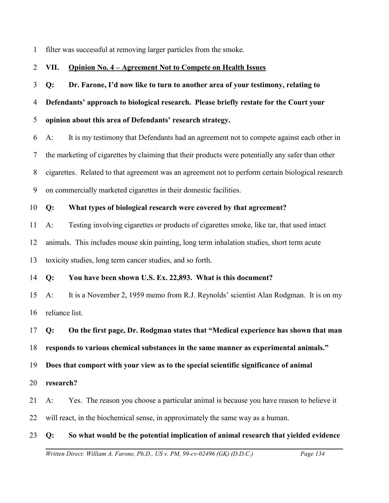1 filter was successful at removing larger particles from the smoke.

#### 2 **VII. Opinion No. 4 – Agreement Not to Compete on Health Issues**

# 3 4 **Q: Dr. Farone, I'd now like to turn to another area of your testimony, relating to Defendants' approach to biological research. Please briefly restate for the Court your**

#### 5 **opinion about this area of Defendants' research strategy.**

6 7 8 9 A: It is my testimony that Defendants had an agreement not to compete against each other in the marketing of cigarettes by claiming that their products were potentially any safer than other cigarettes. Related to that agreement was an agreement not to perform certain biological research on commercially marketed cigarettes in their domestic facilities.

#### 10 **Q: What types of biological research were covered by that agreement?**

- 11 A: Testing involving cigarettes or products of cigarettes smoke, like tar, that used intact
- 12 animals. This includes mouse skin painting, long term inhalation studies, short term acute

13 toxicity studies, long term cancer studies, and so forth.

### 14 **Q: You have been shown U.S. Ex. 22,893. What is this document?**

15 16 A: It is a November 2, 1959 memo from R.J. Reynolds' scientist Alan Rodgman. It is on my reliance list.

## 17 **Q: On the first page, Dr. Rodgman states that "Medical experience has shown that man**

18 **responds to various chemical substances in the same manner as experimental animals."** 

19 **Does that comport with your view as to the special scientific significance of animal**

#### 20 **research?**

21 A: Yes. The reason you choose a particular animal is because you have reason to believe it

22 will react, in the biochemical sense, in approximately the same way as a human.

## 23 **Q: So what would be the potential implication of animal research that yielded evidence**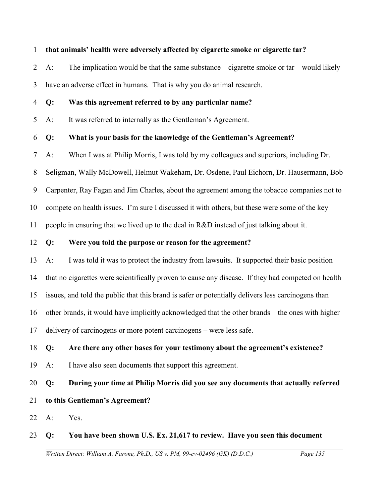#### 1 **that animals' health were adversely affected by cigarette smoke or cigarette tar?**

2 3 A: The implication would be that the same substance – cigarette smoke or tar – would likely have an adverse effect in humans. That is why you do animal research.

4 **Q: Was this agreement referred to by any particular name?**

5 A: It was referred to internally as the Gentleman's Agreement.

#### 6 **Q: What is your basis for the knowledge of the Gentleman's Agreement?**

7 A: When I was at Philip Morris, I was told by my colleagues and superiors, including Dr.

8 Seligman, Wally McDowell, Helmut Wakeham, Dr. Osdene, Paul Eichorn, Dr. Hausermann, Bob

9 Carpenter, Ray Fagan and Jim Charles, about the agreement among the tobacco companies not to

10 compete on health issues. I'm sure I discussed it with others, but these were some of the key

11 people in ensuring that we lived up to the deal in R&D instead of just talking about it.

#### 12 **Q: Were you told the purpose or reason for the agreement?**

13 14 15 16 17 A: I was told it was to protect the industry from lawsuits. It supported their basic position that no cigarettes were scientifically proven to cause any disease. If they had competed on health issues, and told the public that this brand is safer or potentially delivers less carcinogens than other brands, it would have implicitly acknowledged that the other brands – the ones with higher delivery of carcinogens or more potent carcinogens – were less safe.

18 **Q: Are there any other bases for your testimony about the agreement's existence?**

19 A: I have also seen documents that support this agreement.

#### 20 **Q: During your time at Philip Morris did you see any documents that actually referred**

#### 21 **to this Gentleman's Agreement?**

22 A: Yes.

#### 23 **Q: You have been shown U.S. Ex. 21,617 to review. Have you seen this document**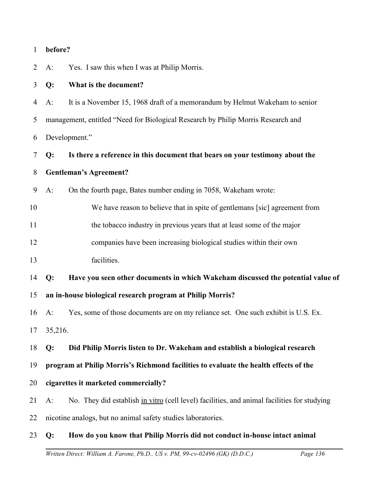| $\mathbf{1}$ | before?                                                                              |                                                                                             |  |  |
|--------------|--------------------------------------------------------------------------------------|---------------------------------------------------------------------------------------------|--|--|
| 2            | $A$ :                                                                                | Yes. I saw this when I was at Philip Morris.                                                |  |  |
| 3            | Q:                                                                                   | What is the document?                                                                       |  |  |
| 4            | $A$ :                                                                                | It is a November 15, 1968 draft of a memorandum by Helmut Wakeham to senior                 |  |  |
| 5            |                                                                                      | management, entitled "Need for Biological Research by Philip Morris Research and            |  |  |
| 6            | Development."                                                                        |                                                                                             |  |  |
| 7            | Q:                                                                                   | Is there a reference in this document that bears on your testimony about the                |  |  |
| 8            | <b>Gentleman's Agreement?</b>                                                        |                                                                                             |  |  |
| 9            | $A$ :                                                                                | On the fourth page, Bates number ending in 7058, Wakeham wrote:                             |  |  |
| 10           |                                                                                      | We have reason to believe that in spite of gentlemans [sic] agreement from                  |  |  |
| 11           |                                                                                      | the tobacco industry in previous years that at least some of the major                      |  |  |
| 12           |                                                                                      | companies have been increasing biological studies within their own                          |  |  |
| 13           |                                                                                      | facilities.                                                                                 |  |  |
| 14           | Q:                                                                                   | Have you seen other documents in which Wakeham discussed the potential value of             |  |  |
| 15           |                                                                                      | an in-house biological research program at Philip Morris?                                   |  |  |
| 16           | $A$ :                                                                                | Yes, some of those documents are on my reliance set. One such exhibit is U.S. Ex.           |  |  |
|              | 17 35,216.                                                                           |                                                                                             |  |  |
| 18           | Q:                                                                                   | Did Philip Morris listen to Dr. Wakeham and establish a biological research                 |  |  |
| 19           | program at Philip Morris's Richmond facilities to evaluate the health effects of the |                                                                                             |  |  |
| 20           | cigarettes it marketed commercially?                                                 |                                                                                             |  |  |
| 21           | $A$ :                                                                                | No. They did establish in vitro (cell level) facilities, and animal facilities for studying |  |  |
| 22           | nicotine analogs, but no animal safety studies laboratories.                         |                                                                                             |  |  |
| 23           | Q:                                                                                   | How do you know that Philip Morris did not conduct in-house intact animal                   |  |  |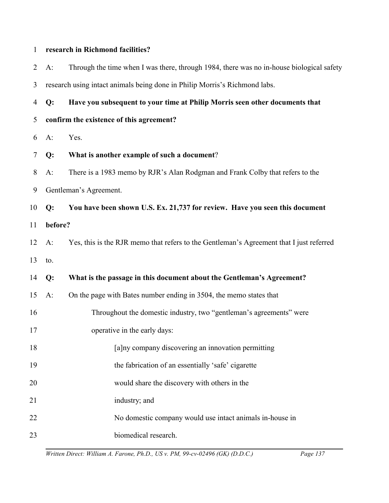| $\mathbf{1}$   |         | research in Richmond facilities?                                                         |  |  |  |
|----------------|---------|------------------------------------------------------------------------------------------|--|--|--|
| $\overline{2}$ | $A$ :   | Through the time when I was there, through 1984, there was no in-house biological safety |  |  |  |
| 3              |         | research using intact animals being done in Philip Morris's Richmond labs.               |  |  |  |
| 4              | Q:      | Have you subsequent to your time at Philip Morris seen other documents that              |  |  |  |
| 5              |         | confirm the existence of this agreement?                                                 |  |  |  |
| 6              | $A$ :   | Yes.                                                                                     |  |  |  |
| 7              | Q:      | What is another example of such a document?                                              |  |  |  |
| 8              | $A$ :   | There is a 1983 memo by RJR's Alan Rodgman and Frank Colby that refers to the            |  |  |  |
| 9              |         | Gentleman's Agreement.                                                                   |  |  |  |
| 10             | Q:      | You have been shown U.S. Ex. 21,737 for review. Have you seen this document              |  |  |  |
| 11             | before? |                                                                                          |  |  |  |
| 12             | $A$ :   | Yes, this is the RJR memo that refers to the Gentleman's Agreement that I just referred  |  |  |  |
| 13             | to.     |                                                                                          |  |  |  |
| 14             | Q:      | What is the passage in this document about the Gentleman's Agreement?                    |  |  |  |
| 15             | $A$ :   | On the page with Bates number ending in 3504, the memo states that                       |  |  |  |
| 16             |         | Throughout the domestic industry, two "gentleman's agreements" were                      |  |  |  |
| 17             |         | operative in the early days:                                                             |  |  |  |
| 18             |         | [a]ny company discovering an innovation permitting                                       |  |  |  |
| 19             |         | the fabrication of an essentially 'safe' cigarette                                       |  |  |  |
| 20             |         | would share the discovery with others in the                                             |  |  |  |
| 21             |         | industry; and                                                                            |  |  |  |
| 22             |         | No domestic company would use intact animals in-house in                                 |  |  |  |
| 23             |         | biomedical research.                                                                     |  |  |  |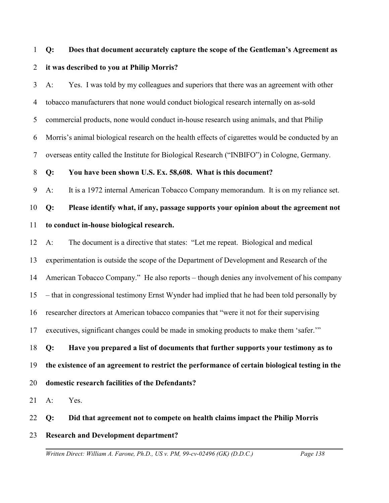# 1 2 **Q: Does that document accurately capture the scope of the Gentleman's Agreement as it was described to you at Philip Morris?**

3 4 5 6 7 A: Yes. I was told by my colleagues and superiors that there was an agreement with other tobacco manufacturers that none would conduct biological research internally on as-sold commercial products, none would conduct in-house research using animals, and that Philip Morris's animal biological research on the health effects of cigarettes would be conducted by an overseas entity called the Institute for Biological Research ("INBIFO") in Cologne, Germany.

8 **Q: You have been shown U.S. Ex. 58,608. What is this document?**

9 A: It is a 1972 internal American Tobacco Company memorandum. It is on my reliance set.

10 11 **Q: Please identify what, if any, passage supports your opinion about the agreement not to conduct in-house biological research.**

12 A: The document is a directive that states: "Let me repeat. Biological and medical

13 experimentation is outside the scope of the Department of Development and Research of the

14 American Tobacco Company." He also reports – though denies any involvement of his company

15 – that in congressional testimony Ernst Wynder had implied that he had been told personally by

16 researcher directors at American tobacco companies that "were it not for their supervising

17 executives, significant changes could be made in smoking products to make them 'safer.'"

18 19 20 **Q: Have you prepared a list of documents that further supports your testimony as to the existence of an agreement to restrict the performance of certain biological testing in the domestic research facilities of the Defendants?**

21 A: Yes.

22 **Q: Did that agreement not to compete on health claims impact the Philip Morris**

23 **Research and Development department?**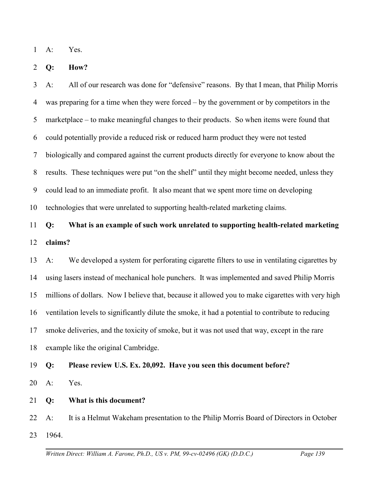1 A: Yes.

2 **Q: How?**

3 4 5 6 7 8 9 10 A: All of our research was done for "defensive" reasons. By that I mean, that Philip Morris was preparing for a time when they were forced – by the government or by competitors in the marketplace – to make meaningful changes to their products. So when items were found that could potentially provide a reduced risk or reduced harm product they were not tested biologically and compared against the current products directly for everyone to know about the results. These techniques were put "on the shelf" until they might become needed, unless they could lead to an immediate profit. It also meant that we spent more time on developing technologies that were unrelated to supporting health-related marketing claims.

## 11 12 **Q: What is an example of such work unrelated to supporting health-related marketing claims?**

13 14 15 16 17 18 A: We developed a system for perforating cigarette filters to use in ventilating cigarettes by using lasers instead of mechanical hole punchers. It was implemented and saved Philip Morris millions of dollars. Now I believe that, because it allowed you to make cigarettes with very high ventilation levels to significantly dilute the smoke, it had a potential to contribute to reducing smoke deliveries, and the toxicity of smoke, but it was not used that way, except in the rare example like the original Cambridge.

#### 19 **Q: Please review U.S. Ex. 20,092. Have you seen this document before?**

20 A: Yes.

21 **Q: What is this document?**

22 23 A: It is a Helmut Wakeham presentation to the Philip Morris Board of Directors in October 1964.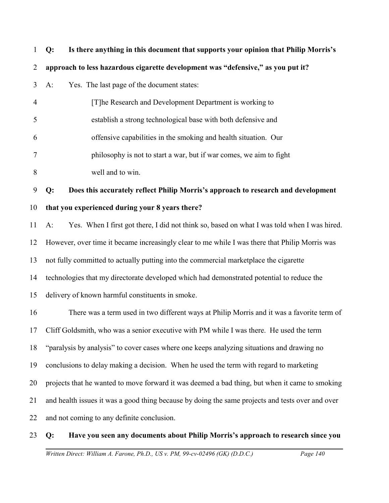| $\mathbf{1}$   | Is there anything in this document that supports your opinion that Philip Morris's<br>Q:             |
|----------------|------------------------------------------------------------------------------------------------------|
| $\overline{2}$ | approach to less hazardous cigarette development was "defensive," as you put it?                     |
| 3              | $A$ :<br>Yes. The last page of the document states:                                                  |
| $\overline{4}$ | [T] he Research and Development Department is working to                                             |
| 5              | establish a strong technological base with both defensive and                                        |
| 6              | offensive capabilities in the smoking and health situation. Our                                      |
| 7              | philosophy is not to start a war, but if war comes, we aim to fight                                  |
| 8              | well and to win.                                                                                     |
| 9              | Does this accurately reflect Philip Morris's approach to research and development<br>Q:              |
| 10             | that you experienced during your 8 years there?                                                      |
| 11             | Yes. When I first got there, I did not think so, based on what I was told when I was hired.<br>$A$ : |
| 12             | However, over time it became increasingly clear to me while I was there that Philip Morris was       |
| 13             | not fully committed to actually putting into the commercial marketplace the cigarette                |
| 14             | technologies that my directorate developed which had demonstrated potential to reduce the            |
| 15             | delivery of known harmful constituents in smoke.                                                     |
| 16             | There was a term used in two different ways at Philip Morris and it was a favorite term of           |
|                | 17 Cliff Goldsmith, who was a senior executive with PM while I was there. He used the term           |
| 18             | "paralysis by analysis" to cover cases where one keeps analyzing situations and drawing no           |
| 19             | conclusions to delay making a decision. When he used the term with regard to marketing               |
| 20             | projects that he wanted to move forward it was deemed a bad thing, but when it came to smoking       |
| 21             | and health issues it was a good thing because by doing the same projects and tests over and over     |
| 22             | and not coming to any definite conclusion.                                                           |
| 23             | Have you seen any documents about Philip Morris's approach to research since you<br>Q:               |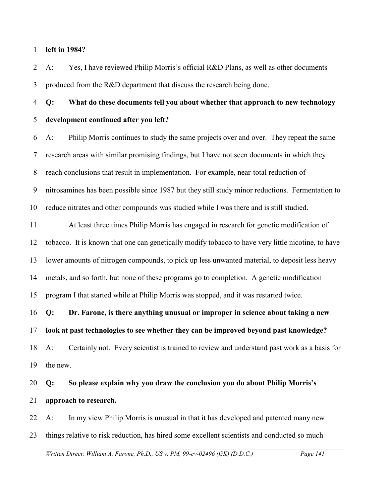1 **left in 1984?** 

2 3 A: Yes, I have reviewed Philip Morris's official R&D Plans, as well as other documents produced from the R&D department that discuss the research being done.

4 5 **Q: What do these documents tell you about whether that approach to new technology development continued after you left?**

6 7 8 9 10 A: Philip Morris continues to study the same projects over and over. They repeat the same research areas with similar promising findings, but I have not seen documents in which they reach conclusions that result in implementation. For example, near-total reduction of nitrosamines has been possible since 1987 but they still study minor reductions. Fermentation to reduce nitrates and other compounds was studied while I was there and is still studied.

11 12 13 14 15 At least three times Philip Morris has engaged in research for genetic modification of tobacco. It is known that one can genetically modify tobacco to have very little nicotine, to have lower amounts of nitrogen compounds, to pick up less unwanted material, to deposit less heavy metals, and so forth, but none of these programs go to completion. A genetic modification program I that started while at Philip Morris was stopped, and it was restarted twice.

16 **Q: Dr. Farone, is there anything unusual or improper in science about taking a new**

17 **look at past technologies to see whether they can be improved beyond past knowledge?** 

18 19 A: Certainly not. Every scientist is trained to review and understand past work as a basis for the new.

20 21 **Q: So please explain why you draw the conclusion you do about Philip Morris's approach to research.**

22 23 A: In my view Philip Morris is unusual in that it has developed and patented many new things relative to risk reduction, has hired some excellent scientists and conducted so much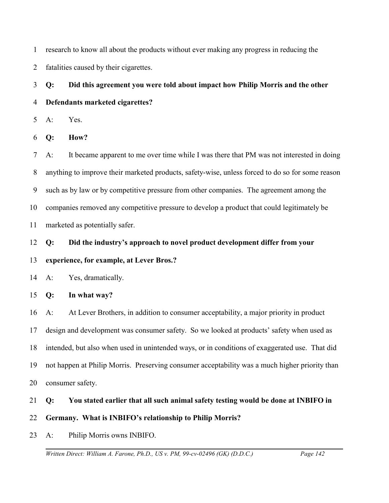1 research to know all about the products without ever making any progress in reducing the

2 fatalities caused by their cigarettes.

3 4 **Q: Did this agreement you were told about impact how Philip Morris and the other Defendants marketed cigarettes?** 

5 A: Yes.

6 **Q: How?** 

7 8 9 10 11 A: It became apparent to me over time while I was there that PM was not interested in doing anything to improve their marketed products, safety-wise, unless forced to do so for some reason such as by law or by competitive pressure from other companies. The agreement among the companies removed any competitive pressure to develop a product that could legitimately be marketed as potentially safer.

12 **Q: Did the industry's approach to novel product development differ from your**

## 13 **experience, for example, at Lever Bros.?**

14 A: Yes, dramatically.

15 **Q: In what way?**

16 17 18 19 20 A: At Lever Brothers, in addition to consumer acceptability, a major priority in product design and development was consumer safety. So we looked at products' safety when used as intended, but also when used in unintended ways, or in conditions of exaggerated use. That did not happen at Philip Morris. Preserving consumer acceptability was a much higher priority than consumer safety.

## 21 **Q: You stated earlier that all such animal safety testing would be done at INBIFO in**

## 22 **Germany. What is INBIFO's relationship to Philip Morris?**

23 A: Philip Morris owns INBIFO.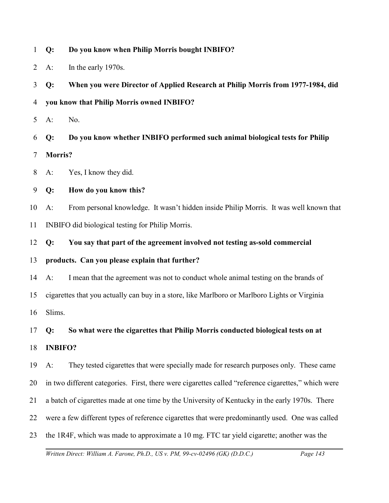- 1 **Q: Do you know when Philip Morris bought INBIFO?**
- 2 A: In the early 1970s.

3 **Q: When you were Director of Applied Research at Philip Morris from 1977-1984, did**

- 4 **you know that Philip Morris owned INBIFO?**
- 5 A: No.

6 7 **Q: Do you know whether INBIFO performed such animal biological tests for Philip Morris?**

- 8 A: Yes, I know they did.
- 9 **Q: How do you know this?**

10 11 A: From personal knowledge. It wasn't hidden inside Philip Morris. It was well known that INBIFO did biological testing for Philip Morris.

- 12 **Q: You say that part of the agreement involved not testing as-sold commercial**
- 13 **products. Can you please explain that further?**

14 15 16 A: I mean that the agreement was not to conduct whole animal testing on the brands of cigarettes that you actually can buy in a store, like Marlboro or Marlboro Lights or Virginia Slims.

17 **Q: So what were the cigarettes that Philip Morris conducted biological tests on at**

18 **INBIFO?** 

19 A: They tested cigarettes that were specially made for research purposes only. These came

20 in two different categories. First, there were cigarettes called "reference cigarettes," which were

21 a batch of cigarettes made at one time by the University of Kentucky in the early 1970s. There

22 were a few different types of reference cigarettes that were predominantly used. One was called

23 the 1R4F, which was made to approximate a 10 mg. FTC tar yield cigarette; another was the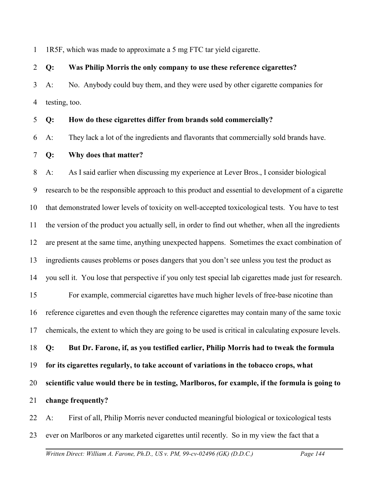1 1R5F, which was made to approximate a 5 mg FTC tar yield cigarette.

#### 2 **Q: Was Philip Morris the only company to use these reference cigarettes?**

3 4 A: No. Anybody could buy them, and they were used by other cigarette companies for testing, too.

#### 5 **Q: How do these cigarettes differ from brands sold commercially?**

6 A: They lack a lot of the ingredients and flavorants that commercially sold brands have.

#### 7 **Q: Why does that matter?**

8 9 10 11 12 13 14 15 16 17 18 19 20 21 A: As I said earlier when discussing my experience at Lever Bros., I consider biological research to be the responsible approach to this product and essential to development of a cigarette that demonstrated lower levels of toxicity on well-accepted toxicological tests. You have to test the version of the product you actually sell, in order to find out whether, when all the ingredients are present at the same time, anything unexpected happens. Sometimes the exact combination of ingredients causes problems or poses dangers that you don't see unless you test the product as you sell it. You lose that perspective if you only test special lab cigarettes made just for research. For example, commercial cigarettes have much higher levels of free-base nicotine than reference cigarettes and even though the reference cigarettes may contain many of the same toxic chemicals, the extent to which they are going to be used is critical in calculating exposure levels. **Q: But Dr. Farone, if, as you testified earlier, Philip Morris had to tweak the formula for its cigarettes regularly, to take account of variations in the tobacco crops, what scientific value would there be in testing, Marlboros, for example, if the formula is going to change frequently?** 

22 23 A: First of all, Philip Morris never conducted meaningful biological or toxicological tests ever on Marlboros or any marketed cigarettes until recently. So in my view the fact that a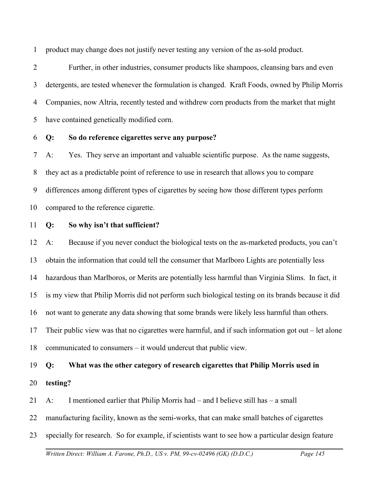1 product may change does not justify never testing any version of the as-sold product.

2 3 4 5 Further, in other industries, consumer products like shampoos, cleansing bars and even detergents, are tested whenever the formulation is changed. Kraft Foods, owned by Philip Morris Companies, now Altria, recently tested and withdrew corn products from the market that might have contained genetically modified corn.

6 **Q: So do reference cigarettes serve any purpose?**

7 8 9 10 A: Yes. They serve an important and valuable scientific purpose. As the name suggests, they act as a predictable point of reference to use in research that allows you to compare differences among different types of cigarettes by seeing how those different types perform compared to the reference cigarette.

11 **Q: So why isn't that sufficient?**

12 13 14 15 16 17 18 A: Because if you never conduct the biological tests on the as-marketed products, you can't obtain the information that could tell the consumer that Marlboro Lights are potentially less hazardous than Marlboros, or Merits are potentially less harmful than Virginia Slims. In fact, it is my view that Philip Morris did not perform such biological testing on its brands because it did not want to generate any data showing that some brands were likely less harmful than others. Their public view was that no cigarettes were harmful, and if such information got out – let alone communicated to consumers – it would undercut that public view.

19 **Q: What was the other category of research cigarettes that Philip Morris used in**

20 **testing?**

21 A: I mentioned earlier that Philip Morris had – and I believe still has – a small

22 manufacturing facility, known as the semi-works, that can make small batches of cigarettes

23 specially for research. So for example, if scientists want to see how a particular design feature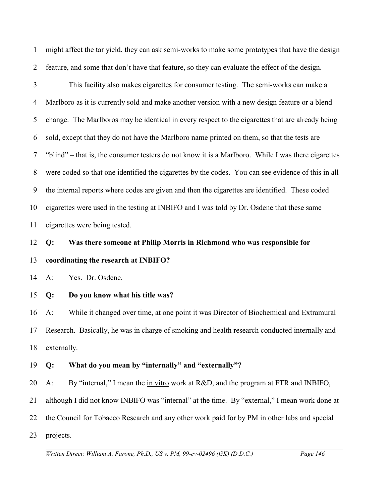1 2 might affect the tar yield, they can ask semi-works to make some prototypes that have the design feature, and some that don't have that feature, so they can evaluate the effect of the design.

3 4 5 6 7 8 9 10 11 This facility also makes cigarettes for consumer testing. The semi-works can make a Marlboro as it is currently sold and make another version with a new design feature or a blend change. The Marlboros may be identical in every respect to the cigarettes that are already being sold, except that they do not have the Marlboro name printed on them, so that the tests are "blind" – that is, the consumer testers do not know it is a Marlboro. While I was there cigarettes were coded so that one identified the cigarettes by the codes. You can see evidence of this in all the internal reports where codes are given and then the cigarettes are identified. These coded cigarettes were used in the testing at INBIFO and I was told by Dr. Osdene that these same cigarettes were being tested.

## 12 13 **Q: Was there someone at Philip Morris in Richmond who was responsible for coordinating the research at INBIFO?**

14 A: Yes. Dr. Osdene.

#### 15 **Q: Do you know what his title was?**

16 17 18 A: While it changed over time, at one point it was Director of Biochemical and Extramural Research. Basically, he was in charge of smoking and health research conducted internally and externally.

#### 19 **Q: What do you mean by "internally" and "externally"?**

20 A: By "internal," I mean the <u>in vitro</u> work at R&D, and the program at FTR and INBIFO,

21 although I did not know INBIFO was "internal" at the time. By "external," I mean work done at

22 the Council for Tobacco Research and any other work paid for by PM in other labs and special

23 projects.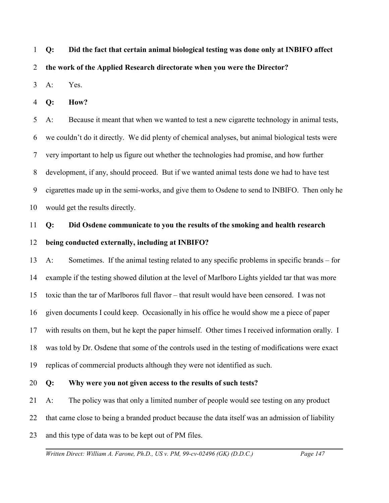1 **Q: Did the fact that certain animal biological testing was done only at INBIFO affect**

2 **the work of the Applied Research directorate when you were the Director?**

3 A: Yes.

4 **Q: How?** 

5 6 7 8 9 10 A: Because it meant that when we wanted to test a new cigarette technology in animal tests, we couldn't do it directly. We did plenty of chemical analyses, but animal biological tests were very important to help us figure out whether the technologies had promise, and how further development, if any, should proceed. But if we wanted animal tests done we had to have test cigarettes made up in the semi-works, and give them to Osdene to send to INBIFO. Then only he would get the results directly.

## 11 12 **Q: Did Osdene communicate to you the results of the smoking and health research being conducted externally, including at INBIFO?**

13 14 15 16 17 18 19 A: Sometimes. If the animal testing related to any specific problems in specific brands – for example if the testing showed dilution at the level of Marlboro Lights yielded tar that was more toxic than the tar of Marlboros full flavor – that result would have been censored. I was not given documents I could keep. Occasionally in his office he would show me a piece of paper with results on them, but he kept the paper himself. Other times I received information orally. I was told by Dr. Osdene that some of the controls used in the testing of modifications were exact replicas of commercial products although they were not identified as such.

#### 20 **Q: Why were you not given access to the results of such tests?**

21 A: The policy was that only a limited number of people would see testing on any product

22 that came close to being a branded product because the data itself was an admission of liability

23 and this type of data was to be kept out of PM files.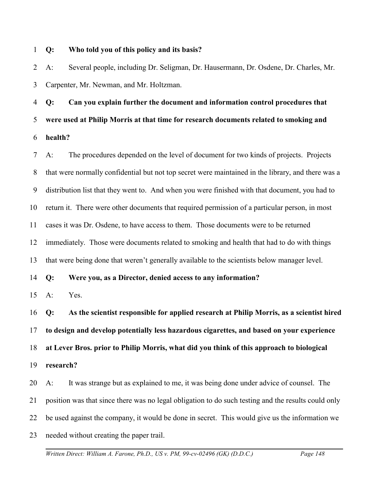#### 1 **Q: Who told you of this policy and its basis?**

2 3 A: Several people, including Dr. Seligman, Dr. Hausermann, Dr. Osdene, Dr. Charles, Mr. Carpenter, Mr. Newman, and Mr. Holtzman.

4 5 6 **Q: Can you explain further the document and information control procedures that were used at Philip Morris at that time for research documents related to smoking and health?**

7 8 9 10 11 12 13 14 A: The procedures depended on the level of document for two kinds of projects. Projects that were normally confidential but not top secret were maintained in the library, and there was a distribution list that they went to. And when you were finished with that document, you had to return it. There were other documents that required permission of a particular person, in most cases it was Dr. Osdene, to have access to them. Those documents were to be returned immediately. Those were documents related to smoking and health that had to do with things that were being done that weren't generally available to the scientists below manager level. **Q: Were you, as a Director, denied access to any information?**

15 A: Yes.

16 17 18 19 **Q: As the scientist responsible for applied research at Philip Morris, as a scientist hired to design and develop potentially less hazardous cigarettes, and based on your experience at Lever Bros. prior to Philip Morris, what did you think of this approach to biological research?**

20 21 22 23 A: It was strange but as explained to me, it was being done under advice of counsel. The position was that since there was no legal obligation to do such testing and the results could only be used against the company, it would be done in secret. This would give us the information we needed without creating the paper trail.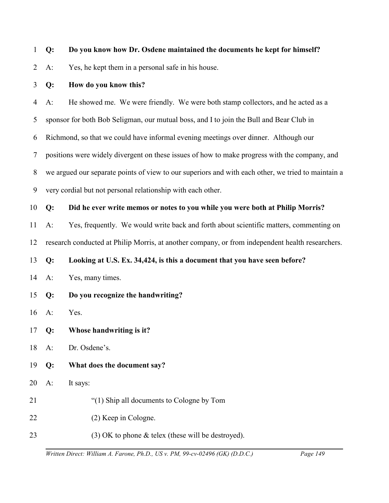|  |  |  | 1 Q: Do you know how Dr. Osdene maintained the documents he kept for himself? |  |
|--|--|--|-------------------------------------------------------------------------------|--|
|--|--|--|-------------------------------------------------------------------------------|--|

2 A: Yes, he kept them in a personal safe in his house.

#### 3 **Q: How do you know this?**

4 5 6 7 8 9 A: He showed me. We were friendly. We were both stamp collectors, and he acted as a sponsor for both Bob Seligman, our mutual boss, and I to join the Bull and Bear Club in Richmond, so that we could have informal evening meetings over dinner. Although our positions were widely divergent on these issues of how to make progress with the company, and we argued our separate points of view to our superiors and with each other, we tried to maintain a very cordial but not personal relationship with each other.

#### 10 **Q: Did he ever write memos or notes to you while you were both at Philip Morris?**

11 A: Yes, frequently. We would write back and forth about scientific matters, commenting on

12 research conducted at Philip Morris, at another company, or from independent health researchers.

13 **Q: Looking at U.S. Ex. 34,424, is this a document that you have seen before?**

- 14 A: Yes, many times.
- 15 **Q: Do you recognize the handwriting?**

16 A: Yes.

- 17 **Q: Whose handwriting is it?**
- 18 A: Dr. Osdene's.
- 19 **Q: What does the document say?**
- 20 A: It says:
- 21 "(1) Ship all documents to Cologne by Tom
- 22 (2) Keep in Cologne.
- 23 (3) OK to phone & telex (these will be destroyed).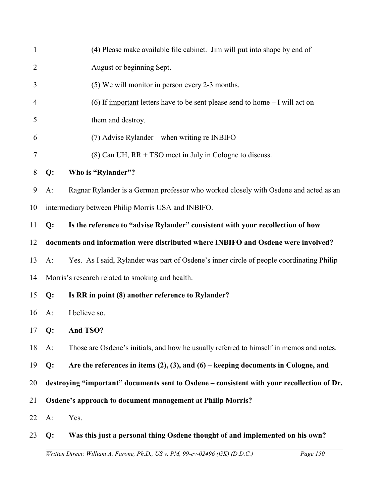| $\mathbf{1}$   |              | (4) Please make available file cabinet. Jim will put into shape by end of                  |
|----------------|--------------|--------------------------------------------------------------------------------------------|
| $\overline{2}$ |              | August or beginning Sept.                                                                  |
| 3              |              | (5) We will monitor in person every 2-3 months.                                            |
| 4              |              | (6) If <u>important</u> letters have to be sent please send to home $-$ I will act on      |
| 5              |              | them and destroy.                                                                          |
| 6              |              | $(7)$ Advise Rylander – when writing re INBIFO                                             |
| 7              |              | $(8)$ Can UH, RR + TSO meet in July in Cologne to discuss.                                 |
| 8              | Q:           | Who is "Rylander"?                                                                         |
| 9              | $A$ :        | Ragnar Rylander is a German professor who worked closely with Osdene and acted as an       |
| 10             |              | intermediary between Philip Morris USA and INBIFO.                                         |
| 11             | Q:           | Is the reference to "advise Rylander" consistent with your recollection of how             |
| 12             |              | documents and information were distributed where INBIFO and Osdene were involved?          |
| 13             | $A$ :        | Yes. As I said, Rylander was part of Osdene's inner circle of people coordinating Philip   |
| 14             |              | Morris's research related to smoking and health.                                           |
| 15             | Q:           | Is RR in point (8) another reference to Rylander?                                          |
| 16             | $A$ :        | I believe so.                                                                              |
|                | 17 <b>Q:</b> | And TSO?                                                                                   |
| 18             | $A$ :        | Those are Osdene's initials, and how he usually referred to himself in memos and notes.    |
| 19             | Q:           | Are the references in items $(2)$ , $(3)$ , and $(6)$ – keeping documents in Cologne, and  |
| 20             |              | destroying "important" documents sent to Osdene - consistent with your recollection of Dr. |
| 21             |              | Osdene's approach to document management at Philip Morris?                                 |
| 22             | $A$ :        | Yes.                                                                                       |
| 23             | Q:           | Was this just a personal thing Osdene thought of and implemented on his own?               |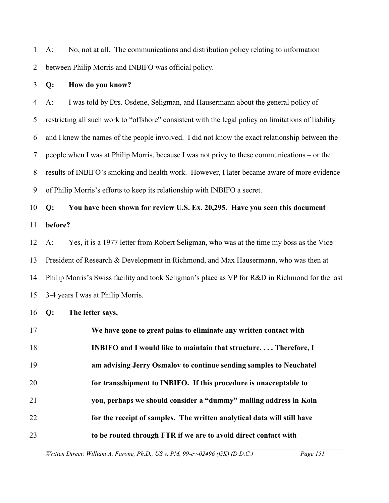1 2 A: No, not at all. The communications and distribution policy relating to information between Philip Morris and INBIFO was official policy.

#### 3 **Q: How do you know?**

4 5 6 7 8 9 A: I was told by Drs. Osdene, Seligman, and Hausermann about the general policy of restricting all such work to "offshore" consistent with the legal policy on limitations of liability and I knew the names of the people involved. I did not know the exact relationship between the people when I was at Philip Morris, because I was not privy to these communications – or the results of INBIFO's smoking and health work. However, I later became aware of more evidence of Philip Morris's efforts to keep its relationship with INBIFO a secret.

## 10 11 **Q: You have been shown for review U.S. Ex. 20,295. Have you seen this document before?**

12 13 14 15 A: Yes, it is a 1977 letter from Robert Seligman, who was at the time my boss as the Vice President of Research & Development in Richmond, and Max Hausermann, who was then at Philip Morris's Swiss facility and took Seligman's place as VP for R&D in Richmond for the last 3-4 years I was at Philip Morris.

#### 16 **Q: The letter says,**

17 18 19 20 21 22 23 **We have gone to great pains to eliminate any written contact with INBIFO and I would like to maintain that structure. . . . Therefore, I am advising Jerry Osmalov to continue sending samples to Neuchatel for transshipment to INBIFO. If this procedure is unacceptable to you, perhaps we should consider a "dummy" mailing address in Koln for the receipt of samples. The written analytical data will still have to be routed through FTR if we are to avoid direct contact with**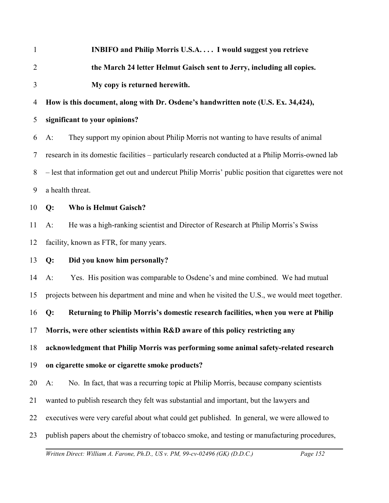| $\mathbf{1}$   | <b>INBIFO and Philip Morris U.S.A I would suggest you retrieve</b>                                   |  |
|----------------|------------------------------------------------------------------------------------------------------|--|
| $\overline{2}$ | the March 24 letter Helmut Gaisch sent to Jerry, including all copies.                               |  |
| 3              | My copy is returned herewith.                                                                        |  |
| 4              | How is this document, along with Dr. Osdene's handwritten note (U.S. Ex. 34,424),                    |  |
| 5              | significant to your opinions?                                                                        |  |
| 6              | They support my opinion about Philip Morris not wanting to have results of animal<br>$A$ :           |  |
| 7              | research in its domestic facilities - particularly research conducted at a Philip Morris-owned lab   |  |
| 8              | - lest that information get out and undercut Philip Morris' public position that cigarettes were not |  |
| 9              | a health threat.                                                                                     |  |
| 10             | Q:<br><b>Who is Helmut Gaisch?</b>                                                                   |  |
| 11             | He was a high-ranking scientist and Director of Research at Philip Morris's Swiss<br>$A$ :           |  |
| 12             | facility, known as FTR, for many years.                                                              |  |
| 13             | Q:<br>Did you know him personally?                                                                   |  |
| 14             | Yes. His position was comparable to Osdene's and mine combined. We had mutual<br>$A$ :               |  |
| 15             | projects between his department and mine and when he visited the U.S., we would meet together.       |  |
| 16             | Returning to Philip Morris's domestic research facilities, when you were at Philip<br>Q:             |  |
|                | 17 Morris, were other scientists within R&D aware of this policy restricting any                     |  |
| 18             | acknowledgment that Philip Morris was performing some animal safety-related research                 |  |
| 19             | on cigarette smoke or cigarette smoke products?                                                      |  |
| 20             | No. In fact, that was a recurring topic at Philip Morris, because company scientists<br>$A$ :        |  |
| 21             | wanted to publish research they felt was substantial and important, but the lawyers and              |  |
| 22             | executives were very careful about what could get published. In general, we were allowed to          |  |
| 23             | publish papers about the chemistry of tobacco smoke, and testing or manufacturing procedures,        |  |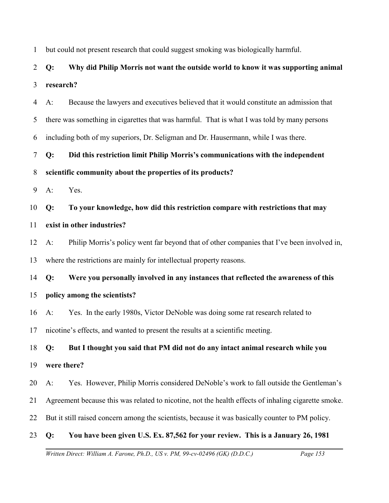1 but could not present research that could suggest smoking was biologically harmful.

## 2 3 **Q: Why did Philip Morris not want the outside world to know it was supporting animal research?**

4 5 6 A: Because the lawyers and executives believed that it would constitute an admission that there was something in cigarettes that was harmful. That is what I was told by many persons including both of my superiors, Dr. Seligman and Dr. Hausermann, while I was there.

7 **Q: Did this restriction limit Philip Morris's communications with the independent**

### 8 **scientific community about the properties of its products?**

9 A: Yes.

10 **Q: To your knowledge, how did this restriction compare with restrictions that may**

### 11 **exist in other industries?**

12 13 A: Philip Morris's policy went far beyond that of other companies that I've been involved in, where the restrictions are mainly for intellectual property reasons.

14 **Q: Were you personally involved in any instances that reflected the awareness of this**

## 15 **policy among the scientists?**

16 A: Yes. In the early 1980s, Victor DeNoble was doing some rat research related to

17 nicotine's effects, and wanted to present the results at a scientific meeting.

18 19 **Q: But I thought you said that PM did not do any intact animal research while you were there?**

20 A: Yes. However, Philip Morris considered DeNoble's work to fall outside the Gentleman's

- 21 Agreement because this was related to nicotine, not the health effects of inhaling cigarette smoke.
- 22 But it still raised concern among the scientists, because it was basically counter to PM policy.

## 23 **Q: You have been given U.S. Ex. 87,562 for your review. This is a January 26, 1981**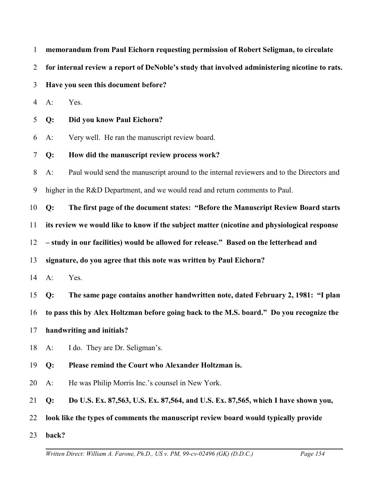| $\mathbf{1}$   |                                                                                             | memorandum from Paul Eichorn requesting permission of Robert Seligman, to circulate           |
|----------------|---------------------------------------------------------------------------------------------|-----------------------------------------------------------------------------------------------|
| $\overline{2}$ |                                                                                             | for internal review a report of DeNoble's study that involved administering nicotine to rats. |
| $\overline{3}$ | Have you seen this document before?                                                         |                                                                                               |
| $\overline{4}$ | $A$ :                                                                                       | Yes.                                                                                          |
| 5              | $Q$ :                                                                                       | Did you know Paul Eichorn?                                                                    |
| 6              | $A$ :                                                                                       | Very well. He ran the manuscript review board.                                                |
| $\tau$         | Q:                                                                                          | How did the manuscript review process work?                                                   |
| 8              | $A$ :                                                                                       | Paul would send the manuscript around to the internal reviewers and to the Directors and      |
| 9              | higher in the R&D Department, and we would read and return comments to Paul.                |                                                                                               |
| 10             | Q:                                                                                          | The first page of the document states: "Before the Manuscript Review Board starts             |
| 11             | its review we would like to know if the subject matter (nicotine and physiological response |                                                                                               |
| 12             | - study in our facilities) would be allowed for release." Based on the letterhead and       |                                                                                               |
| 13             | signature, do you agree that this note was written by Paul Eichorn?                         |                                                                                               |
| 14             | $A$ :                                                                                       | Yes.                                                                                          |
| 15             | Q:                                                                                          | The same page contains another handwritten note, dated February 2, 1981: "I plan              |
| 16             |                                                                                             | to pass this by Alex Holtzman before going back to the M.S. board." Do you recognize the      |
|                |                                                                                             | 17 handwriting and initials?                                                                  |
| 18             | $A$ :                                                                                       | I do. They are Dr. Seligman's.                                                                |
| 19             | Q:                                                                                          | Please remind the Court who Alexander Holtzman is.                                            |
| 20             | $A$ :                                                                                       | He was Philip Morris Inc.'s counsel in New York.                                              |
| 21             | Q:                                                                                          | Do U.S. Ex. 87,563, U.S. Ex. 87,564, and U.S. Ex. 87,565, which I have shown you,             |
| 22             |                                                                                             | look like the types of comments the manuscript review board would typically provide           |
| 23             | back?                                                                                       |                                                                                               |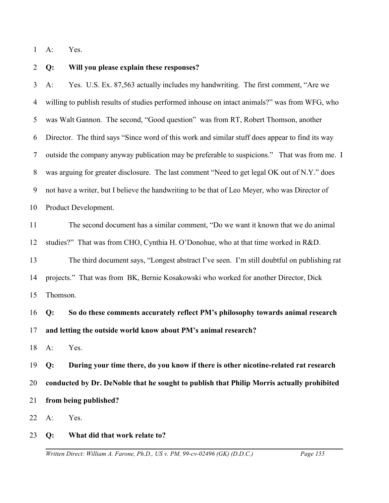1 A: Yes.

#### 2 **Q: Will you please explain these responses?**

3 4 5 6 7 8 9 10 A: Yes. U.S. Ex. 87,563 actually includes my handwriting. The first comment, "Are we willing to publish results of studies performed inhouse on intact animals?" was from WFG, who was Walt Gannon. The second, "Good question" was from RT, Robert Thomson, another Director. The third says "Since word of this work and similar stuff does appear to find its way outside the company anyway publication may be preferable to suspicions." That was from me. I was arguing for greater disclosure. The last comment "Need to get legal OK out of N.Y." does not have a writer, but I believe the handwriting to be that of Leo Meyer, who was Director of Product Development.

11 12 13 14 The second document has a similar comment, "Do we want it known that we do animal studies?" That was from CHO, Cynthia H. O'Donohue, who at that time worked in R&D. The third document says, "Longest abstract I've seen. I'm still doubtful on publishing rat projects." That was from BK, Bernie Kosakowski who worked for another Director, Dick

15 Thomson.

16 17 **Q: So do these comments accurately reflect PM's philosophy towards animal research and letting the outside world know about PM's animal research?**

18 A: Yes.

19 20 21 **Q: During your time there, do you know if there is other nicotine-related rat research conducted by Dr. DeNoble that he sought to publish that Philip Morris actually prohibited from being published?**

22 A: Yes.

#### 23 **Q: What did that work relate to?**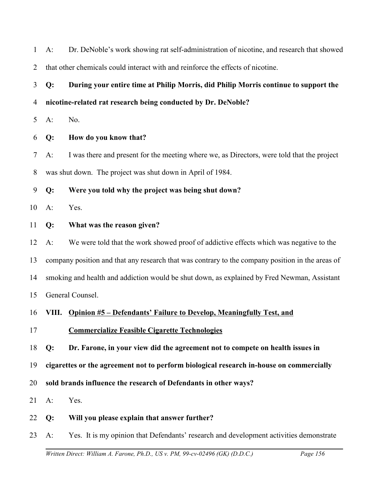| $\mathbf{1}$   | $A$ : | Dr. DeNoble's work showing rat self-administration of nicotine, and research that showed         |
|----------------|-------|--------------------------------------------------------------------------------------------------|
| $\overline{2}$ |       | that other chemicals could interact with and reinforce the effects of nicotine.                  |
| 3              | Q:    | During your entire time at Philip Morris, did Philip Morris continue to support the              |
| 4              |       | nicotine-related rat research being conducted by Dr. DeNoble?                                    |
| 5              | $A$ : | No.                                                                                              |
| 6              | Q:    | How do you know that?                                                                            |
| 7              | $A$ : | I was there and present for the meeting where we, as Directors, were told that the project       |
| 8              |       | was shut down. The project was shut down in April of 1984.                                       |
| 9              | Q:    | Were you told why the project was being shut down?                                               |
| 10             | $A$ : | Yes.                                                                                             |
| 11             | Q:    | What was the reason given?                                                                       |
| 12             | $A$ : | We were told that the work showed proof of addictive effects which was negative to the           |
| 13             |       | company position and that any research that was contrary to the company position in the areas of |
| 14             |       | smoking and health and addiction would be shut down, as explained by Fred Newman, Assistant      |
| 15             |       | General Counsel.                                                                                 |
| 16             |       | VIII. Opinion #5 – Defendants' Failure to Develop, Meaningfully Test, and                        |
| 17             |       | <b>Commercialize Feasible Cigarette Technologies</b>                                             |
| 18             | Q:    | Dr. Farone, in your view did the agreement not to compete on health issues in                    |
| 19             |       | cigarettes or the agreement not to perform biological research in-house on commercially          |
| 20             |       | sold brands influence the research of Defendants in other ways?                                  |
| 21             | $A$ : | Yes.                                                                                             |
| 22             | Q:    | Will you please explain that answer further?                                                     |
| 23             | $A$ : | Yes. It is my opinion that Defendants' research and development activities demonstrate           |
|                |       |                                                                                                  |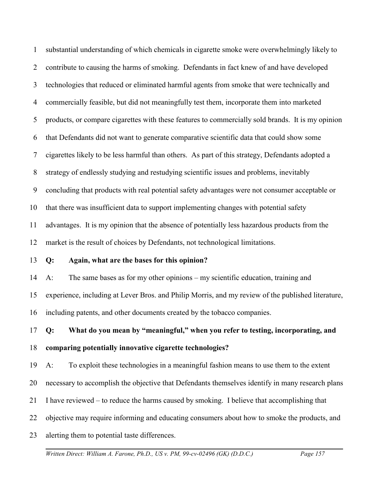1 2 3 4 5 6 7 8 9 10 11 12 substantial understanding of which chemicals in cigarette smoke were overwhelmingly likely to contribute to causing the harms of smoking. Defendants in fact knew of and have developed technologies that reduced or eliminated harmful agents from smoke that were technically and commercially feasible, but did not meaningfully test them, incorporate them into marketed products, or compare cigarettes with these features to commercially sold brands. It is my opinion that Defendants did not want to generate comparative scientific data that could show some cigarettes likely to be less harmful than others. As part of this strategy, Defendants adopted a strategy of endlessly studying and restudying scientific issues and problems, inevitably concluding that products with real potential safety advantages were not consumer acceptable or that there was insufficient data to support implementing changes with potential safety advantages. It is my opinion that the absence of potentially less hazardous products from the market is the result of choices by Defendants, not technological limitations.

#### 13 **Q: Again, what are the bases for this opinion?**

14 15 16 A: The same bases as for my other opinions – my scientific education, training and experience, including at Lever Bros. and Philip Morris, and my review of the published literature, including patents, and other documents created by the tobacco companies.

17 18 **Q: What do you mean by "meaningful," when you refer to testing, incorporating, and comparing potentially innovative cigarette technologies?**

19 A: To exploit these technologies in a meaningful fashion means to use them to the extent

20 necessary to accomplish the objective that Defendants themselves identify in many research plans

- 21 I have reviewed – to reduce the harms caused by smoking. I believe that accomplishing that
- 22 objective may require informing and educating consumers about how to smoke the products, and
- 23 alerting them to potential taste differences.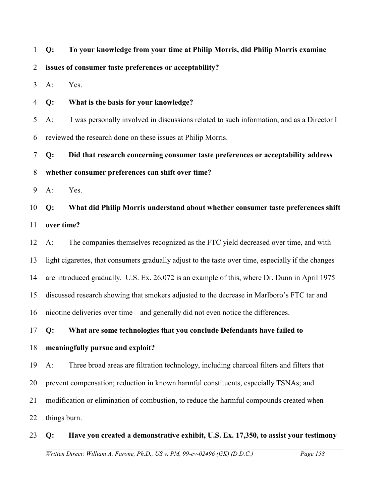1 **Q: To your knowledge from your time at Philip Morris, did Philip Morris examine**

2 **issues of consumer taste preferences or acceptability?** 

3 A: Yes.

4 **Q: What is the basis for your knowledge?**

5 6 A: I was personally involved in discussions related to such information, and as a Director I reviewed the research done on these issues at Philip Morris.

7 8 **Q: Did that research concerning consumer taste preferences or acceptability address whether consumer preferences can shift over time?**

9 A: Yes.

10 11 **Q: What did Philip Morris understand about whether consumer taste preferences shift over time?**

12 13 14 15 16 A: The companies themselves recognized as the FTC yield decreased over time, and with light cigarettes, that consumers gradually adjust to the taste over time, especially if the changes are introduced gradually. U.S. Ex. 26,072 is an example of this, where Dr. Dunn in April 1975 discussed research showing that smokers adjusted to the decrease in Marlboro's FTC tar and nicotine deliveries over time – and generally did not even notice the differences.

17 **Q: What are some technologies that you conclude Defendants have failed to**

## 18 **meaningfully pursue and exploit?**

19 A: Three broad areas are filtration technology, including charcoal filters and filters that

20 prevent compensation; reduction in known harmful constituents, especially TSNAs; and

21 modification or elimination of combustion, to reduce the harmful compounds created when

22 things burn.

## 23 **Q: Have you created a demonstrative exhibit, U.S. Ex. 17,350, to assist your testimony**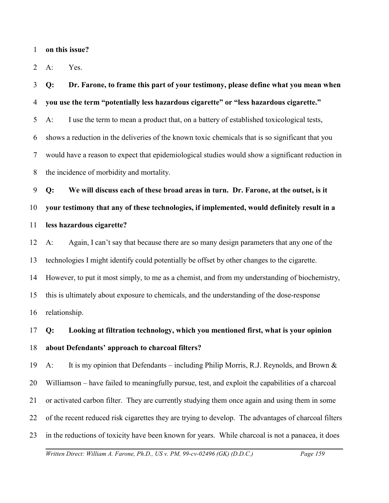1 **on this issue?**

2 A: Yes.

3 4 5 6 7 8 **Q: Dr. Farone, to frame this part of your testimony, please define what you mean when you use the term "potentially less hazardous cigarette" or "less hazardous cigarette."** A: I use the term to mean a product that, on a battery of established toxicological tests, shows a reduction in the deliveries of the known toxic chemicals that is so significant that you would have a reason to expect that epidemiological studies would show a significant reduction in the incidence of morbidity and mortality.

9 10 11 **Q: We will discuss each of these broad areas in turn. Dr. Farone, at the outset, is it your testimony that any of these technologies, if implemented, would definitely result in a less hazardous cigarette?**

12 13 14 15 16 A: Again, I can't say that because there are so many design parameters that any one of the technologies I might identify could potentially be offset by other changes to the cigarette. However, to put it most simply, to me as a chemist, and from my understanding of biochemistry, this is ultimately about exposure to chemicals, and the understanding of the dose-response relationship.

17 18 **Q: Looking at filtration technology, which you mentioned first, what is your opinion about Defendants' approach to charcoal filters?** 

19 20 21 22 23 A: It is my opinion that Defendants – including Philip Morris, R.J. Reynolds, and Brown & Williamson – have failed to meaningfully pursue, test, and exploit the capabilities of a charcoal or activated carbon filter. They are currently studying them once again and using them in some of the recent reduced risk cigarettes they are trying to develop. The advantages of charcoal filters in the reductions of toxicity have been known for years. While charcoal is not a panacea, it does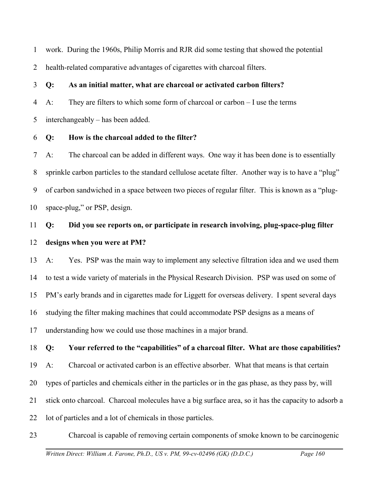1 work. During the 1960s, Philip Morris and RJR did some testing that showed the potential

2 health-related comparative advantages of cigarettes with charcoal filters.

3 **Q: As an initial matter, what are charcoal or activated carbon filters?**

4 A: They are filters to which some form of charcoal or carbon – I use the terms

5 interchangeably – has been added.

6 **Q: How is the charcoal added to the filter?**

7 8 9 10 A: The charcoal can be added in different ways. One way it has been done is to essentially sprinkle carbon particles to the standard cellulose acetate filter. Another way is to have a "plug" of carbon sandwiched in a space between two pieces of regular filter. This is known as a "plugspace-plug," or PSP, design.

## 11 12 **Q: Did you see reports on, or participate in research involving, plug-space-plug filter designs when you were at PM?**

13 14 15 16 17 A: Yes. PSP was the main way to implement any selective filtration idea and we used them to test a wide variety of materials in the Physical Research Division. PSP was used on some of PM's early brands and in cigarettes made for Liggett for overseas delivery. I spent several days studying the filter making machines that could accommodate PSP designs as a means of understanding how we could use those machines in a major brand.

18 **Q: Your referred to the "capabilities" of a charcoal filter. What are those capabilities?**

19 A: Charcoal or activated carbon is an effective absorber. What that means is that certain

20 types of particles and chemicals either in the particles or in the gas phase, as they pass by, will

21 stick onto charcoal. Charcoal molecules have a big surface area, so it has the capacity to adsorb a

22 lot of particles and a lot of chemicals in those particles.

23 Charcoal is capable of removing certain components of smoke known to be carcinogenic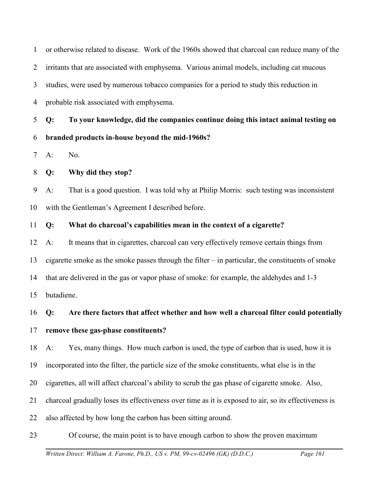1 2 3 4 5 6 7 or otherwise related to disease. Work of the 1960s showed that charcoal can reduce many of the irritants that are associated with emphysema. Various animal models, including cat mucous studies, were used by numerous tobacco companies for a period to study this reduction in probable risk associated with emphysema. **Q: To your knowledge, did the companies continue doing this intact animal testing on branded products in-house beyond the mid-1960s?** A: No.

#### 8 **Q: Why did they stop?**

9 10 A: That is a good question. I was told why at Philip Morris: such testing was inconsistent with the Gentleman's Agreement I described before.

#### 11 **Q: What do charcoal's capabilities mean in the context of a cigarette?**

12 13 14 15 A: It means that in cigarettes, charcoal can very effectively remove certain things from cigarette smoke as the smoke passes through the filter – in particular, the constituents of smoke that are delivered in the gas or vapor phase of smoke: for example, the aldehydes and 1-3 butadiene.

16 **Q: Are there factors that affect whether and how well a charcoal filter could potentially**

17 **remove these gas-phase constituents?** 

18 A: Yes, many things. How much carbon is used, the type of carbon that is used, how it is

19 incorporated into the filter, the particle size of the smoke constituents, what else is in the

- 20 cigarettes, all will affect charcoal's ability to scrub the gas phase of cigarette smoke. Also,
- 21 charcoal gradually loses its effectiveness over time as it is exposed to air, so its effectiveness is
- 22 also affected by how long the carbon has been sitting around.
- 23 Of course, the main point is to have enough carbon to show the proven maximum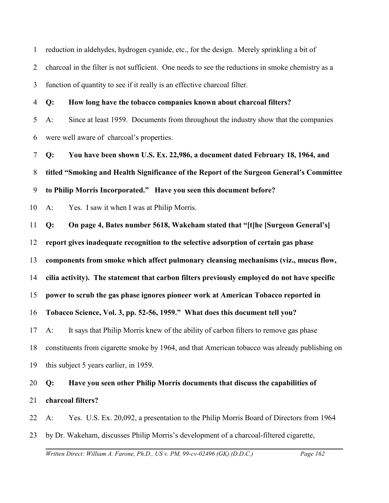1 2 3 reduction in aldehydes, hydrogen cyanide, etc., for the design. Merely sprinkling a bit of charcoal in the filter is not sufficient. One needs to see the reductions in smoke chemistry as a function of quantity to see if it really is an effective charcoal filter.

4 5 6 **Q: How long have the tobacco companies known about charcoal filters?** A: Since at least 1959. Documents from throughout the industry show that the companies were well aware of charcoal's properties.

7 8 9 **Q: You have been shown U.S. Ex. 22,986, a document dated February 18, 1964, and titled "Smoking and Health Significance of the Report of the Surgeon General's Committee to Philip Morris Incorporated." Have you seen this document before?**

10 A: Yes. I saw it when I was at Philip Morris.

11 **Q: On page 4, Bates number 5618, Wakeham stated that "[t]he [Surgeon General's]**

12 **report gives inadequate recognition to the selective adsorption of certain gas phase**

13 **components from smoke which affect pulmonary cleansing mechanisms (viz., mucus flow,**

14 **cilia activity). The statement that carbon filters previously employed do not have specific**

15 **power to scrub the gas phase ignores pioneer work at American Tobacco reported in**

16 **Tobacco Science, Vol. 3, pp. 52-56, 1959." What does this document tell you?**

17 A: It says that Philip Morris knew of the ability of carbon filters to remove gas phase

18 constituents from cigarette smoke by 1964, and that American tobacco was already publishing on

19 this subject 5 years earlier, in 1959.

# 20 **Q: Have you seen other Philip Morris documents that discuss the capabilities of**

#### 21 **charcoal filters?**

22 A: Yes. U.S. Ex. 20,092, a presentation to the Philip Morris Board of Directors from 1964

23 by Dr. Wakeham, discusses Philip Morris's development of a charcoal-filtered cigarette,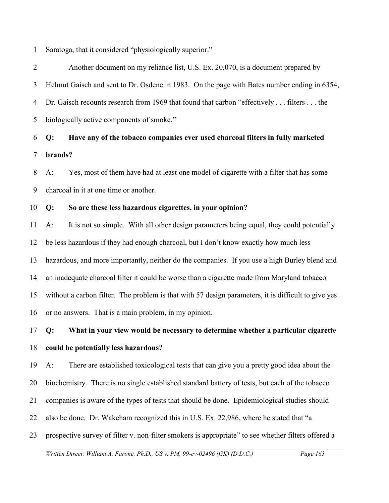1 Saratoga, that it considered "physiologically superior."

2 3 4 5 Another document on my reliance list, U.S. Ex. 20,070, is a document prepared by Helmut Gaisch and sent to Dr. Osdene in 1983. On the page with Bates number ending in 6354, Dr. Gaisch recounts research from 1969 that found that carbon "effectively . . . filters . . . the biologically active components of smoke."

6 7 **Q: Have any of the tobacco companies ever used charcoal filters in fully marketed brands?**

8 9 A: Yes, most of them have had at least one model of cigarette with a filter that has some charcoal in it at one time or another.

#### 10 **Q: So are these less hazardous cigarettes, in your opinion?**

11 12 13 14 15 16 A: It is not so simple. With all other design parameters being equal, they could potentially be less hazardous if they had enough charcoal, but I don't know exactly how much less hazardous, and more importantly, neither do the companies. If you use a high Burley blend and an inadequate charcoal filter it could be worse than a cigarette made from Maryland tobacco without a carbon filter. The problem is that with 57 design parameters, it is difficult to give yes or no answers. That is a main problem, in my opinion.

## 17 18 **Q: What in your view would be necessary to determine whether a particular cigarette could be potentially less hazardous?**

19 A: There are established toxicological tests that can give you a pretty good idea about the

20 biochemistry. There is no single established standard battery of tests, but each of the tobacco

- 21 companies is aware of the types of tests that should be done. Epidemiological studies should
- 22 also be done. Dr. Wakeham recognized this in U.S. Ex. 22,986, where he stated that "a
- 23 prospective survey of filter v. non-filter smokers is appropriate" to see whether filters offered a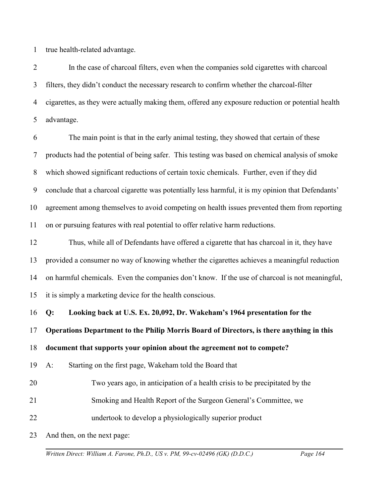1 true health-related advantage.

2 3 4 5 In the case of charcoal filters, even when the companies sold cigarettes with charcoal filters, they didn't conduct the necessary research to confirm whether the charcoal-filter cigarettes, as they were actually making them, offered any exposure reduction or potential health advantage.

6 7 8 9 10 11 The main point is that in the early animal testing, they showed that certain of these products had the potential of being safer. This testing was based on chemical analysis of smoke which showed significant reductions of certain toxic chemicals. Further, even if they did conclude that a charcoal cigarette was potentially less harmful, it is my opinion that Defendants' agreement among themselves to avoid competing on health issues prevented them from reporting on or pursuing features with real potential to offer relative harm reductions.

12 13 14 15 Thus, while all of Defendants have offered a cigarette that has charcoal in it, they have provided a consumer no way of knowing whether the cigarettes achieves a meaningful reduction on harmful chemicals. Even the companies don't know. If the use of charcoal is not meaningful, it is simply a marketing device for the health conscious.

16 **Q: Looking back at U.S. Ex. 20,092, Dr. Wakeham's 1964 presentation for the**

17 **Operations Department to the Philip Morris Board of Directors, is there anything in this**

18 **document that supports your opinion about the agreement not to compete?**

- 19 A: Starting on the first page, Wakeham told the Board that
- 20 Two years ago, in anticipation of a health crisis to be precipitated by the
- 21 Smoking and Health Report of the Surgeon General's Committee, we
- 22 undertook to develop a physiologically superior product

23 And then, on the next page: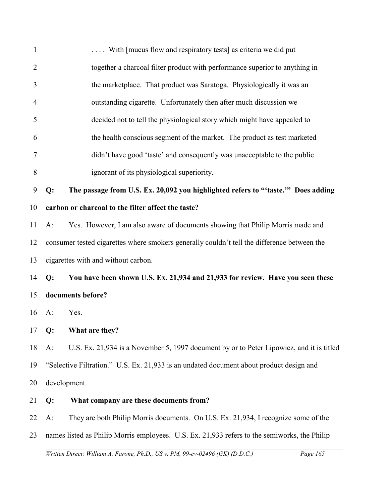| $\mathbf{1}$   |       | With [mucus flow and respiratory tests] as criteria we did put                               |
|----------------|-------|----------------------------------------------------------------------------------------------|
| $\overline{2}$ |       | together a charcoal filter product with performance superior to anything in                  |
| 3              |       | the marketplace. That product was Saratoga. Physiologically it was an                        |
| $\overline{4}$ |       | outstanding cigarette. Unfortunately then after much discussion we                           |
| 5              |       | decided not to tell the physiological story which might have appealed to                     |
| 6              |       | the health conscious segment of the market. The product as test marketed                     |
| 7              |       | didn't have good 'taste' and consequently was unacceptable to the public                     |
| 8              |       | ignorant of its physiological superiority.                                                   |
| 9              | Q:    | The passage from U.S. Ex. 20,092 you highlighted refers to "'taste." Does adding             |
| 10             |       | carbon or charcoal to the filter affect the taste?                                           |
| 11             | $A$ : | Yes. However, I am also aware of documents showing that Philip Morris made and               |
| 12             |       | consumer tested cigarettes where smokers generally couldn't tell the difference between the  |
| 13             |       | cigarettes with and without carbon.                                                          |
| 14             | Q:    | You have been shown U.S. Ex. 21,934 and 21,933 for review. Have you seen these               |
| 15             |       | documents before?                                                                            |
| 16             | $A$ : | Yes.                                                                                         |
| 17             | Q:    | What are they?                                                                               |
| 18             | $A$ : | U.S. Ex. 21,934 is a November 5, 1997 document by or to Peter Lipowicz, and it is titled     |
| 19             |       | "Selective Filtration." U.S. Ex. 21,933 is an undated document about product design and      |
| 20             |       | development.                                                                                 |
| 21             | Q:    | What company are these documents from?                                                       |
| 22             | A:    | They are both Philip Morris documents. On U.S. Ex. 21,934, I recognize some of the           |
| 23             |       | names listed as Philip Morris employees. U.S. Ex. 21,933 refers to the semiworks, the Philip |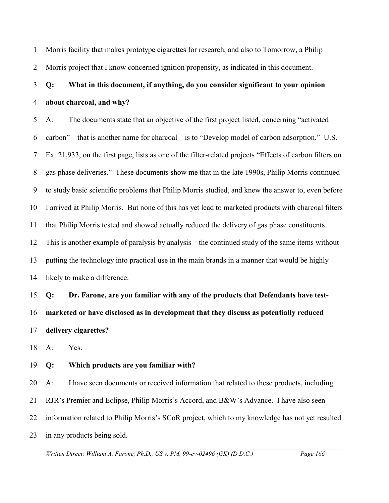1 2 Morris facility that makes prototype cigarettes for research, and also to Tomorrow, a Philip Morris project that I know concerned ignition propensity, as indicated in this document.

## 3 4 **Q: What in this document, if anything, do you consider significant to your opinion about charcoal, and why?**

5 6 7 8 9 10 11 12 13 14 A: The documents state that an objective of the first project listed, concerning "activated carbon" – that is another name for charcoal – is to "Develop model of carbon adsorption." U.S. Ex. 21,933, on the first page, lists as one of the filter-related projects "Effects of carbon filters on gas phase deliveries." These documents show me that in the late 1990s, Philip Morris continued to study basic scientific problems that Philip Morris studied, and knew the answer to, even before I arrived at Philip Morris. But none of this has yet lead to marketed products with charcoal filters that Philip Morris tested and showed actually reduced the delivery of gas phase constituents. This is another example of paralysis by analysis – the continued study of the same items without putting the technology into practical use in the main brands in a manner that would be highly likely to make a difference.

15 16 17 **Q: Dr. Farone, are you familiar with any of the products that Defendants have testmarketed or have disclosed as in development that they discuss as potentially reduced delivery cigarettes?**

18 A: Yes.

### 19 **Q: Which products are you familiar with?**

20 21 22 23 A: I have seen documents or received information that related to these products, including RJR's Premier and Eclipse, Philip Morris's Accord, and B&W's Advance. I have also seen information related to Philip Morris's SCoR project, which to my knowledge has not yet resulted in any products being sold.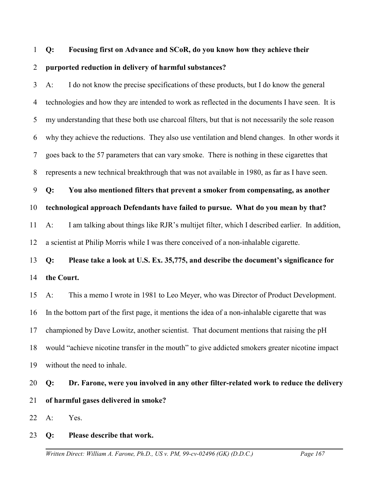#### 1 **Q: Focusing first on Advance and SCoR, do you know how they achieve their**

#### 2 **purported reduction in delivery of harmful substances?**

3 4 5 6 7 8 A: I do not know the precise specifications of these products, but I do know the general technologies and how they are intended to work as reflected in the documents I have seen. It is my understanding that these both use charcoal filters, but that is not necessarily the sole reason why they achieve the reductions. They also use ventilation and blend changes. In other words it goes back to the 57 parameters that can vary smoke. There is nothing in these cigarettes that represents a new technical breakthrough that was not available in 1980, as far as I have seen.

9 **Q: You also mentioned filters that prevent a smoker from compensating, as another**

10 **technological approach Defendants have failed to pursue. What do you mean by that?**

11 12 A: I am talking about things like RJR's multijet filter, which I described earlier. In addition, a scientist at Philip Morris while I was there conceived of a non-inhalable cigarette.

## 13 14 **Q: Please take a look at U.S. Ex. 35,775, and describe the document's significance for the Court.**

15 16 17 18 19 A: This a memo I wrote in 1981 to Leo Meyer, who was Director of Product Development. In the bottom part of the first page, it mentions the idea of a non-inhalable cigarette that was championed by Dave Lowitz, another scientist. That document mentions that raising the pH would "achieve nicotine transfer in the mouth" to give addicted smokers greater nicotine impact without the need to inhale.

## 20 21 **Q: Dr. Farone, were you involved in any other filter-related work to reduce the delivery of harmful gases delivered in smoke?**

22 A: Yes.

### 23 **Q: Please describe that work.**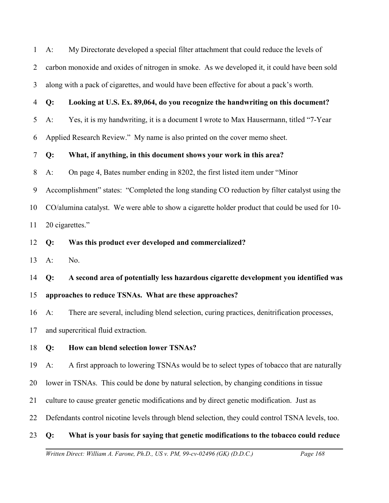1 2 3 A: My Directorate developed a special filter attachment that could reduce the levels of carbon monoxide and oxides of nitrogen in smoke. As we developed it, it could have been sold along with a pack of cigarettes, and would have been effective for about a pack's worth.

#### 4 **Q: Looking at U.S. Ex. 89,064, do you recognize the handwriting on this document?**

5 A: Yes, it is my handwriting, it is a document I wrote to Max Hausermann, titled "7-Year

6 Applied Research Review." My name is also printed on the cover memo sheet.

#### 7 **Q: What, if anything, in this document shows your work in this area?**

8 A: On page 4, Bates number ending in 8202, the first listed item under "Minor

9 Accomplishment" states: "Completed the long standing CO reduction by filter catalyst using the

10 CO/alumina catalyst. We were able to show a cigarette holder product that could be used for 10-

11 20 cigarettes."

- 12 **Q: Was this product ever developed and commercialized?**
- 13  $A:$  No.

14 **Q: A second area of potentially less hazardous cigarette development you identified was**

#### 15 **approaches to reduce TSNAs. What are these approaches?**

16 A: There are several, including blend selection, curing practices, denitrification processes,

17 and supercritical fluid extraction.

### 18 **Q: How can blend selection lower TSNAs?**

19 A: A first approach to lowering TSNAs would be to select types of tobacco that are naturally

20 lower in TSNAs. This could be done by natural selection, by changing conditions in tissue

21 culture to cause greater genetic modifications and by direct genetic modification. Just as

22 Defendants control nicotine levels through blend selection, they could control TSNA levels, too.

### 23 **Q: What is your basis for saying that genetic modifications to the tobacco could reduce**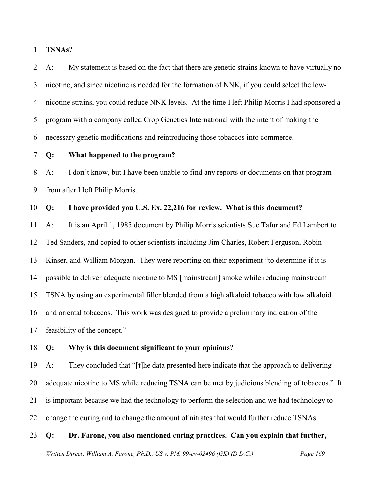1 **TSNAs?**

2 3 4 5 6 A: My statement is based on the fact that there are genetic strains known to have virtually no nicotine, and since nicotine is needed for the formation of NNK, if you could select the lownicotine strains, you could reduce NNK levels. At the time I left Philip Morris I had sponsored a program with a company called Crop Genetics International with the intent of making the necessary genetic modifications and reintroducing those tobaccos into commerce.

7 **Q: What happened to the program?**

8 9 A: I don't know, but I have been unable to find any reports or documents on that program from after I left Philip Morris.

#### 10 **Q: I have provided you U.S. Ex. 22,216 for review. What is this document?**

11 12 13 14 15 16 17 A: It is an April 1, 1985 document by Philip Morris scientists Sue Tafur and Ed Lambert to Ted Sanders, and copied to other scientists including Jim Charles, Robert Ferguson, Robin Kinser, and William Morgan. They were reporting on their experiment "to determine if it is possible to deliver adequate nicotine to MS [mainstream] smoke while reducing mainstream TSNA by using an experimental filler blended from a high alkaloid tobacco with low alkaloid and oriental tobaccos. This work was designed to provide a preliminary indication of the feasibility of the concept."

#### 18 **Q: Why is this document significant to your opinions?**

19 20 21 22 A: They concluded that "[t]he data presented here indicate that the approach to delivering adequate nicotine to MS while reducing TSNA can be met by judicious blending of tobaccos." It is important because we had the technology to perform the selection and we had technology to change the curing and to change the amount of nitrates that would further reduce TSNAs.

#### 23 **Q: Dr. Farone, you also mentioned curing practices. Can you explain that further,**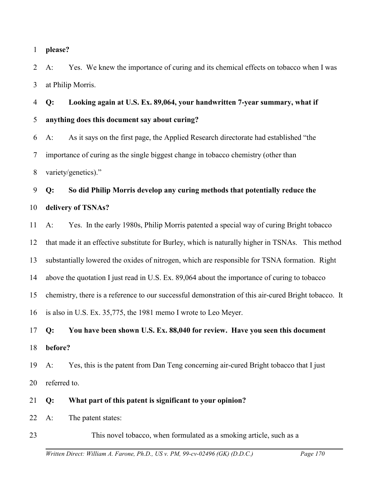#### 1 **please?**

2 3 A: Yes. We knew the importance of curing and its chemical effects on tobacco when I was at Philip Morris.

4 5 **Q: Looking again at U.S. Ex. 89,064, your handwritten 7-year summary, what if anything does this document say about curing?** 

6 7 8 A: As it says on the first page, the Applied Research directorate had established "the importance of curing as the single biggest change in tobacco chemistry (other than variety/genetics)."

9 10 **Q: So did Philip Morris develop any curing methods that potentially reduce the delivery of TSNAs?** 

11 12 13 14 15 16 17 A: Yes. In the early 1980s, Philip Morris patented a special way of curing Bright tobacco that made it an effective substitute for Burley, which is naturally higher in TSNAs. This method substantially lowered the oxides of nitrogen, which are responsible for TSNA formation. Right above the quotation I just read in U.S. Ex. 89,064 about the importance of curing to tobacco chemistry, there is a reference to our successful demonstration of this air-cured Bright tobacco. It is also in U.S. Ex. 35,775, the 1981 memo I wrote to Leo Meyer. **Q: You have been shown U.S. Ex. 88,040 for review. Have you seen this document**

18 **before?**

19 20 A: Yes, this is the patent from Dan Teng concerning air-cured Bright tobacco that I just referred to.

21 **Q: What part of this patent is significant to your opinion?** 

- 22 A: The patent states:
- 23 This novel tobacco, when formulated as a smoking article, such as a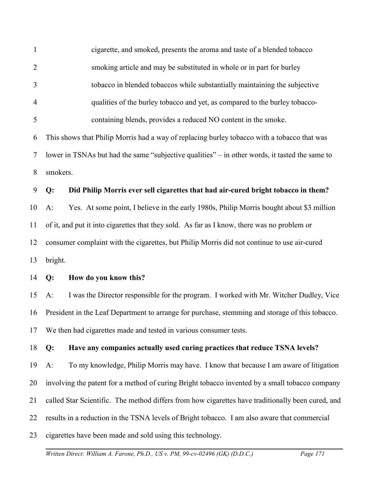1 2 3 4 5 6 7 8 9 10 11 12 13 14 15 16 17 18 19 20 21 22 23 cigarette, and smoked, presents the aroma and taste of a blended tobacco smoking article and may be substituted in whole or in part for burley tobacco in blended tobaccos while substantially maintaining the subjective qualities of the burley tobacco and yet, as compared to the burley tobaccocontaining blends, provides a reduced NO content in the smoke. This shows that Philip Morris had a way of replacing burley tobacco with a tobacco that was lower in TSNAs but had the same "subjective qualities" – in other words, it tasted the same to smokers. **Q: Did Philip Morris ever sell cigarettes that had air-cured bright tobacco in them?**  A: Yes. At some point, I believe in the early 1980s, Philip Morris bought about \$3 million of it, and put it into cigarettes that they sold. As far as I know, there was no problem or consumer complaint with the cigarettes, but Philip Morris did not continue to use air-cured bright. **Q: How do you know this?** A: I was the Director responsible for the program. I worked with Mr. Witcher Dudley, Vice President in the Leaf Department to arrange for purchase, stemming and storage of this tobacco. We then had cigarettes made and tested in various consumer tests. **Q: Have any companies actually used curing practices that reduce TSNA levels?**  A: To my knowledge, Philip Morris may have. I know that because I am aware of litigation involving the patent for a method of curing Bright tobacco invented by a small tobacco company called Star Scientific. The method differs from how cigarettes have traditionally been cured, and results in a reduction in the TSNA levels of Bright tobacco. I am also aware that commercial cigarettes have been made and sold using this technology.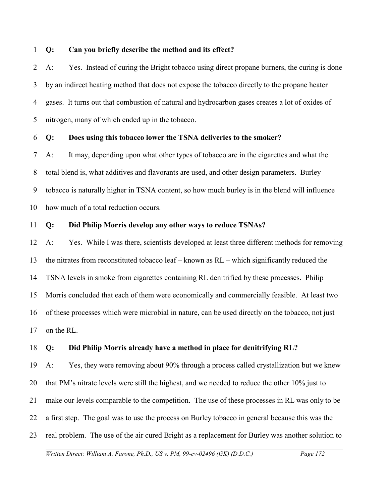1 **Q: Can you briefly describe the method and its effect?**

2 3 4 5 A: Yes. Instead of curing the Bright tobacco using direct propane burners, the curing is done by an indirect heating method that does not expose the tobacco directly to the propane heater gases. It turns out that combustion of natural and hydrocarbon gases creates a lot of oxides of nitrogen, many of which ended up in the tobacco.

#### 6 **Q: Does using this tobacco lower the TSNA deliveries to the smoker?**

7 8 9 10 A: It may, depending upon what other types of tobacco are in the cigarettes and what the total blend is, what additives and flavorants are used, and other design parameters. Burley tobacco is naturally higher in TSNA content, so how much burley is in the blend will influence how much of a total reduction occurs.

#### 11 **Q: Did Philip Morris develop any other ways to reduce TSNAs?**

12 13 14 15 16 17 A: Yes. While I was there, scientists developed at least three different methods for removing the nitrates from reconstituted tobacco leaf – known as RL – which significantly reduced the TSNA levels in smoke from cigarettes containing RL denitrified by these processes. Philip Morris concluded that each of them were economically and commercially feasible. At least two of these processes which were microbial in nature, can be used directly on the tobacco, not just on the RL.

#### 18 **Q: Did Philip Morris already have a method in place for denitrifying RL?**

19 20 21 22 23 A: Yes, they were removing about 90% through a process called crystallization but we knew that PM's nitrate levels were still the highest, and we needed to reduce the other 10% just to make our levels comparable to the competition. The use of these processes in RL was only to be a first step. The goal was to use the process on Burley tobacco in general because this was the real problem. The use of the air cured Bright as a replacement for Burley was another solution to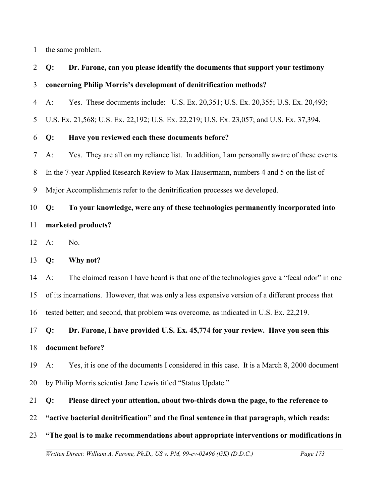1 the same problem.

## 2 3 **Q: Dr. Farone, can you please identify the documents that support your testimony concerning Philip Morris's development of denitrification methods?**

4 A: Yes. These documents include: U.S. Ex. 20,351; U.S. Ex. 20,355; U.S. Ex. 20,493;

5 U.S. Ex. 21,568; U.S. Ex. 22,192; U.S. Ex. 22,219; U.S. Ex. 23,057; and U.S. Ex. 37,394.

### 6 **Q: Have you reviewed each these documents before?**

7 A: Yes. They are all on my reliance list. In addition, I am personally aware of these events.

8 In the 7-year Applied Research Review to Max Hausermann, numbers 4 and 5 on the list of

9 Major Accomplishments refer to the denitrification processes we developed.

## 10 11 **Q: To your knowledge, were any of these technologies permanently incorporated into marketed products?**

12 A: No.

13 **Q: Why not?**

14 A: The claimed reason I have heard is that one of the technologies gave a "fecal odor" in one

15 of its incarnations. However, that was only a less expensive version of a different process that

16 tested better; and second, that problem was overcome, as indicated in U.S. Ex. 22,219.

17 **Q: Dr. Farone, I have provided U.S. Ex. 45,774 for your review. Have you seen this**

### 18 **document before?**

19 20 A: Yes, it is one of the documents I considered in this case. It is a March 8, 2000 document by Philip Morris scientist Jane Lewis titled "Status Update."

- 21 **Q: Please direct your attention, about two-thirds down the page, to the reference to**
- 22 **"active bacterial denitrification" and the final sentence in that paragraph, which reads:**
- 23 **"The goal is to make recommendations about appropriate interventions or modifications in**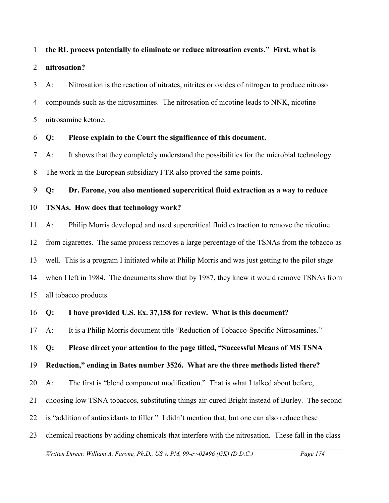#### 1 **the RL process potentially to eliminate or reduce nitrosation events." First, what is**

#### 2 **nitrosation?**

3 4 5 A: Nitrosation is the reaction of nitrates, nitrites or oxides of nitrogen to produce nitroso compounds such as the nitrosamines. The nitrosation of nicotine leads to NNK, nicotine nitrosamine ketone.

#### 6 **Q: Please explain to the Court the significance of this document.**

7 8 A: It shows that they completely understand the possibilities for the microbial technology. The work in the European subsidiary FTR also proved the same points.

9 **Q: Dr. Farone, you also mentioned supercritical fluid extraction as a way to reduce**

#### 10 **TSNAs. How does that technology work?**

11 12 13 14 15 A: Philip Morris developed and used supercritical fluid extraction to remove the nicotine from cigarettes. The same process removes a large percentage of the TSNAs from the tobacco as well. This is a program I initiated while at Philip Morris and was just getting to the pilot stage when I left in 1984. The documents show that by 1987, they knew it would remove TSNAs from all tobacco products.

#### 16 **Q: I have provided U.S. Ex. 37,158 for review. What is this document?**

17 A: It is a Philip Morris document title "Reduction of Tobacco-Specific Nitrosamines."

18 **Q: Please direct your attention to the page titled, "Successful Means of MS TSNA**

19 **Reduction," ending in Bates number 3526. What are the three methods listed there?**

20 A: The first is "blend component modification." That is what I talked about before,

- 21 choosing low TSNA tobaccos, substituting things air-cured Bright instead of Burley. The second
- 22 is "addition of antioxidants to filler." I didn't mention that, but one can also reduce these
- 23 chemical reactions by adding chemicals that interfere with the nitrosation. These fall in the class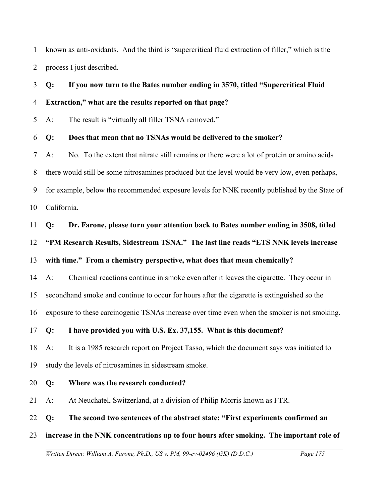1 2 known as anti-oxidants. And the third is "supercritical fluid extraction of filler," which is the process I just described.

## 3 4 **Q: If you now turn to the Bates number ending in 3570, titled "Supercritical Fluid Extraction," what are the results reported on that page?**

5 A: The result is "virtually all filler TSNA removed."

### 6 **Q: Does that mean that no TSNAs would be delivered to the smoker?**

7 8 9 10 A: No. To the extent that nitrate still remains or there were a lot of protein or amino acids there would still be some nitrosamines produced but the level would be very low, even perhaps, for example, below the recommended exposure levels for NNK recently published by the State of California.

### 11 **Q: Dr. Farone, please turn your attention back to Bates number ending in 3508, titled**

12 **"PM Research Results, Sidestream TSNA." The last line reads "ETS NNK levels increase**

## 13 **with time." From a chemistry perspective, what does that mean chemically?**

14 A: Chemical reactions continue in smoke even after it leaves the cigarette. They occur in

15 secondhand smoke and continue to occur for hours after the cigarette is extinguished so the

16 exposure to these carcinogenic TSNAs increase over time even when the smoker is not smoking.

## 17 **Q: I have provided you with U.S. Ex. 37,155. What is this document?**

18 19 A: It is a 1985 research report on Project Tasso, which the document says was initiated to study the levels of nitrosamines in sidestream smoke.

## 20 **Q: Where was the research conducted?**

21 A: At Neuchatel, Switzerland, at a division of Philip Morris known as FTR.

22 **Q: The second two sentences of the abstract state: "First experiments confirmed an**

## 23 **increase in the NNK concentrations up to four hours after smoking. The important role of**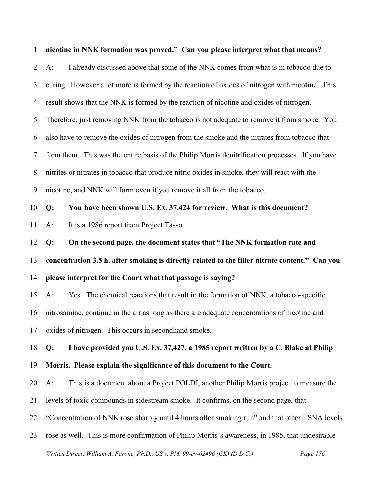| $\mathbf{1}$   | nicotine in NNK formation was proved." Can you please interpret what that means?                 |
|----------------|--------------------------------------------------------------------------------------------------|
| $\overline{2}$ | I already discussed above that some of the NNK comes from what is in tobacco due to<br>$A$ :     |
| 3              | curing. However a lot more is formed by the reaction of oxides of nitrogen with nicotine. This   |
| 4              | result shows that the NNK is formed by the reaction of nicotine and oxides of nitrogen.          |
| 5              | Therefore, just removing NNK from the tobacco is not adequate to remove it from smoke. You       |
| 6              | also have to remove the oxides of nitrogen from the smoke and the nitrates from tobacco that     |
| 7              | form them. This was the entire basis of the Philip Morris denitrification processes. If you have |
| 8              | nitrites or nitrates in tobacco that produce nitric oxides in smoke, they will react with the    |
| 9              | nicotine, and NNK will form even if you remove it all from the tobacco.                          |
| 10             | You have been shown U.S. Ex. 37,424 for review. What is this document?<br>Q:                     |
| 11             | It is a 1986 report from Project Tasso.<br>$A$ :                                                 |
| 12             | On the second page, the document states that "The NNK formation rate and<br>Q:                   |
| 13             | concentration 3.5 h. after smoking is directly related to the filler nitrate content." Can you   |
| 14             | please interpret for the Court what that passage is saying?                                      |
| 15             | Yes. The chemical reactions that result in the formation of NNK, a tobacco-specific<br>$A$ :     |
| 16             | nitrosamine, continue in the air as long as there are adequate concentrations of nicotine and    |
| 17             | oxides of nitrogen. This occurs in secondhand smoke.                                             |
| 18             | I have provided you U.S. Ex. 37,427, a 1985 report written by a C. Blake at Philip<br>Q:         |
| 19             | Morris. Please explain the significance of this document to the Court.                           |
| 20             | This is a document about a Project POLDI, another Philip Morris project to measure the<br>$A$ :  |
| 21             | levels of toxic compounds in sidestream smoke. It confirms, on the second page, that             |
| 22             | "Concentration of NNK rose sharply until 4 hours after smoking run" and that other TSNA levels   |
| 23             | rose as well. This is more confirmation of Philip Morris's awareness, in 1985, that undesirable  |
|                | Written Direct: William A. Farone, Ph.D., US v. PM, 99-cv-02496 (GK) (D.D.C.)<br>Page 176        |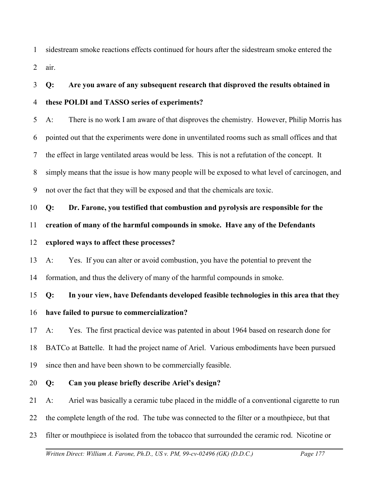1 2 sidestream smoke reactions effects continued for hours after the sidestream smoke entered the air.

3 4 **Q: Are you aware of any subsequent research that disproved the results obtained in these POLDI and TASSO series of experiments?**

5 6 7 8 9 A: There is no work I am aware of that disproves the chemistry. However, Philip Morris has pointed out that the experiments were done in unventilated rooms such as small offices and that the effect in large ventilated areas would be less. This is not a refutation of the concept. It simply means that the issue is how many people will be exposed to what level of carcinogen, and not over the fact that they will be exposed and that the chemicals are toxic.

10 **Q: Dr. Farone, you testified that combustion and pyrolysis are responsible for the**

11 **creation of many of the harmful compounds in smoke. Have any of the Defendants**

### 12 **explored ways to affect these processes?**

13 14 A: Yes. If you can alter or avoid combustion, you have the potential to prevent the formation, and thus the delivery of many of the harmful compounds in smoke.

15 **Q: In your view, have Defendants developed feasible technologies in this area that they**

### 16 **have failed to pursue to commercialization?**

17 18 19 A: Yes. The first practical device was patented in about 1964 based on research done for BATCo at Battelle. It had the project name of Ariel. Various embodiments have been pursued since then and have been shown to be commercially feasible.

### 20 **Q: Can you please briefly describe Ariel's design?**

21 A: Ariel was basically a ceramic tube placed in the middle of a conventional cigarette to run

22 the complete length of the rod. The tube was connected to the filter or a mouthpiece, but that

23 filter or mouthpiece is isolated from the tobacco that surrounded the ceramic rod. Nicotine or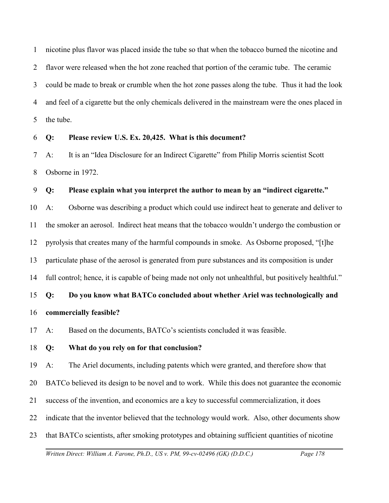1 2 3 4 5 nicotine plus flavor was placed inside the tube so that when the tobacco burned the nicotine and flavor were released when the hot zone reached that portion of the ceramic tube. The ceramic could be made to break or crumble when the hot zone passes along the tube. Thus it had the look and feel of a cigarette but the only chemicals delivered in the mainstream were the ones placed in the tube.

6 **Q: Please review U.S. Ex. 20,425. What is this document?**

7 8 A: It is an "Idea Disclosure for an Indirect Cigarette" from Philip Morris scientist Scott Osborne in 1972.

9 **Q: Please explain what you interpret the author to mean by an "indirect cigarette."**

10 11 12 13 14 A: Osborne was describing a product which could use indirect heat to generate and deliver to the smoker an aerosol. Indirect heat means that the tobacco wouldn't undergo the combustion or pyrolysis that creates many of the harmful compounds in smoke. As Osborne proposed, "[t]he particulate phase of the aerosol is generated from pure substances and its composition is under full control; hence, it is capable of being made not only not unhealthful, but positively healthful."

15 **Q: Do you know what BATCo concluded about whether Ariel was technologically and**

16 **commercially feasible?**

17 A: Based on the documents, BATCo's scientists concluded it was feasible.

18 **Q: What do you rely on for that conclusion?**

19 A: The Ariel documents, including patents which were granted, and therefore show that

20 BATCo believed its design to be novel and to work. While this does not guarantee the economic

21 success of the invention, and economics are a key to successful commercialization, it does

22 indicate that the inventor believed that the technology would work. Also, other documents show

23 that BATCo scientists, after smoking prototypes and obtaining sufficient quantities of nicotine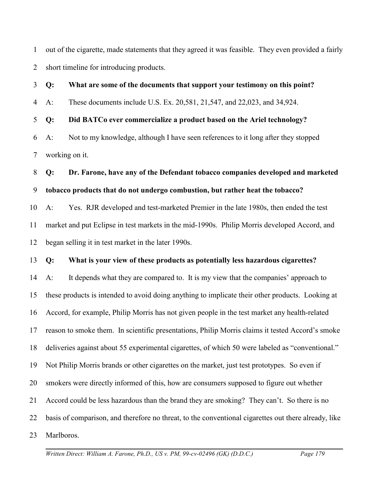1 2 out of the cigarette, made statements that they agreed it was feasible. They even provided a fairly short timeline for introducing products.

3 4 5 6 **Q: What are some of the documents that support your testimony on this point?** A: These documents include U.S. Ex. 20,581, 21,547, and 22,023, and 34,924. **Q: Did BATCo ever commercialize a product based on the Ariel technology?** A: Not to my knowledge, although I have seen references to it long after they stopped

7 working on it.

## 8 9 **Q: Dr. Farone, have any of the Defendant tobacco companies developed and marketed tobacco products that do not undergo combustion, but rather heat the tobacco?**

10 11 12 A: Yes. RJR developed and test-marketed Premier in the late 1980s, then ended the test market and put Eclipse in test markets in the mid-1990s. Philip Morris developed Accord, and began selling it in test market in the later 1990s.

#### 13 **Q: What is your view of these products as potentially less hazardous cigarettes?**

14 15 16 17 18 19 20 21 22 23 A: It depends what they are compared to. It is my view that the companies' approach to these products is intended to avoid doing anything to implicate their other products. Looking at Accord, for example, Philip Morris has not given people in the test market any health-related reason to smoke them. In scientific presentations, Philip Morris claims it tested Accord's smoke deliveries against about 55 experimental cigarettes, of which 50 were labeled as "conventional." Not Philip Morris brands or other cigarettes on the market, just test prototypes. So even if smokers were directly informed of this, how are consumers supposed to figure out whether Accord could be less hazardous than the brand they are smoking? They can't. So there is no basis of comparison, and therefore no threat, to the conventional cigarettes out there already, like Marlboros.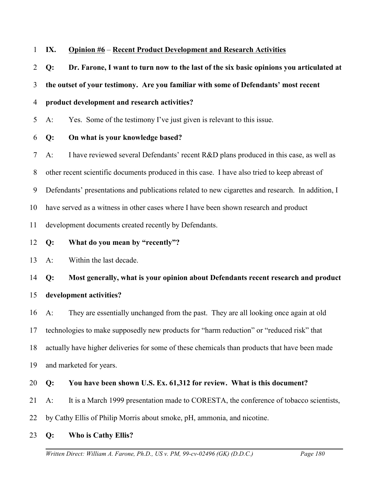#### 1 **IX. Opinion #6** – **Recent Product Development and Research Activities**

2 **Q: Dr. Farone, I want to turn now to the last of the six basic opinions you articulated at**

3 **the outset of your testimony. Are you familiar with some of Defendants' most recent**

#### 4 **product development and research activities?**

5 A: Yes. Some of the testimony I've just given is relevant to this issue.

- 6 **Q: On what is your knowledge based?**
- 7 A: I have reviewed several Defendants' recent R&D plans produced in this case, as well as
- 8 other recent scientific documents produced in this case. I have also tried to keep abreast of
- 9 Defendants' presentations and publications related to new cigarettes and research. In addition, I

10 have served as a witness in other cases where I have been shown research and product

11 development documents created recently by Defendants.

12 **Q: What do you mean by "recently"?**

13 A: Within the last decade.

## 14 **Q: Most generally, what is your opinion about Defendants recent research and product**

## 15 **development activities?**

16 A: They are essentially unchanged from the past. They are all looking once again at old

17 technologies to make supposedly new products for "harm reduction" or "reduced risk" that

18 actually have higher deliveries for some of these chemicals than products that have been made

19 and marketed for years.

# 20 **Q: You have been shown U.S. Ex. 61,312 for review. What is this document?**

- 21 A: It is a March 1999 presentation made to CORESTA, the conference of tobacco scientists,
- 22 by Cathy Ellis of Philip Morris about smoke, pH, ammonia, and nicotine.
- 23 **Q: Who is Cathy Ellis?**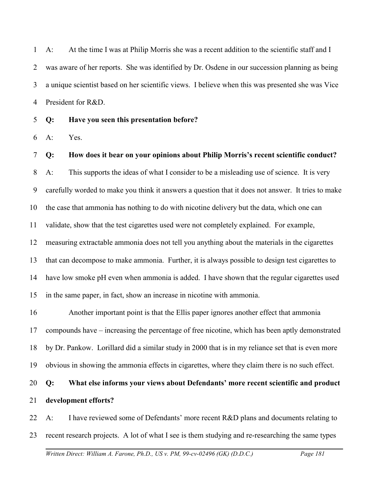1 2 3 4 A: At the time I was at Philip Morris she was a recent addition to the scientific staff and I was aware of her reports. She was identified by Dr. Osdene in our succession planning as being a unique scientist based on her scientific views. I believe when this was presented she was Vice President for R&D.

5 **Q: Have you seen this presentation before?**

6 A: Yes.

7 8 9 10 11 12 13 14 15 **Q: How does it bear on your opinions about Philip Morris's recent scientific conduct?**  A: This supports the ideas of what I consider to be a misleading use of science. It is very carefully worded to make you think it answers a question that it does not answer. It tries to make the case that ammonia has nothing to do with nicotine delivery but the data, which one can validate, show that the test cigarettes used were not completely explained. For example, measuring extractable ammonia does not tell you anything about the materials in the cigarettes that can decompose to make ammonia. Further, it is always possible to design test cigarettes to have low smoke pH even when ammonia is added. I have shown that the regular cigarettes used in the same paper, in fact, show an increase in nicotine with ammonia.

16 17 18 19 Another important point is that the Ellis paper ignores another effect that ammonia compounds have – increasing the percentage of free nicotine, which has been aptly demonstrated by Dr. Pankow. Lorillard did a similar study in 2000 that is in my reliance set that is even more obvious in showing the ammonia effects in cigarettes, where they claim there is no such effect.

20 21 **Q: What else informs your views about Defendants' more recent scientific and product development efforts?**

22 23 A: I have reviewed some of Defendants' more recent R&D plans and documents relating to recent research projects. A lot of what I see is them studying and re-researching the same types